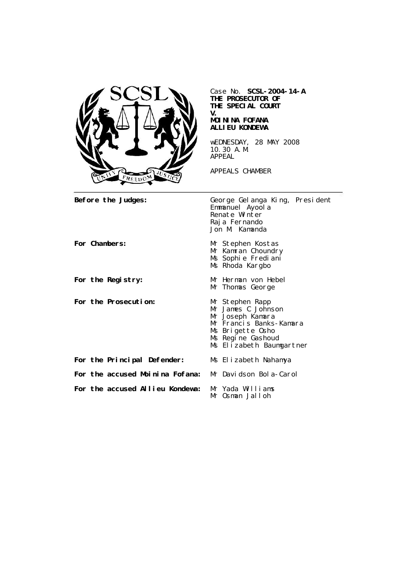

Case No. **SCSL-2004-14-A THE PROSECUTOR OF THE SPECIAL COURT V. MOININA FOFANA ALLIEU KONDEWA** wEDNESDAY, 28 MAY 2008

10.30 A.M. APPEAL

APPEALS CHAMBER

Before the Judges: George Gelanga King, President Emmanuel Ayool a Renate Winter Raja Fernando Jon M. Kamanda For Chambers: Mr Stephen Kostas Mr Kamran Choundry Ms Sophie Frediani Ms Rhoda Kargbo For the Registry: Mr Herman von Hebel Mr Thomas George **For the Prosecution:** Mr Stephen Rapp Mr James C Johnson Mr Joseph Kamara Mr Francis Banks-Kamara Ms Brigette Osho Ms Regine Gashoud Ms Elizabeth Baumgartner **For the Principal Defender:** Ms Elizabeth Nahamya **For the accused Moinina Fofana:** Mr Davidson Bola-Carol **For the accused Allieu Kondewa:** Mr Yada Williams Mr Osman Jalloh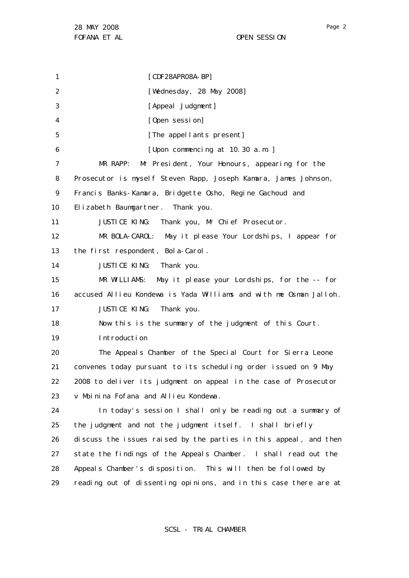1 2 3 4 5 6 7 8 9 10 11 12 13 14 15 16 17 18 19 20 21 22 23 24 25 26 27 28 29 [CDF28APR08A-BP] [Wednesday, 28 May 2008] [Appeal Judgment] [Open session] [The appellants present] [Upon commencing at 10.30 a.m. ] MR RAPP: Mr President, Your Honours, appearing for the Prosecutor is myself Steven Rapp, Joseph Kamara, James Johnson, Francis Banks-Kamara, Bridgette Osho, Regine Gachoud and Elizabeth Baumgartner. Thank you. JUSTICE KING: Thank you, Mr Chief Prosecutor. MR BOLA-CAROL: May it please Your Lordships, I appear for the first respondent, Bola-Carol. JUSTICE KING: Thank you. MR WILLIAMS: May it please your Lordships, for the -- for accused Allieu Kondewa is Yada Williams and with me Osman Jalloh. JUSTICE KING: Thank you. Now this is the summary of the judgment of this Court. Introduction The Appeals Chamber of the Special Court for Sierra Leone convenes today pursuant to its scheduling order issued on 9 May 2008 to deliver its judgment on appeal in the case of Prosecutor v Moinina Fofana and Allieu Kondewa . In today's session I shall only be reading out a summary of the judgment and not the judgment itself. I shall briefly discuss the issues raised by the parties in this appeal, and then state the findings of the Appeals Chamber. I shall read out the Appeals Chamber's disposition. This will then be followed by reading out of dissenting opinions, and in this case there are at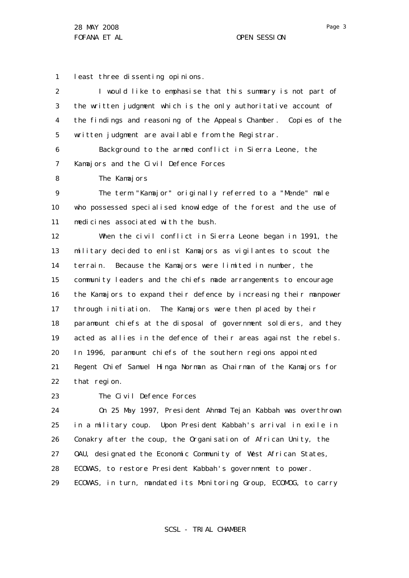1 least three dissenting opinions.

| 2              | I would like to emphasise that this summary is not part of        |
|----------------|-------------------------------------------------------------------|
| 3              | the written judgment which is the only authoritative account of   |
| 4              | the findings and reasoning of the Appeals Chamber. Copies of the  |
| 5              | written judgment are available from the Registrar.                |
| 6              | Background to the armed conflict in Sierra Leone, the             |
| $\overline{7}$ | Kamajors and the Civil Defence Forces                             |
| 8              | The Kamajors                                                      |
| 9              | The term "Kamajor" originally referred to a "Mende" male          |
| 10             | who possessed specialised knowledge of the forest and the use of  |
| 11             | medicines associated with the bush.                               |
| 12             | When the civil conflict in Sierra Leone began in 1991, the        |
| 13             | military decided to enlist Kamajors as vigilantes to scout the    |
| 14             | terrain. Because the Kamajors were limited in number, the         |
| 15             | community leaders and the chiefs made arrangements to encourage   |
| 16             | the Kamajors to expand their defence by increasing their manpower |
| 17             | through initiation. The Kamajors were then placed by their        |
| 18             | paramount chiefs at the disposal of government soldiers, and they |
| 19             | acted as allies in the defence of their areas against the rebels. |
| 20             | In 1996, paramount chiefs of the southern regions appointed       |
| 21             | Regent Chief Samuel Hinga Norman as Chairman of the Kamajors for  |
| 22             | that region.                                                      |
| 23             | The Civil Defence Forces                                          |

24 25 26 27 28 29 On 25 May 1997, President Ahmad Tejan Kabbah was overthrown in a military coup. Upon President Kabbah's arrival in exile in Conakry after the coup, the Organisation of African Unity, the OAU, designated the Economic Community of West African States, ECOWAS, to restore President Kabbah 's government to power. ECOWAS, in turn, mandated its Monitoring Group, ECOMOG, to carry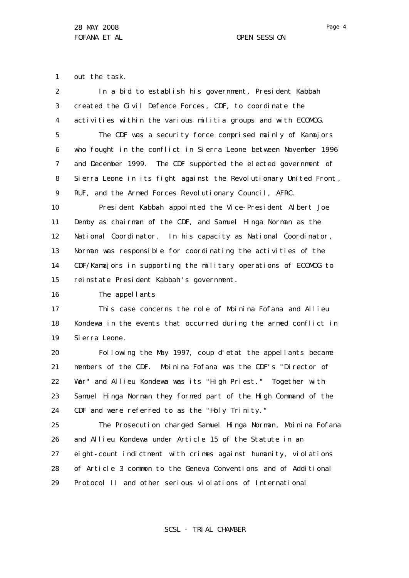1 out the task.

| $\overline{2}$ | In a bid to establish his government, President Kabbah            |
|----------------|-------------------------------------------------------------------|
| 3              | created the Civil Defence Forces, CDF, to coordinate the          |
| 4              | activities within the various militia groups and with ECOMOG.     |
| 5              | The CDF was a security force comprised mainly of Kamajors         |
| 6              | who fought in the conflict in Sierra Leone between November 1996  |
| 7              | and December 1999. The CDF supported the elected government of    |
| 8              | Sierra Leone in its fight against the Revolutionary United Front, |
| 9              | RUF, and the Armed Forces Revolutionary Council, AFRC.            |
| 10             | President Kabbah appointed the Vice-President Albert Joe          |
| 11             | Demby as chairman of the CDF, and Samuel Hinga Norman as the      |
| 12             | National Coordinator. In his capacity as National Coordinator,    |
| 13             | Norman was responsible for coordinating the activities of the     |
| 14             | CDF/Kamajors in supporting the military operations of ECOMOG to   |
| 15             | reinstate President Kabbah's government.                          |
| 16             | The appellants                                                    |
| 17             | This case concerns the role of Moinina Fofana and Allieu          |
| 18             | Kondewa in the events that occurred during the armed conflict in  |
| 19             | Si erra Leone.                                                    |
| 20             | Following the May 1997, coup d'etat the appellants became         |
| 21             | members of the CDF. Moinina Fofana was the CDF's "Director of     |
| 22             | War" and Allieu Kondewa was its "High Priest." Together with      |
| 23             | Samuel Hinga Norman they formed part of the High Command of the   |
| 24             | CDF and were referred to as the "Holy Trinity."                   |
| 25             | The Prosecution charged Samuel Hinga Norman, Moinina Fofana       |
| 26             | and Allieu Kondewa under Article 15 of the Statute in an          |
| 27             | eight-count indictment with crimes against humanity, violations   |
| 28             | of Article 3 common to the Geneva Conventions and of Additional   |
| 29             | Protocol II and other serious violations of International         |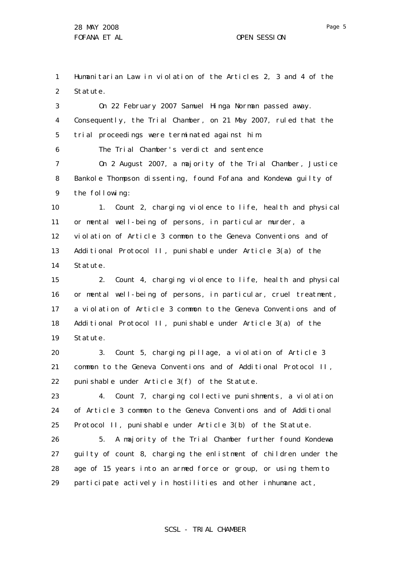1 2 Humanitarian Law in violation of the Articles 2, 3 and 4 of the Statute.

3 4 5 On 22 February 2007 Samuel Hinga Norman passed away. Consequently, the Trial Chamber, on 21 May 2007, ruled that the trial proceedings were terminated against him.

6 The Trial Chamber's verdict and sentence

7 8 9 On 2 August 2007, a majority of the Trial Chamber, Justice Bankole Thompson dissenting, found Fofana and Kondewa guilty of the following:

10 11 12 13 14 1. Count 2, charging violence to life, health and physical or mental well-being of persons, in particular murder, a violation of Article 3 common to the Geneva Conventions and of Additional Protocol II , punishable under Article 3(a) of the Statute.

15 16 17 18 19 2. Count 4, charging violence to life, health and physical or mental well-being of persons, in particular, cruel treatment, a violation of Article 3 common to the Geneva Conventions and of Additional Protocol II , punishable under Article 3(a) of the Statute.

20 21 22 3. Count 5, charging pillage, a violation of Article 3 common to the Geneva Conventions and of Additional Protocol II , punishable under Article 3(f) of the Statute.

23 24 25 4. Count 7, charging collective punishments, a violation of Article 3 common to the Geneva Conventions and of Additional Protocol II, punishable under Article 3(b) of the Statute.

26 27 28 29 5. A majority of the Trial Chamber further found Kondewa guilty of count 8, charging the enlistment of children under the age of 15 years into an armed force or group, or using them to participate actively in hostilities and other inhumane act,

Page 5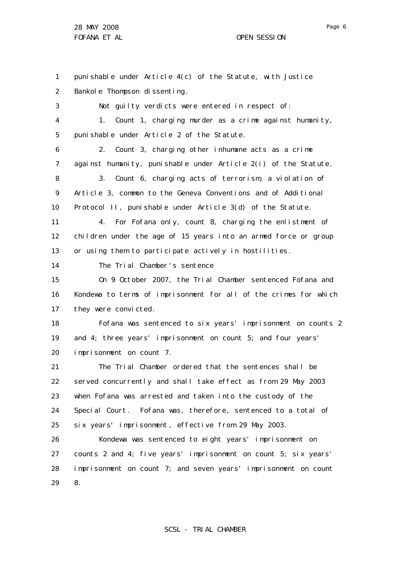1 2 3 4 5 6 7 8 9 10 11 12 13 14 15 16 17 18 19 20 21 22 23 24 25 26 27 28 29 punishable under Article 4(c) of the Statute, with Justice Bankole Thompson dissenting. Not guilty verdicts were entered in respect of: 1. Count 1, charging murder as a crime against humanity, punishable under Article 2 of the Statute. 2. Count 3, charging other inhumane acts as a crime against humanity, punishable under Article 2(i) of the Statute. 3. Count 6, charging acts of terrorism, a violation of Article 3, common to the Geneva Conventions and of Additional Protocol II, punishable under Article 3(d) of the Statute. 4. For Fofana only, count 8, charging the enlistment of children under the age of 15 years into an armed force or group or using them to participate actively in hostilities. The Trial Chamber's sentence On 9 October 2007, the Trial Chamber sentenced Fofana and Kondewa to terms of imprisonment for all of the crimes for which they were convicted. Fofana was sentenced to six years' imprisonment on counts 2 and 4; three years' imprisonment on count 5; and four years' imprisonment on count 7. The Trial Chamber ordered that the sentences shall be served concurrently and shall take effect as from 29 May 2003 when Fofana was arrested and taken into the custody of the Special Court. Fofana was, therefore, sentenced to a total of six years' imprisonment, effective from 29 May 2003. Kondewa was sentenced to eight years' imprisonment on counts 2 and 4; five years' imprisonment on count 5; six years' imprisonment on count 7; and seven years' imprisonment on count 8.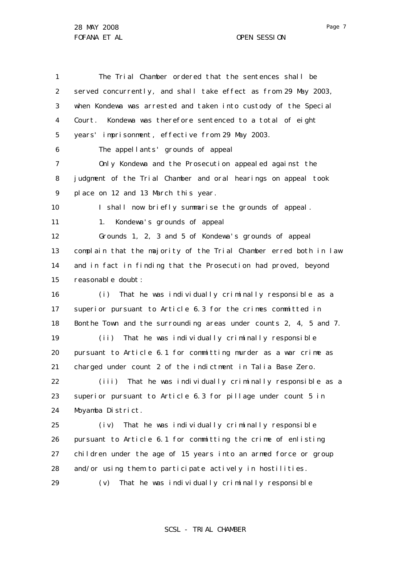28 MAY 2008 FOFANA ET AL **COPEN SESSION** 

1 2 3 4 5 6 7 8 9 10 11 12 13 14 15 16 17 18 19 20 21 22 23 24 25 26 27 28 29 The Trial Chamber ordered that the sentences shall be served concurrently, and shall take effect as from 29 May 2003, when Kondewa was arrested and taken into custody of the Special Court. Kondewa was therefore sentenced to a total of eight years' imprisonment, effective from 29 May 2003. The appellants' grounds of appeal Only Kondewa and the Prosecution appealed against the judgment of the Trial Chamber and oral hearings on appeal took place on 12 and 13 March this year. I shall now briefly summarise the grounds of appeal. 1. Kondewa's grounds of appeal Grounds 1, 2, 3 and 5 of Kondewa's grounds of appeal complain that the majority of the Trial Chamber erred both in law and in fact in finding that the Prosecution had proved, beyond reasonable doubt : (i) That he was individually criminally responsible as a superior pursuant to Article 6.3 for the crimes committed in Bonthe Town and the surrounding areas under counts 2, 4, 5 and 7. (ii) That he was individually criminally responsible pursuant to Article 6.1 for committing murder as a war crime as charged under count 2 of the indictment in Talia Base Zero. (iii) That he was individually criminally responsible as a superior pursuant to Article 6.3 for pillage under count 5 in Moyamba District. (iv) That he was individually criminally responsible pursuant to Article 6.1 for committing the crime of enlisting children under the age of 15 years into an armed force or group and/or using them to participate actively in hostilities. (v) That he was individually criminally responsible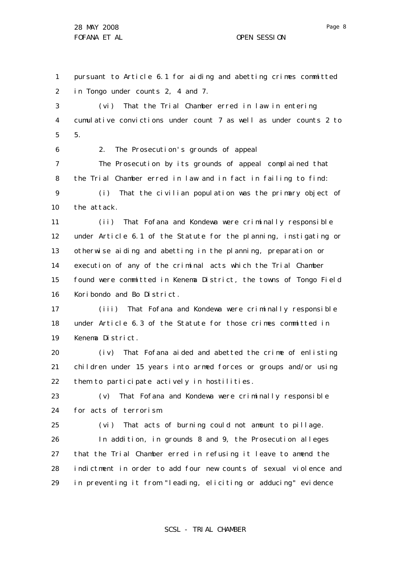1 2 pursuant to Article 6.1 for aiding and abetting crimes committed in Tongo under counts 2, 4 and 7.

3 4 5 (vi) That the Trial Chamber erred in law in entering cumulative convictions under count 7 as well as under counts 2 to 5.

6 7 8 9 2. The Prosecution's grounds of appeal The Prosecution by its grounds of appeal complained that the Trial Chamber erred in law and in fact in failing to find: (i) That the civilian population was the primary object of

10 the attack.

11 12 13 14 15 16 (ii) That Fofana and Kondewa were criminally responsible under Article 6.1 of the Statute for the planning, instigating or otherwise aiding and abetting in the planning, preparation or execution of any of the criminal acts which the Trial Chamber found were committed in Kenema District, the towns of Tongo Field Koribondo and Bo District.

17 18 19 (iii) That Fofana and Kondewa were criminally responsible under Article 6.3 of the Statute for those crimes committed in Kenema District.

20 21 22 (iv) That Fofana aided and abetted the crime of enlisting children under 15 years into armed forces or groups and/or using them to participate actively in hostilities.

23 24 (v) That Fofana and Kondewa were criminally responsible for acts of terrorism.

25 26 27 28 29 (vi) That acts of burning could not amount to pillage. In addition, in grounds 8 and 9, the Prosecution alleges that the Trial Chamber erred in refusing it leave to amend the indictment in order to add four new counts of sexual violence and in preventing it from "leading, eliciting or adducing" evidence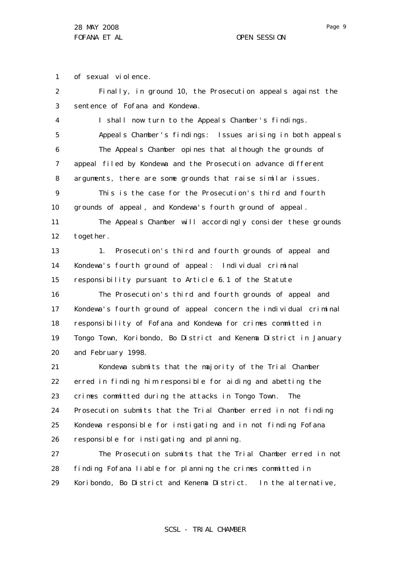1 of sexual violence.

2 3 4 5 6 7 8 9 10 11 12 13 14 15 16 17 18 19 20 21 22 23 24 25 26 27 28 Finally, in ground 10, the Prosecution appeals against the sentence of Fofana and Kondewa. I shall now turn to the Appeals Chamber's findings. Appeals Chamber's findings: Issues arising in both appeals The Appeals Chamber opines that although the grounds of appeal filed by Kondewa and the Prosecution advance different arguments, there are some grounds that raise similar issues. This is the case for the Prosecution's third and fourth grounds of appeal, and Kondewa's fourth ground of appeal. The Appeals Chamber will accordingly consider these grounds together. 1. Prosecution's third and fourth grounds of appeal and Kondewa's fourth ground of appeal: Individual criminal responsibility pursuant to Article 6.1 of the Statute The Prosecution's third and fourth grounds of appeal and Kondewa's fourth ground of appeal concern the individual criminal responsibility of Fofana and Kondewa for crimes committed in Tongo Town, Koribondo, Bo District and Kenema District in January and February 1998. Kondewa submits that the majority of the Trial Chamber erred in finding him responsible for aiding and abetting the crimes committed during the attacks in Tongo Town. The Prosecution submits that the Trial Chamber erred in not finding Kondewa responsible for instigating and in not finding Fofana responsible for instigating and planning. The Prosecution submits that the Trial Chamber erred in not finding Fofana liable for planning the crimes committed in

29 Koribondo, Bo District and Kenema District. In the alternative,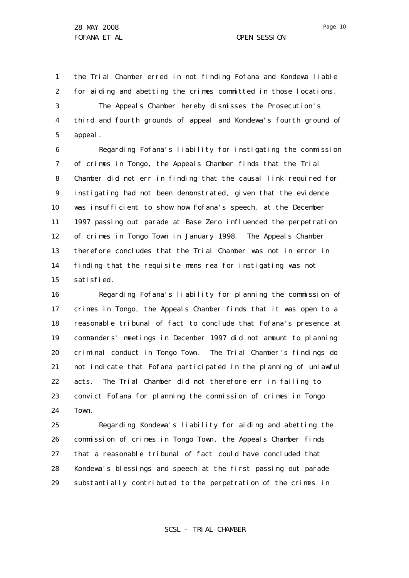1 2 the Trial Chamber erred in not finding Fofana and Kondewa liable for aiding and abetting the crimes committed in those locations.

3 4 5 The Appeals Chamber hereby dismisses the Prosecution's third and fourth grounds of appeal and Kondewa's fourth ground of appeal.

6 7 8 9 10 11 12 13 14 15 Regarding Fofana's liability for instigating the commission of crimes in Tongo, the Appeals Chamber finds that the Trial Chamber did not err in finding that the causal link required for instigating had not been demonstrated, given that the evidence was insufficient to show how Fofana's speech, at the December 1997 passing out parade at Base Zero influenced the perpetration of crimes in Tongo Town in January 1998. The Appeals Chamber therefore concludes that the Trial Chamber was not in error in finding that the requisite *mens rea* for instigating was not satisfied.

16 17 18 19 20 21 22 23 24 Regarding Fofana's liability for planning the commission of crimes in Tongo, the Appeals Chamber finds that it was open to a reasonable tribunal of fact to conclude that Fofana's presence at commanders' meetings in December 1997 did not amount to planning criminal conduct in Tongo Town. The Trial Chamber's findings do not indicate that Fofana participated in the planning of unlawful acts. The Trial Chamber did not therefore err in failing to convict Fofana for planning the commission of crimes in Tongo Town.

25 26 27 28 29 Regarding Kondewa's liability for aiding and abetting the commission of crimes in Tongo Town, the Appeals Chamber finds that a reasonable tribunal of fact could have concluded that Kondewa's blessings and speech at the first passing out parade substantially contributed to the perpetration of the crimes in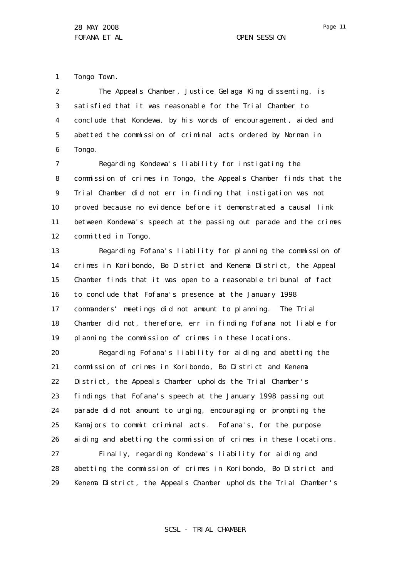1 Tongo Town.

2 3 4 5 6 The Appeals Chamber, Justice Gelaga King dissenting, is satisfied that it was reasonable for the Trial Chamber to conclude that Kondewa, by his words of encouragement, aided and abetted the commission of criminal acts ordered by Norman in Tongo.

7 8 9 10 11 12 Regarding Kondewa's liability for instigating the commission of crimes in Tongo, the Appeals Chamber finds that the Trial Chamber did not err in finding that instigation was not proved because no evidence before it demonstrated a causal link between Kondewa's speech at the passing out parade and the crimes committed in Tongo.

13 14 15 16 17 18 19 Regarding Fofana's liability for planning the commission of crimes in Koribondo, Bo District and Kenema District, the Appeal Chamber finds that it was open to a reasonable tribunal of fact to conclude that Fofana's presence at the January 1998 commanders' meetings did not amount to planning. The Trial Chamber did not, therefore, err in finding Fofana not liable for planning the commission of crimes in these locations.

20 21 22 23 24 25 26 27 Regarding Fofana's liability for aiding and abetting the commission of crimes in Koribondo, Bo District and Kenema District, the Appeals Chamber upholds the Trial Chamber's findings that Fofana's speech at the January 1998 passing out parade did not amount to urging, encouraging or prompting the Kamajors to commit criminal acts. Fofana's, for the purpose aiding and abetting the commission of crimes in these locations.

28 29 Finally, regarding Kondewa's liability for aiding and abetting the commission of crimes in Koribondo, Bo District and Kenema District, the Appeals Chamber upholds the Trial Chamber's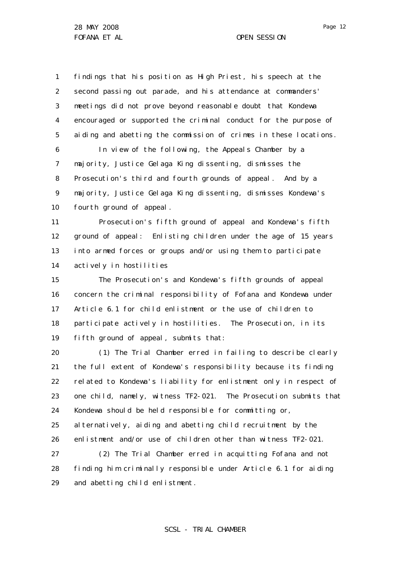1 2 3 4 5 6 7 8 9 10 findings that his position as High Priest, his speech at the second passing out parade, and his attendance at commanders' meetings did not prove beyond reasonable doubt that Kondewa encouraged or supported the criminal conduct for the purpose of aiding and abetting the commission of crimes in these locations. In view of the following, the Appeals Chamber by a majority, Justice Gelaga King dissenting, dismisses the Prosecution's third and fourth grounds of appeal. And by a majority, Justice Gelaga King dissenting, dismisses Kondewa's fourth ground of appeal.

11 12 13 14 Prosecution's fifth ground of appeal and Kondewa's fifth ground of appeal: Enlisting children under the age of 15 years into armed forces or groups and/or using them to participate actively in hostilities

15 16 17 18 19 The Prosecution's and Kondewa's fifth grounds of appeal concern the criminal responsibility of Fofana and Kondewa under Article 6.1 for child enlistment or the use of children to participate actively in hostilities. The Prosecution, in its fifth ground of appeal, submits that:

20 21 22 23 24 25 26 (1) The Trial Chamber erred in failing to describe clearly the full extent of Kondewa's responsibility because its finding related to Kondewa's liability for enlistment only in respect of one child, namely, witness TF2-021. The Prosecution submits that Kondewa should be held responsible for committing or, al ternatively, aiding and abetting child recruitment by the enlistment and/or use of children other than witness TF2-021.

27 28 29 (2) The Trial Chamber erred in acquitting Fofana and not finding him criminally responsible under Article 6.1 for aiding and abetting child enlistment.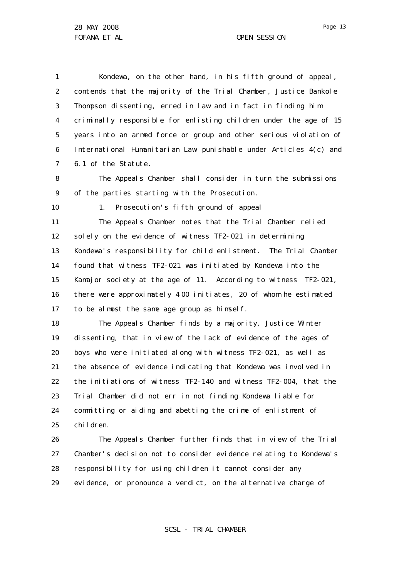1 2 3 4 5 6 7 Kondewa, on the other hand, in his fifth ground of appeal, contends that the majority of the Trial Chamber, Justice Bankole Thompson dissenting, erred in law and in fact in finding him criminally responsible for enlisting children under the age of 15 years into an armed force or group and other serious violation of International Humanitarian Law punishable under Articles 4(c) and 6.1 of the Statute.

8 9 The Appeals Chamber shall consider in turn the submissions of the parties starting with the Prosecution.

10 1. Prosecution's fifth ground of appeal

11 12 13 14 15 16 17 The Appeals Chamber notes that the Trial Chamber relied solely on the evidence of witness TF2-021 in determining Kondewa's responsibility for child enlistment. The Trial Chamber found that witness TF2-021 was initiated by Kondewa into the Kamajor society at the age of 11. According to witness TF2-021, there were approximately 4 00 initiates, 20 of whom he estimated to be almost the same age group as himself.

18 19 20 21 22 23 24 25 The Appeals Chamber finds by a majority, Justice Winter dissenting, that in view of the lack of evidence of the ages of boys who were initiated along with witness TF2-021, as well as the absence of evidence indicating that Kondewa was involved in the initiations of witness TF2-140 and witness TF2-004, that the Trial Chamber did not err in not finding Kondewa liable for committing or aiding and abetting the crime of enlistment of children.

26 27 28 29 The Appeals Chamber further finds that in view of the Trial Chamber's decision not to consider evidence relating to Kondewa's responsibility for using children it cannot consider any evidence, or pronounce a verdict, on the alternative charge of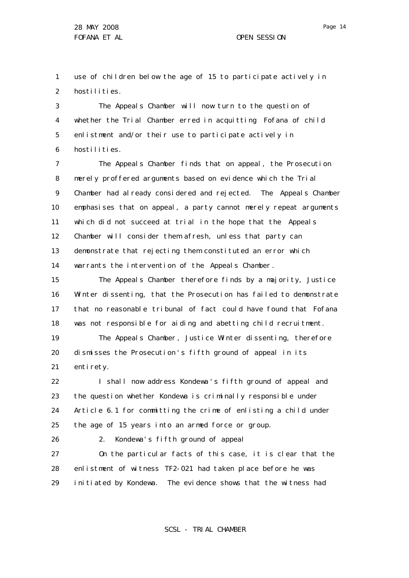1 2 use of children below the age of 15 to participate actively in hostilities.

3 4 5 6 The Appeals Chamber will now turn to the question of whether the Trial Chamber erred in acquitting Fofana of child enlistment and/or their use to participate actively in hostilities.

7 8 9 10 11 12 13 14 The Appeals Chamber finds that on appeal, the Prosecution merely proffered arguments based on evidence which the Trial Chamber had already considered and rejected. The Appeals Chamber emphasises that on appeal, a party cannot merely repeat arguments which did not succeed at trial in the hope that the Appeals Chamber will consider them afresh, unless that party can demonstrate that rejecting them constituted an error which warrants the intervention of the Appeals Chamber.

15 16 17 18 The Appeals Chamber therefore finds by a majority, Justice Winter dissenting, that the Prosecution has failed to demonstrate that no reasonable tribunal of fact could have found that Fofana was not responsible for aiding and abetting child recruitment.

19 20 21 The Appeals Chamber, Justice Winter dissenting, therefore dismisses the Prosecution 's fifth ground of appeal in its enti rety.

22 23 24 25 I shall now address Kondewa 's fifth ground of appeal and the question whether Kondewa is criminally responsible under Article 6.1 for committing the crime of enlisting a child under the age of 15 years into an armed force or group.

26

## 2. Kondewa's fifth ground of appeal

27 28 29 On the particular facts of this case, it is clear that the enlistment of witness TF2-021 had taken place before he was initiated by Kondewa. The evidence shows that the witness had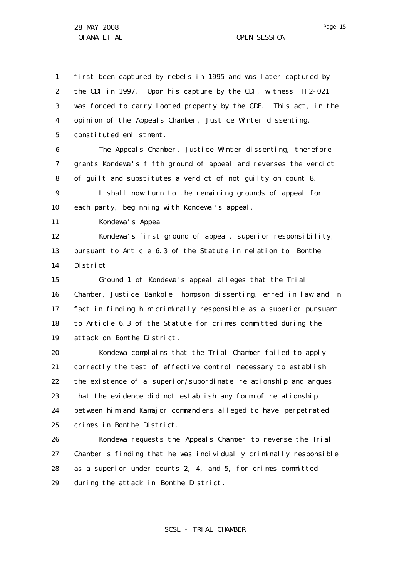1 2 3 4 5 6 7 8 9 10 11 12 13 14 15 16 17 18 19 20 21 22 23 24 25 26 27 28 first been captured by rebels in 1995 and was later captured by the CDF in 1997. Upon his capture by the CDF, witness TF2-021 was forced to carry looted property by the CDF. This act, in the opinion of the Appeals Chamber, Justice Winter dissenting, constituted enlistment. The Appeals Chamber, Justice Winter dissenting, therefore grants Kondewa's fifth ground of appeal and reverses the verdict of guilt and substitutes a verdict of not guilty on count 8. I shall now turn to the remaining grounds of appeal for each party, beginning with Kondewa's appeal. Kondewa's Appeal Kondewa's first ground of appeal, superior responsibility, pursuant to Article 6.3 of the Statute in relation to Bonthe District Ground 1 of Kondewa's appeal alleges that the Trial Chamber, Justice Bankole Thompson dissenting, erred in law and in fact in finding him criminally responsible as a superior pursuant to Article 6.3 of the Statute for crimes committed during the attack on Bonthe District. Kondewa complains that the Trial Chamber failed to apply correctly the test of effective control necessary to establish the existence of a superior/subordinate relationship and argues that the evidence did not establish any form of relationship between him and Kamajor command ers alleged to have perpetrated crimes in Bonthe District. Kondewa requests the Appeals Chamber to reverse the Trial Chamber's finding that he was individually criminally responsible as a superior under counts 2, 4, and 5, for crimes committed

29 during the attack in Bonthe District.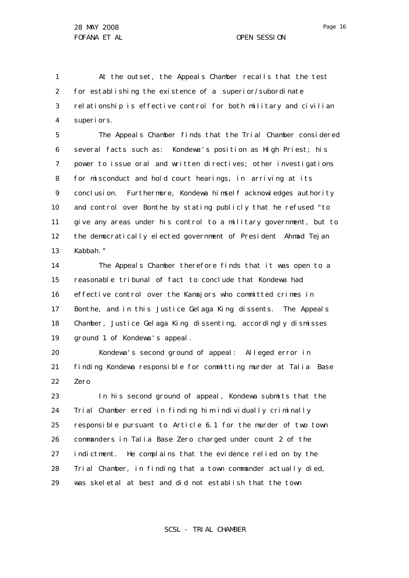1 2 3 4 At the outset, the Appeals Chamber recalls that the test for establishing the existence of a superior/subordinate relationship is effective control for both military and civilian superiors.

5 6 7 8 9 10 11 12 13 The Appeals Chamber finds that the Trial Chamber considered several facts such as: Kondewa's position as High Priest; his power to issue oral and written directives; other investigations for misconduct and hold court hearings, in arriving at its conclusion. Furthermore, Kondewa himself acknowledges authority and control over Bonthe by stating publicly that he refused "to give any areas under his control to a military government, but to the democratically elected government of President Ahmad Tejan Kabbah."

14 15 16 17 18 19 The Appeals Chamber therefore finds that it was open to a reasonable tribunal of fact to conclude that Kondewa had effective control over the Kamajors who committed crimes in Bonthe, and in this Justice Gelaga King dissents. The Appeals Chamber, Justice Gelaga King dissenting, accordingly dismisses ground 1 of Kondewa 's appeal.

20 21 22 Kondewa's second ground of appeal: Alleged error in finding Kondewa responsible for committing murder at Talia Base Zero

23 24 25 26 27 28 29 In his second ground of appeal, Kondewa submits that the Trial Chamber erred in finding him individually criminally responsible pursuant to Article 6.1 for the murder of two town commanders in Talia Base Zero charged under count 2 of the indictment. He complains that the evidence relied on by the Trial Chamber, in finding that a town commander actually died, was skeletal at best and did not establish that the town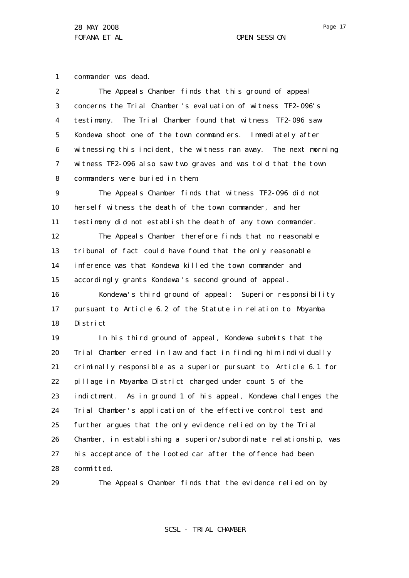1 commander was dead.

| $\overline{2}$ | The Appeals Chamber finds that this ground of appeal              |
|----------------|-------------------------------------------------------------------|
| 3              | concerns the Trial Chamber's evaluation of witness TF2-096's      |
| 4              | testimony. The Trial Chamber found that witness TF2-096 saw       |
| 5              | Kondewa shoot one of the town command ers. Immediately after      |
| 6              | witnessing this incident, the witness ran away. The next morning  |
| 7              | witness TF2-096 also saw two graves and was told that the town    |
| 8              | commanders were buried in them.                                   |
| 9              | The Appeals Chamber finds that witness TF2-096 did not            |
| 10             | hersel f witness the death of the town commander, and her         |
| 11             | testimony did not establish the death of any town commander.      |
| 12             | The Appeals Chamber therefore finds that no reasonable            |
| 13             | tribunal of fact could have found that the only reasonable        |
| 14             | inference was that Kondewa killed the town commander and          |
| 15             | accordingly grants Kondewa's second ground of appeal.             |
| 16             | Kondewa's third ground of appeal: Superior responsibility         |
| 17             | pursuant to Article 6.2 of the Statute in relation to Moyamba     |
| 18             | Di stri ct                                                        |
| 19             | In his third ground of appeal, Kondewa submits that the           |
| 20             | Trial Chamber erred in law and fact in finding him individually   |
| 21             | criminally responsible as a superior pursuant to Article 6.1 for  |
| 22             | pillage in Moyamba District charged under count 5 of the          |
| 23             | indictment. As in ground 1 of his appeal, Kondewa challenges the  |
| 24             | Trial Chamber's application of the effective control test and     |
| 25             | further argues that the only evidence relied on by the Trial      |
| 26             | Chamber, in establishing a superior/subordinate relationship, was |
| 27             | his acceptance of the looted car after the offence had been       |
| 28             | committed.                                                        |
| 29             | The Appeals Chamber finds that the evidence relied on by          |

The Appeals Chamber finds that the evidence relied on by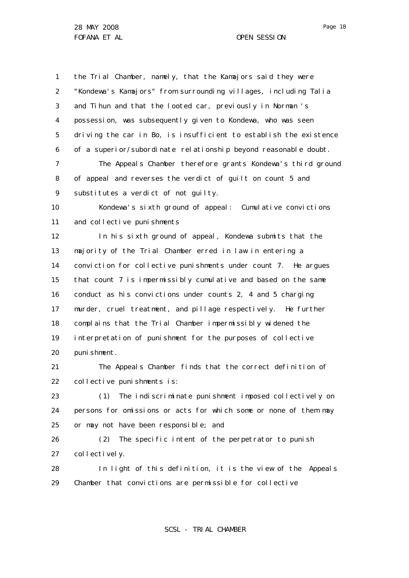1 2 3 4 5 6 the Trial Chamber, namely, that the Kamajors said they were "Kondewa's Kamajors" from surrounding villages, including Talia and Tihun and that the looted car, previously in Norman 's possession, was subsequently given to Kondewa, who was seen driving the car in Bo, is insufficient to establish the existence of a superior/subordinate relationship beyond reasonable doubt.

7 8 9 The Appeals Chamber therefore grants Kondewa's third ground of appeal and reverses the verdict of guilt on count 5 and substitutes a verdict of not quilty.

10 11 Kondewa's sixth ground of appeal: Cumulative convictions and collective punishments

12 13 14 15 16 17 18 19 20 In his sixth ground of appeal, Kondewa submits that the majority of the Trial Chamber erred in law in entering a conviction for collective punishments under count 7. He argues that count 7 is impermissibly cumulative and based on the same conduct as his convictions under counts 2, 4 and 5 charging murder, cruel treatment, and pillage respectively. He further complains that the Trial Chamber impermissibly widened the interpretation of punishment for the purposes of collective punishment.

21 22 The Appeals Chamber finds that the correct definition of collective punishments is:

23 24 25 (1) The indiscriminate punishment imposed collectively on persons for omissions or acts for which some or none of them may or may not have been responsible; and

26 27 (2) The specific intent of the perpetrator to punish collectively.

28 29 In light of this definition, it is the view of the Appeals Chamber that convictions are permissible for collective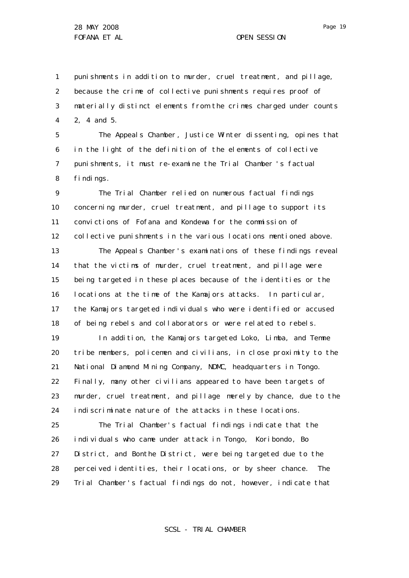1 2 3 4 punishments in addition to murder, cruel treatment, and pillage, because the crime of collective punishments requires proof of materially distinct elements from the crimes charged under counts 2, 4 and 5.

5 6 7 8 The Appeals Chamber, Justice Winter dissenting, opines that in the light of the definition of the elements of collective punishments, it must re-examine the Trial Chamber 's factual findings.

 $\mathsf{Q}$ 10 11 12 13 14 15 16 The Trial Chamber relied on numerous factual findings concerning murder, cruel treatment, and pillage to support its convictions of Fofana and Kondewa for the commission of collective punishments in the various locations mentioned above. The Appeals Chamber's examinations of these findings reveal that the victims of murder, cruel treatment, and pillage were being targeted in these places because of the identities or the locations at the time of the Kamajors attacks. In particular,

17 18 the Kamajors targeted individuals who were identified or accused of being rebels and collaborators or were related to rebels.

19 20 21 22 23 24 In addition, the Kamajors targeted Loko, Limba, and Temne tribe members, policemen and civilians, in close proximity to the National Diamond Mining Company, NDMC, headquarters in Tongo. Finally, many other civilians appeared to have been targets of murder, cruel treatment, and pillage merely by chance, due to the indiscriminate nature of the attacks in these locations.

25 26 27 28 29 The Trial Chamber's factual findings indicate that the individuals who came under attack in Tongo, Koribondo, Bo District, and Bonthe District, were being targeted due to the perceived identities, their locations, or by sheer chance. The Trial Chamber's factual findings do not, however, indicate that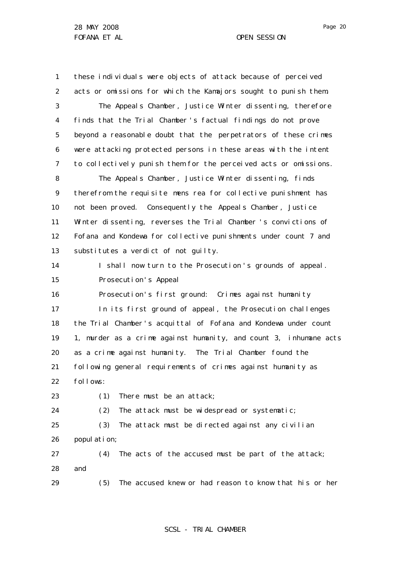1 2 3 4 5 6 7 8 9 10 11 12 13 14 15 16 17 18 19 20 21 22 23 24 25 26 27 28 these individuals were objects of attack because of perceived acts or omissions for which the Kamajors sought to punish them. The Appeals Chamber, Justice Winter dissenting, therefore finds that the Trial Chamber 's factual findings do not prove beyond a reasonable doubt that the perpetrators of these crimes were attacking protected persons in these areas with the intent to collectively punish them for the perceived acts or omissions. The Appeals Chamber, Justice Winter dissenting, finds therefrom the requisite *mens rea* for collective punishment has not been proved. Consequently the Appeals Chamber, Justice Winter dissenting, reverses the Trial Chamber 's convictions of Fofana and Kondewa for collective punishments under count 7 and substitutes a verdict of not guilty. I shall now turn to the Prosecution 's grounds of appeal. Prosecution's Appeal Prosecution's first ground: Crimes against humanity In its first ground of appeal, the Prosecution challenges the Trial Chamber 's acquittal of Fofana and Kondewa under count 1, murder as a crime against humanity, and count 3, inhumane acts as a crime against humanity. The Trial Chamber found the following general requirements of crimes against humanity as follows: (1) There must be an attack; (2) The attack must be widespread or systematic; (3) The attack must be directed against any civilian population; (4) The acts of the accused must be part of the attack; and

29

SCSL - TRIAL CHAMBER

(5) The accused knew or had reason to know that his or her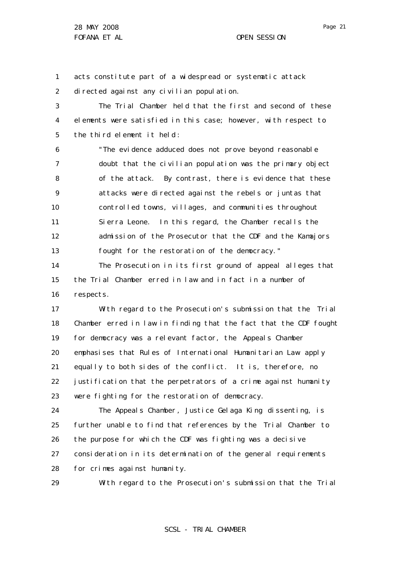1 2 acts constitute part of a widespread or systematic attack directed against any civilian population.

3 4 5 The Trial Chamber held that the first and second of these elements were satisfied in this case; however, with respect to the third element it held :

6 7 8 9 10 11 12 13 "The evidence adduced does not prove beyond reasonable doubt that the civilian population was the primary object of the attack. By contrast, there is evidence that these attacks were directed against the rebels or juntas that controlled towns, villages, and communities throughout Sierra Leone. In this regard, the Chamber recalls the admission of the Prosecutor that the CDF and the Kamajors fought for the restoration of the democracy."

14 15 16 The Prosecution in its first ground of appeal alleges that the Trial Chamber erred in law and in fact in a number of respects.

17 18 19 20 21 22 23 With regard to the Prosecution's submission that the Trial Chamber erred in law in finding that the fact that the CDF fought for democracy was a relevant factor, the Appeals Chamber emphasises that Rules of International Humanitarian Law apply equally to both sides of the conflict. It is, therefore, no justification that the perpetrators of a crime against humanity were fighting for the restoration of democracy.

24 25 26 27 28 The Appeals Chamber, Justice Gelaga King dissenting, is further unable to find that references by the Trial Chamber to the purpose for which the CDF was fighting was a decisive consideration in its determination of the general requirements for crimes against humanity.

29

With regard to the Prosecution's submission that the Trial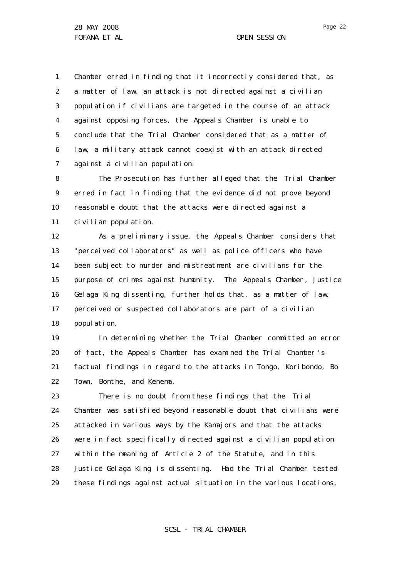1 2 3 4 5 6 7 Chamber erred in finding that it incorrectly considered that, as a matter of law, an attack is not directed against a civilian population if civilians are targeted in the course of an attack against opposing forces, the Appeals Chamber is unable to conclude that the Trial Chamber considered that as a matter of law, a military attack cannot coexist with an attack directed against a civilian population.

8 9 10 11 The Prosecution has further alleged that the Trial Chamber erred in fact in finding that the evidence did not prove beyond reasonable doubt that the attacks were directed against a civilian population.

12 13 14 15 16 17 18 As a preliminary issue, the Appeals Chamber considers that "perceived collaborators" as well as police officers who have been subject to murder and mistreatment are civilians for the purpose of crimes against humanity. The Appeals Chamber, Justice Gelaga King dissenting, further holds that, as a matter of law, perceived or suspected collaborators are part of a civilian population.

19 20 21 22 In determining whether the Trial Chamber committed an error of fact, the Appeals Chamber has examined the Trial Chamber 's factual findings in regard to the attacks in Tongo, Koribondo, Bo Town, Bonthe, and Kenema.

23 24 25 26 27 28 29 There is no doubt from these findings that the Trial Chamber was satisfied beyond reasonable doubt that civilians were attacked in various ways by the Kamajors and that the attacks were in fact specifically directed against a civilian population within the meaning of Article 2 of the Statute, and in this Justice Gelaga King is dissenting. Had the Trial Chamber tested these findings against actual situation in the various locations,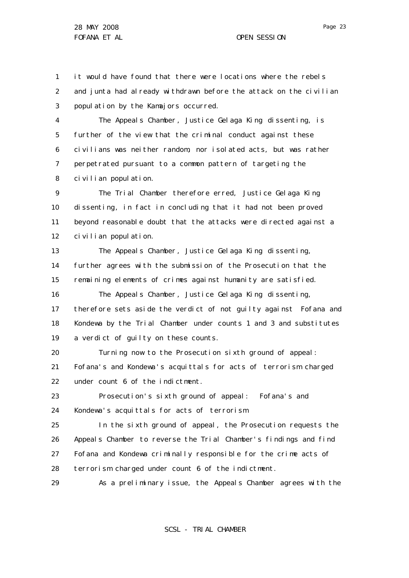1 2 3 it would have found that there were locations where the rebels and junta had already withdrawn before the attack on the civilian population by the Kamajors occurred.

4 5 6 7 8 The Appeals Chamber, Justice Gelaga King dissenting, is further of the view that the criminal conduct against these civilians was neither random, nor isolated acts, but was rather perpetrated pursuant to a common pattern of targeting the civilian population.

 $\mathsf{Q}$ 10 11 12 The Trial Chamber therefore erred, Justice Gelaga King dissenting, in fact in concluding that it had not been proved beyond reasonable doubt that the attacks were directed against a civilian population.

13 14 15 16 The Appeals Chamber, Justice Gelaga King dissenting, further agrees with the submission of the Prosecution that the remaining elements of crimes against humanity are satisfied. The Appeals Chamber, Justice Gelaga King dissenting,

17 18 19 therefore sets aside the verdict of not guilty against Fofana and Kondewa by the Trial Chamber under counts 1 and 3 and substitutes a verdict of guilty on these counts.

20 21 22 Turning now to the Prosecution sixth ground of appeal: Fofana's and Kondewa's acquittals for acts of terrorism charged under count 6 of the indictment.

23 24 Prosecution's sixth ground of appeal: Fofana's and Kondewa's acquittals for acts of terrorism

25 26 27 28 In the sixth ground of appeal, the Prosecution requests the Appeals Chamber to reverse the Trial Chamber's findings and find Fofana and Kondewa criminally responsible for the crime acts of terrorism charged under count 6 of the indictment.

29 As a preliminary issue, the Appeals Chamber agrees with the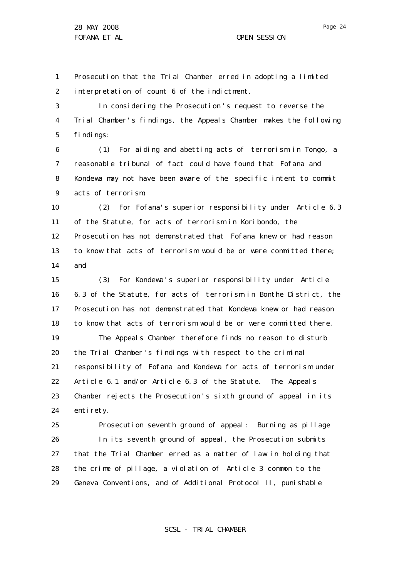1 2 Prosecution that the Trial Chamber erred in adopting a limited interpretation of count 6 of the indictment.

3 4 5 In considering the Prosecution 's request to reverse the Trial Chamber's findings, the Appeals Chamber makes the following findings:

6 7 8 9 (1) For aiding and abetting acts of terrorism in Tongo, a reasonable tribunal of fact could have found that Fofana and Kondewa may not have been aware of the specific intent to commit acts of terrorism;

10 11 12 13 14 (2) For Fofana's superior responsibility under Article 6.3 of the Statute, for acts of terrorism in Koribondo, the Prosecution has not demonstrated that Fofana knew or had reason to know that acts of terrorism would be or were committed there; and

15 16 17 18 19 20 21 22 23 24 (3) For Kondewa 's superior responsibility under Article 6.3 of the Statute, for acts of terrorism in Bonthe District, the Prosecution has not demonstrated that Kondewa knew or had reason to know that acts of terrorism would be or were committed there. The Appeals Chamber therefore finds no reason to disturb the Trial Chamber 's findings with respect to the criminal responsibility of Fofana and Kondewa for acts of terrorism under Article 6.1 and/or Article 6.3 of the Statute. The Appeals Chamber rejects the Prosecution 's sixth ground of appeal in its enti rety.

25 26 27 28 29 Prosecution seventh ground of appeal: Burning as pillage In its seventh ground of appeal, the Prosecution submits that the Trial Chamber erred as a matter of law in holding that the crime of pillage, a violation of Article 3 common to the Geneva Conventions, and of Additional Protocol II, punishable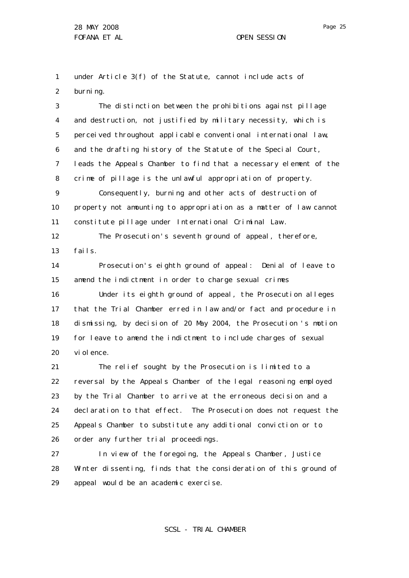Page 25

1 2 under Article 3(f) of the Statute, cannot include acts of burning.

3 4 5 6 7 8 9 10 11 12 13 The distinction between the prohibitions against pillage and destruction, not justified by military necessity, which is perceived throughout applicable conventional international law, and the drafting history of the Statute of the Special Court, leads the Appeals Chamber to find that a necessary element of the crime of pillage is the unlawful appropriation of property. Consequently, burning and other acts of destruction of property not amounting to appropriation as a matter of law cannot constitute pillage under International Criminal Law . The Prosecution's seventh ground of appeal, therefore, fails.

14 15 16 17 18 19 20 Prosecution's eighth ground of appeal: Denial of leave to amend the indictment in order to charge sexual crimes Under its eighth ground of appeal, the Prosecution alleges that the Trial Chamber erred in law and/or fact and procedure in dismissing, by decision of 20 May 2004, the Prosecution 's motion for leave to amend the indictment to include charges of sexual vi ol ence.

21 22 23 24 25 26 The relief sought by the Prosecution is limited to a reversal by the Appeals Chamber of the legal reasoning employed by the Trial Chamber to arrive at the erroneous decision and a declaration to that effect. The Prosecution does not request the Appeals Chamber to substitute any additional conviction or to order any further trial proceedings.

27 28 29 In view of the foregoing, the Appeals Chamber, Justice Winter dissenting, finds that the consideration of this ground of appeal would be an academic exercise.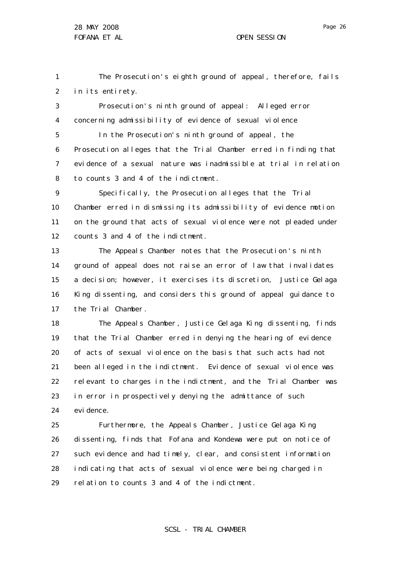1 2 The Prosecution's eighth ground of appeal, therefore, fails in its entirety.

3 4 Prosecution's ninth ground of appeal: Alleged error concerning admissibility of evidence of sexual violence

5 6 7 8 In the Prosecution's ninth ground of appeal, the Prosecution alleges that the Trial Chamber erred in finding that evidence of a sexual nature was inadmissible at trial in relation to counts 3 and 4 of the indictment.

9 10 11 12 Specifically, the Prosecution alleges that the Trial Chamber erred in dismissing its admissibility of evidence motion on the ground that acts of sexual violence were not pleaded under counts 3 and 4 of the indictment.

13 14 15 16 17 The Appeals Chamber notes that the Prosecution 's ninth ground of appeal does not raise an error of law that invalidates a decision; however, it exercises its discretion, Justice Gelaga King dissenting, and considers this ground of appeal guidance to the Trial Chamber.

18 19 20 21 22 23 24 The Appeals Chamber, Justice Gelaga King dissenting, finds that the Trial Chamber erred in denying the hearing of evidence of acts of sexual violence on the basis that such acts had not been alleged in the indictment. Evidence of sexual violence was relevant to charges in the indictment, and the Trial Chamber was in error in prospectively denying the admittance of such evi dence.

25 26 27 28 29 Furthermore, the Appeals Chamber, Justice Gelaga King dissenting, finds that Fofana and Kondewa were put on notice of such evidence and had timely, clear, and consistent information indicating that acts of sexual violence were being charged in relation to counts 3 and 4 of the indictment.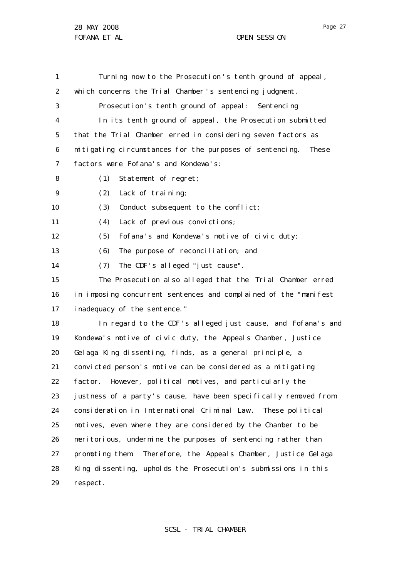1 2 3 4 5 6 7 8  $\mathsf{Q}$ 10 11 12 13 14 15 16 17 18 19 20 21 22 23 24 25 26 27 28 29 Turning now to the Prosecution 's tenth ground of appeal, which concerns the Trial Chamber's sentencing judgment. Prosecution's tenth ground of appeal: Sentencing In its tenth ground of appeal, the Prosecution submitted that the Trial Chamber erred in considering seven factors as mitigating circumstances for the purposes of sentencing. These factors were Fofana's and Kondewa's: (1) Statement of regret; (2) Lack of training; (3) Conduct subsequent to the conflict; (4) Lack of previous convictions; (5) Fofana's and Kondewa's motive of civic duty; (6) The purpose of reconciliation; and (7) The CDF's alleged "just cause". The Prosecution also alleged that the Trial Chamber erred in imposing concurrent sentences and complained of the "manifest inadequacy of the sentence." In regard to the CDF 's alleged just cause, and Fofana's and Kondewa's motive of civic duty, the Appeals Chamber, Justice Gelaga King dissenting, finds, as a general principle, a convicted person 's motive can be considered as a mitigating factor. However, political motives, and particularly the justness of a party's cause, have been specifically removed from consideration in International Criminal Law . These political motives, even where they are considered by the Chamber to be meritorious, undermine the purposes of sentencing rather than promoting them. Therefore, the Appeals Chamber, Justice Gelaga King dissenting, upholds the Prosecution's submissions in this respect.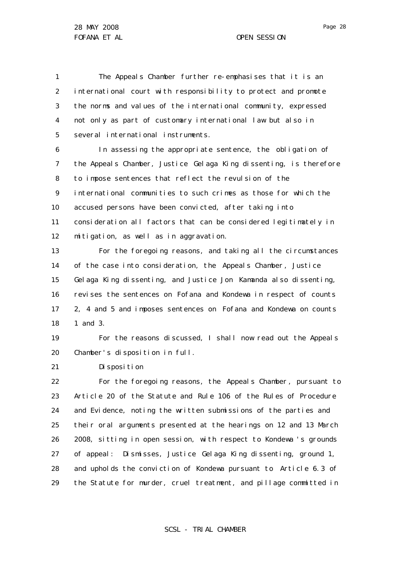1 2 3 4 5 The Appeals Chamber further re-emphasises that it is an international court with responsibility to protect and promote the norms and values of the international community, expressed not only as part of customary international law but also in several international instruments.

6 7 8 9 10 11 12 In assessing the appropriate sentence, the obligation of the Appeals Chamber, Justice Gelaga King dissenting, is therefore to impose sentences that reflect the revulsion of the international communities to such crimes as those for which the accused persons have been convicted, after taking into consideration all factors that can be considered legitimately in mitigation, as well as in aggravation.

13 14 15 16 17 18 For the foregoing reasons, and taking all the circumstances of the case into consideration, the Appeals Chamber, Justice Gelaga King dissenting, and Justice Jon Kamanda also dissenting, revises the sentences on Fofana and Kondewa in respect of counts 2, 4 and 5 and imposes sentences on Fofana and Kondewa on counts 1 and 3.

19 20 For the reasons discussed, I shall now read out the Appeals Chamber's disposition in full.

21 Disposition

22 23 24 25 26 27 28 29 For the foregoing reasons, the Appeals Chamber, pursuant to Article 20 of the Statute and Rule 106 of the Rules of Procedure and Evidence, noting the written submissions of the parties and their oral arguments presented at the hearings on 12 and 13 March 2008, sitting in open session, with respect to Kondewa 's grounds of appeal: Dismisses, Justice Gelaga King dissenting, ground 1, and upholds the conviction of Kondewa pursuant to Article 6.3 of the Statute for murder, cruel treatment, and pillage committed in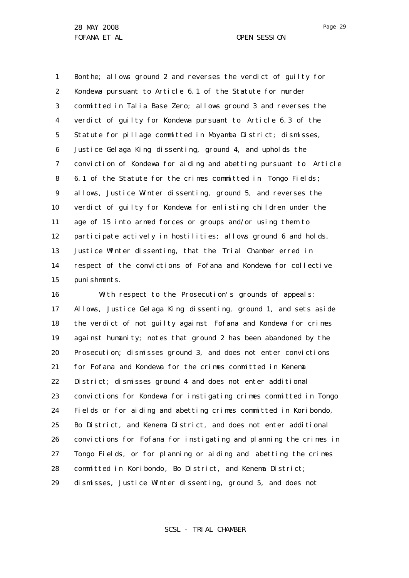1 2 3 4 5 6 7 8 9 10 11 12 13 14 15 Bonthe; allows ground 2 and reverses the verdict of guilty for Kondewa pursuant to Article 6.1 of the Statute for murder committed in Talia Base Zero; allows ground 3 and reverses the verdict of guilty for Kondewa pursuant to Article 6.3 of the Statute for pillage committed in Moyamba District; dismisses, Justice Gelaga King dissenting, ground 4, and upholds the conviction of Kondewa for aiding and abetting pursuant to Article 6.1 of the Statute for the crimes committed in Tongo Fields; allows, Justice Winter dissenting, ground 5, and reverses the verdict of guilty for Kondewa for enlisting children under the age of 15 into armed forces or groups and/or using them to participate actively in hostilities; allows ground 6 and holds, Justice Winter dissenting, that the Trial Chamber erred in respect of the convictions of Fofana and Kondewa for collective punishments.

16 17 18 19 20 21 22 23 24 25 26 27 28 29 With respect to the Prosecution's grounds of appeals: Allows, Justice Gelaga King dissenting, ground 1, and sets aside the verdict of not guilty against Fofana and Kondewa for crimes against humanity; notes that ground 2 has been abandoned by the Prosecution; dismisses ground 3, and does not enter convictions for Fofana and Kondewa for the crimes committed in Kenema District; dismisses ground 4 and does not enter additional convictions for Kondewa for instigating crimes committed in Tongo Fields or for aiding and abetting crimes committed in Koribondo, Bo District, and Kenema District, and does not enter additional convictions for Fofana for instigating and planning the crimes in Tongo Fields, or for planning or aiding and abetting the crimes committed in Koribondo, Bo District, and Kenema District; dismisses, Justice Winter dissenting, ground 5, and does not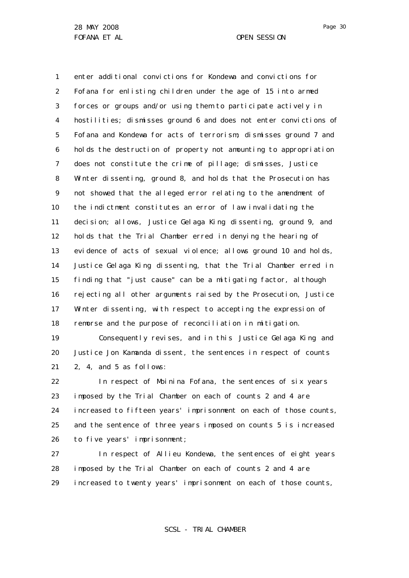1 2 3 4 5 6 7 8 9 10 11 12 13 14 15 16 17 18 enter additional convictions for Kondewa and convictions for Fofana for enlisting children under the age of 15 into armed forces or groups and/or using them to participate actively in hostilities; dismisses ground 6 and does not enter convictions of Fofana and Kondewa for acts of terrorism; dismisses ground 7 and holds the destruction of property not amounting to appropriation does not constitute the crime of pillage; dismisses, Justice Winter dissenting, ground 8, and holds that the Prosecution has not showed that the alleged error relating to the amendment of the indictment constitutes an error of law invalidating the decision; allows, Justice Gelaga King dissenting, ground 9, and holds that the Trial Chamber erred in denying the hearing of evidence of acts of sexual violence; allows ground 10 and holds, Justice Gelaga King dissenting, that the Trial Chamber erred in finding that "just cause" can be a mitigating factor, although rejecting all other arguments raised by the Prosecution, Justice Winter dissenting, with respect to accepting the expression of remorse and the purpose of reconciliation in mitigation.

19 20 21 Consequently revises, and in this Justice Gelaga King and Justice Jon Kamanda dissent, the sentences in respect of counts 2, 4, and 5 as follows:

22 23 24 25 26 In respect of Moinina Fofana, the sentences of six years imposed by the Trial Chamber on each of counts 2 and 4 are increased to fifteen years' imprisonment on each of those counts, and the sentence of three years imposed on counts 5 is increased to five years' imprisonment;

27 28 29 In respect of Allieu Kondewa, the sentences of eight years imposed by the Trial Chamber on each of counts 2 and 4 are increased to twenty years' imprisonment on each of those counts,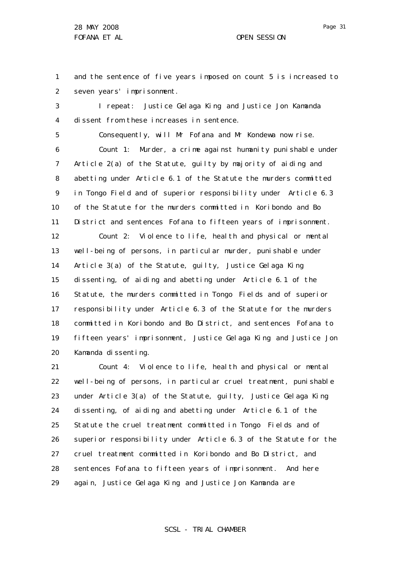1 2 and the sentence of five years imposed on count 5 is increased to seven years' imprisonment.

3 4 I repeat: Justice Gelaga King and Justice Jon Kamanda dissent from these increases in sentence.

5 6 7 8 9 10 11 12 13 14 15 16 17 18 19 20 Consequently, will Mr Fofana and Mr Kondewa now rise. Count 1: Murder, a crime against humanity punishable under Article 2(a) of the Statute, guilty by majority of aiding and abetting under Article 6.1 of the Statute the murders committed in Tongo Field and of superior responsibility under Article 6.3 of the Statute for the murders committed in Koribondo and Bo District and sentences Fofana to fifteen years of imprisonment. Count 2: Violence to life, health and physical or mental well-being of persons, in particular murder, punishable under Article 3(a) of the Statute, guilty, Justice Gelaga King dissenting, of aiding and abetting under Article 6.1 of the Statute, the murders committed in Tongo Fields and of superior responsibility under Article 6.3 of the Statute for the murders committed in Koribondo and Bo District, and sentences Fofana to fifteen years' imprisonment, Justice Gelaga King and Justice Jon Kamanda dissenting.

21 22 23 24 25 26 27 28 29 Count 4: Violence to life, health and physical or mental well-being of persons, in particular cruel treatment, punishable under Article 3(a) of the Statute, guilty, Justice Gelaga King dissenting, of aiding and abetting under Article 6.1 of the Statute the cruel treatment committed in Tongo Fields and of superior responsibility under Article 6.3 of the Statute for the cruel treatment committed in Koribondo and Bo District, and sentences Fofana to fifteen years of imprisonment. And here again, Justice Gelaga King and Justice Jon Kamanda are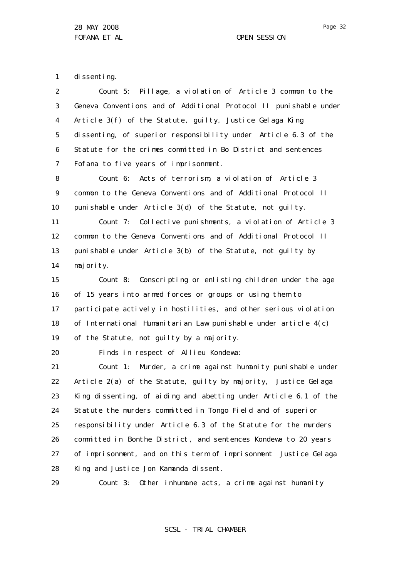1 di ssenting.

2 3 4 5 6 7 Count 5: Pillage, a violation of Article 3 common to the Geneva Conventions and of Additional Protocol II punishable under Article 3(f) of the Statute, guilty, Justice Gelaga King dissenting, of superior responsibility under Article 6.3 of the Statute for the crimes committed in Bo District and sentences Fofana to five years of imprisonment.

8 9 10 Count 6: Acts of terrorism, a violation of Article 3 common to the Geneva Conventions and of Additional Protocol II punishable under Article 3(d) of the Statute, not guilty.

11 12 13 14 Count 7: Collective punishments, a violation of Article 3 common to the Geneva Conventions and of Additional Protocol II punishable under Article 3(b) of the Statute, not guilty by majority.

15 16 17 18 19 Count 8: Conscripting or enlisting children under the age of 15 years into armed forces or groups or using them to participate actively in hostilities, and other serious violation of International Humanitarian Law punishable under article 4(c) of the Statute, not guilty by a majority.

20 Finds in respect of Allieu Kondewa:

21 22 23 24 25 26 27 28 Count 1: Murder, a crime against humanity punishable under Article 2(a) of the Statute, guilty by majority, Justice Gelaga King dissenting, of aiding and abetting under Article 6.1 of the Statute the murders committed in Tongo Field and of superior responsibility under Article 6.3 of the Statute for the murders committed in Bonthe District, and sentences Kondewa to 20 years of imprisonment, and on this term of imprisonment Justice Gelaga King and Justice Jon Kamanda dissent.

29

Count 3: Other inhumane acts, a crime against humanity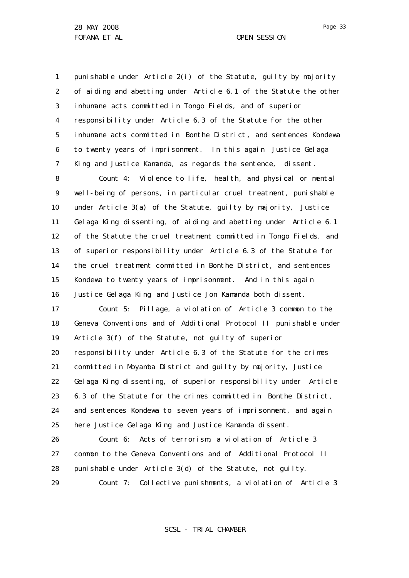1 2 3 4 5 6 7 punishable under Article 2(i) of the Statute, guilty by majority of aiding and abetting under Article 6.1 of the Statute the other inhumane acts committed in Tongo Fields, and of superior responsibility under Article 6.3 of the Statute for the other inhumane acts committed in Bonthe District, and sentences Kondewa to twenty years of imprisonment. In this again Justice Gelaga King and Justice Kamanda, as regards the sentence, dissent.

8 9 10 11 12 13 14 15 16 Count 4: Violence to life, health, and physical or mental well-being of persons, in particular cruel treatment, punishable under Article 3(a) of the Statute, guilty by majority, Justice Gelaga King dissenting, of aiding and abetting under Article 6.1 of the Statute the cruel treatment committed in Tongo Fields, and of superior responsibility under Article 6.3 of the Statute for the cruel treatment committed in Bonthe District, and sentences Kondewa to twenty years of imprisonment. And in this again Justice Gelaga King and Justice Jon Kamanda both dissent.

17 18 19 20 21 22 23 24 25 Count 5: Pillage, a violation of Article 3 common to the Geneva Conventions and of Additional Protocol II punishable under Article 3(f) of the Statute, not guilty of superior responsibility under Article 6.3 of the Statute for the crimes committed in Moyamba District and guilty by majority, Justice Gelaga King dissenting, of superior responsibility under Article 6.3 of the Statute for the crimes committed in Bonthe District, and sentences Kondewa to seven years of imprisonment, and again here Justice Gelaga King and Justice Kamanda dissent.

26 27 28 29 Count 6: Acts of terrorism, a violation of Article 3 common to the Geneva Conventions and of Additional Protocol II punishable under Article 3(d) of the Statute, not guilty.

Count 7: Collective punishments, a violation of Article 3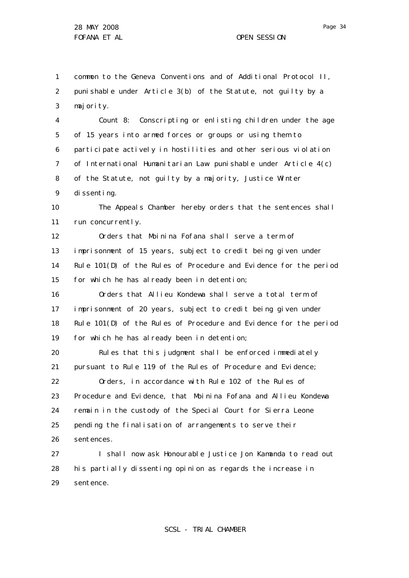1 2 3 common to the Geneva Conventions and of Additional Protocol II, punishable under Article 3(b) of the Statute, not guilty by a majority.

4 5 6 7 8 9 Count 8: Conscripting or enlisting children under the age of 15 years into armed forces or groups or using them to participate actively in hostilities and other serious violation of International Humanitarian Law punishable under Article 4(c) of the Statute, not guilty by a majority, Justice Winter dissenting.

10 11 The Appeals Chamber hereby orders that the sentences shall run concurrently.

12 13 14 15 Orders that Moinina Fofana shall serve a term of imprisonment of 15 years, subject to credit being given under Rule 101(D) of the Rules of Procedure and Evidence for the period for which he has already been in detention;

16 17 18 19 Orders that Allieu Kondewa shall serve a total term of imprisonment of 20 years, subject to credit being given under Rule 101(D) of the Rules of Procedure and Evidence for the period for which he has already been in detention;

20 21 22 23 24 25 26 Rules that this judgment shall be enforced immediately pursuant to Rule 119 of the Rules of Procedure and Evidence; Orders, in accordance with Rule 102 of the Rules of Procedure and Evidence, that Moinina Fofana and Allieu Kondewa remain in the custody of the Special Court for Sierra Leone pending the finalisation of arrangements to serve their sentences.

27 28 29 I shall now ask Honourable Justice Jon Kamanda to read out his partially dissenting opinion as regards the increase in sentence.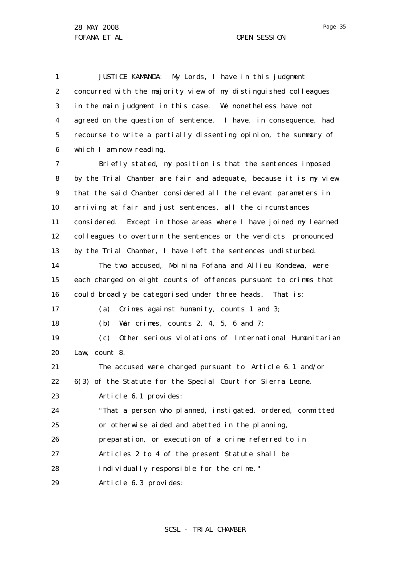1 2 3 4 5 6 7 8 9 10 11 12 13 14 15 16 17 18 19 20 21 22 23 24 25 26 27 28 29 JUSTICE KAMANDA: My Lords, I have in this judgment concurred with the majority view of my distinguished colleagues in the main judgment in this case. We nonetheless have not agreed on the question of sentence. I have, in consequence, had recourse to write a partially dissenting opinion, the summary of which I am now reading. Briefly stated, my position is that the sentences imposed by the Trial Chamber are fair and adequate, because it is my view that the said Chamber considered all the relevant parameters in arriving at fair and just sentences, all the circumstances considered. Except in those areas where I have joined my learned colleagues to overturn the sentences or the verdicts pronounced by the Trial Chamber, I have left the sentences undisturbed. The two accused, Moinina Fofana and Allieu Kondewa, were each charged on eight counts of offences pursuant to crimes that could broadly be categorised under three heads. That is: (a) Crimes against humanity, counts 1 and 3; (b) War crimes, counts 2, 4, 5, 6 and  $7$ ; (c) Other serious violations of International Humanitarian Law, count 8. The accused were charged pursuant to Article 6.1 and/or 6(3) of the Statute for the Special Court for Sierra Leone. Article 6.1 provides: "That a person who planned, instigated, ordered, committed or otherwise aided and abetted in the planning, preparation, or execution of a crime referred to in Articles 2 to 4 of the present Statute shall be individually responsible for the crime." Article 6.3 provides: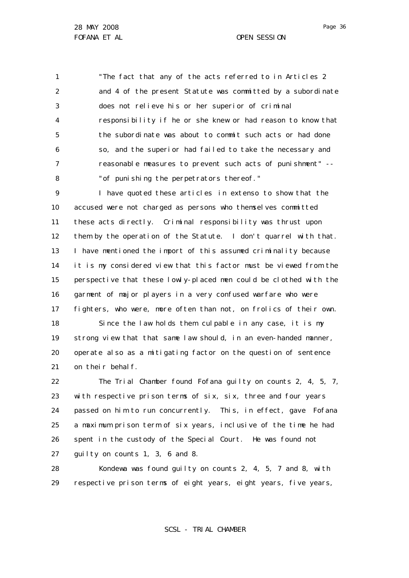1 2 3 4 5 6 7 8 "The fact that any of the acts referred to in Articles 2 and 4 of the present Statute was committed by a subordinate does not relieve his or her superior of criminal responsibility if he or she knew or had reason to know that the subordinate was about to commit such acts or had done so, and the superior had failed to take the necessary and reasonable measures to prevent such acts of punishment" -- "of punishing the perpetrators thereof."

9 10 11 12 13 14 15 16 17 18 19 20 21 I have quoted these articles *in extenso* to show that the accused were not charged as persons who themselves committed these acts directly. Criminal responsibility was thrust upon them by the operation of the Statute. I don't quarrel with that. I have mentioned the import of this assumed criminality because it is my considered view that this factor must be viewed from the perspective that these lowly-placed men could be clothed with the garment of major players in a very confused warfare who were fighters, who were, more often than not, on frolics of their own. Since the law holds them culpable in any case, it is my strong view that that same law should, in an even-handed manner, operate also as a mitigating factor on the question of sentence on their behalf.

22 23 24 25 26 27 The Trial Chamber found Fofana guilty on counts 2, 4, 5, 7, with respective prison terms of six, six, three and four years passed on him to run concurrently. This, in effect, gave Fofana a maximum prison term of six years, inclusive of the time he had spent in the custody of the Special Court. He was found not guilty on counts 1, 3, 6 and 8.

28 29 Kondewa was found guilty on counts 2, 4, 5, 7 and 8, with respective prison terms of eight years, eight years, five years,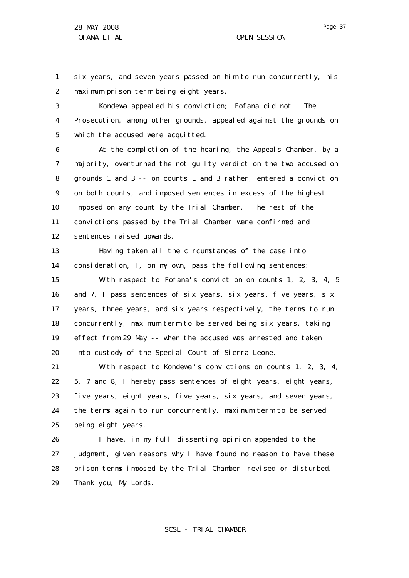1 2 six years, and seven years passed on him to run concurrently, his maximum prison term being eight years.

3 4 5 Kondewa appealed his conviction; Fofana did not. The Prosecution, among other grounds, appealed against the grounds on which the accused were acquitted.

6 7 8 9 10 11 12 At the completion of the hearing, the Appeals Chamber, by a majority, overturned the not guilty verdict on the two accused on grounds 1 and 3 -- on counts 1 and 3 rather, entered a conviction on both counts, and imposed sentences in excess of the highest imposed on any count by the Trial Chamber. The rest of the convictions passed by the Trial Chamber were confirmed and sentences raised upwards.

13 14 Having taken all the circumstances of the case into consideration, I, on my own, pass the following sentences:

15 16 17 18 19 20 With respect to Fofana's conviction on counts 1, 2, 3, 4, 5 and 7, I pass sentences of six years, six years, five years, six years, three years, and six years respectively, the terms to run concurrently, maximum term to be served being six years, taking effect from 29 May -- when the accused was arrested and taken into custody of the Special Court of Sierra Leone.

21 22 23 24 25 With respect to Kondewa's convictions on counts 1, 2, 3, 4, 5, 7 and 8, I hereby pass sentences of eight years, eight years, five years, eight years, five years, six years, and seven years, the terms again to run concurrently, maximum term to be served being eight years.

26 27 28 29 I have, in my full dissenting opinion appended to the judgment, given reasons why I have found no reason to have these prison terms imposed by the Trial Chamber revised or disturbed. Thank you, My Lords.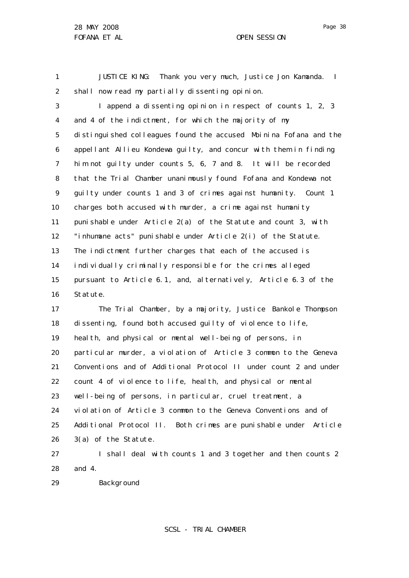1 2 JUSTICE KING: Thank you very much, Justice Jon Kamanda. I shall now read my partially dissenting opinion.

3 4 5 6 7 8 9 10 11 12 13 14 15 16 I append a dissenting opinion in respect of counts 1, 2, 3 and 4 of the indictment, for which the majority of my distinguished colleagues found the accused Moinina Fofana and the appellant Allieu Kondewa guilty, and concur with them in finding him not guilty under counts 5, 6, 7 and 8. It will be recorded that the Trial Chamber unanimously found Fofana and Kondewa not guilty under counts 1 and 3 of crimes against humanity. Count 1 charges both accused with murder, a crime against humanity punishable under Article 2(a) of the Statute and count 3, with "inhumane acts" punishable under Article 2(i) of the Statute. The indictment further charges that each of the accused is individually criminally responsible for the crimes alleged pursuant to Article 6.1, and, alternatively, Article 6.3 of the Statute.

17 18 19 20 21 22 23 24 25 26 The Trial Chamber, by a majority, Justice Bankole Thompson dissenting, found both accused guilty of violence to life, health, and physical or mental well-being of persons, in particular murder, a violation of Article 3 common to the Geneva Conventions and of Additional Protocol II under count 2 and under count 4 of violence to life, health, and physical or mental well-being of persons, in particular, cruel treatment, a violation of Article 3 common to the Geneva Conventions and of Additional Protocol II. Both crimes are punishable under Article 3(a) of the Statute.

27 28 I shall deal with counts 1 and 3 together and then counts 2 and 4.

29 Background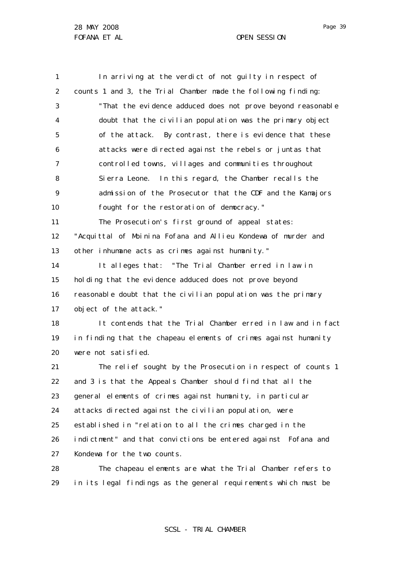1 2 3 4 5 6 7 8  $\mathsf{Q}$ 10 11 12 13 14 15 16 17 18 19 20 21 22 23 24 25 26 27 28 29 In arriving at the verdict of not guilty in respect of counts 1 and 3, the Trial Chamber made the following finding: "That the evidence adduced does not prove beyond reasonable doubt that the civilian population was the primary object of the attack. By contrast, there is evidence that these attacks were directed against the rebels or juntas that controlled towns, villages and communities throughout Sierra Leone. In this regard, the Chamber recalls the admission of the Prosecutor that the CDF and the Kamajors fought for the restoration of democracy." The Prosecution's first ground of appeal states: "Acquittal of Moinina Fofana and Allieu Kondewa of murder and other inhumane acts as crimes against humanity." It alleges that: "The Trial Chamber erred in law in holding that the evidence adduced does not prove beyond reasonable doubt that the civilian population was the primary object of the attack." It contends that the Trial Chamber erred in law and in fact in finding that the chapeau elements of crimes against humanity were not satisfied. The relief sought by the Prosecution in respect of counts 1 and 3 is that the Appeals Chamber should find that all the general elements of crimes against humanity, in particular attacks directed against the civilian population, were established in "relation to all the crimes charged in the indictment" and that convictions be entered against Fofana and Kondewa for the two counts. The chapeau elements are what the Trial Chamber refers to in its legal findings as the general requirements which must be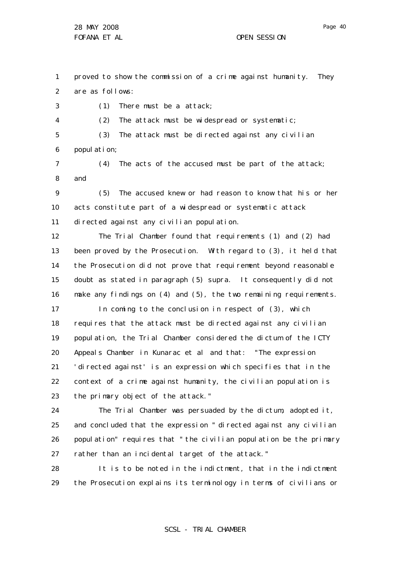4

Page 40

1 2 proved to show the commission of a crime against humanity. They are as follows:

3 (1) There must be a attack;

(2) The attack must be widespread or systematic;

5 6 (3) The attack must be directed against any civilian population;

7 8 (4) The acts of the accused must be part of the attack; and

 $\mathsf{Q}$ 10 11 (5) The accused knew or had reason to know that his or her acts constitute part of a widespread or systematic attack directed against any civilian population.

12 13 14 15 16 The Trial Chamber found that requirements (1) and (2) had been proved by the Prosecution. With regard to (3), it held that the Prosecution did not prove that requirement beyond reasonable doubt as stated in paragraph (5) supra. It consequently did not make any findings on  $(4)$  and  $(5)$ , the two remaining requirements.

17 18 19 20 21 22 23 In coming to the conclusion in respect of (3), which requires that the attack must be directed against any civilian population, the Trial Chamber considered the dictum of the ICTY Appeals Chamber in *Kunarac et al* and that: "The expression ' directed against' is an expression which specifies that in the context of a crime against humanity, the civilian population is the primary object of the attack."

24 25 26 27 The Trial Chamber was persuaded by the dictum, adopted it, and concluded that the expression " directed against any civilian population" requires that "the civilian population be the primary rather than an incidental target of the attack."

28 29 It is to be noted in the indictment, that in the indictment the Prosecution explains its terminology in terms of civilians or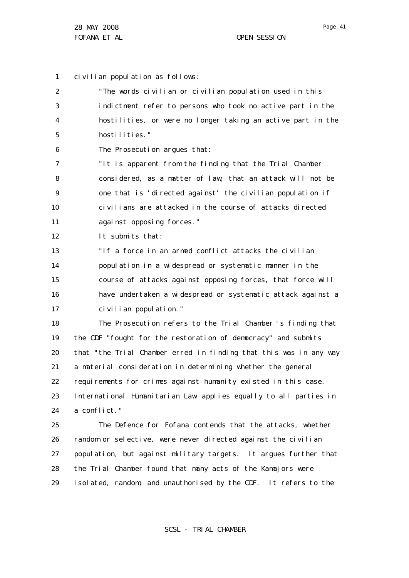28

Page 41

1 civilian population as follows:

2 3 4 5 6 7 8  $\mathsf{Q}$ 10 11 12 13 14 15 16 17 18 19 20 21 22 23 24 25 26 27 "The words civilian or civilian population used in this indictment refer to persons who took no active part in the hostilities, or were no longer taking an active part in the hostilities." The Prosecution argues that: "It is apparent from the finding that the Trial Chamber considered, as a matter of law, that an attack will not be one that is 'directed against' the civilian population if civilians are attacked in the course of attacks directed against opposing forces." It submits that: "If a force in an armed conflict attacks the civilian population in a widespread or systematic manner in the course of attacks against opposing forces, that force will have undertaken a widespread or systematic attack against a civilian population." The Prosecution refers to the Trial Chamber 's finding that the CDF "fought for the restoration of democracy" and submits that "the Trial Chamber erred in finding that this was in any way a material consideration in determining whether the general requirements for crimes against humanity existed in this case. International Humanitarian Law applies equally to all parties in a conflict." The Defence for Fofana contends that the attacks, whether random or selective, were never directed against the civilian population, but against military targets. It argues further that

29 the Trial Chamber found that many acts of the Kamajors were isolated, random, and unauthorised by the CDF. It refers to the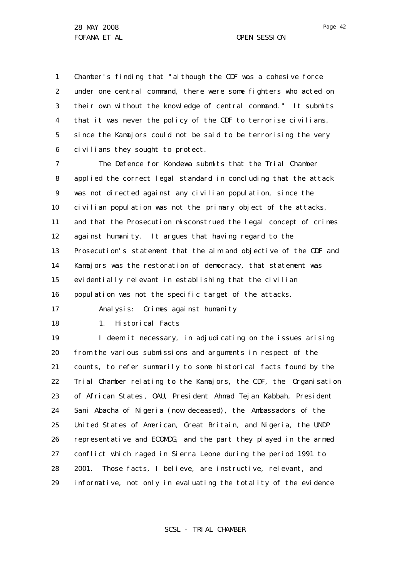1 2 3 4 5 6 Chamber's finding that "although the CDF was a cohesive force under one central command, there were some fighters who acted on their own without the knowledge of central command." It submits that it was never the policy of the CDF to terrorise civilians, since the Kamajors could not be said to be terrorising the very civilians they sought to protect.

7 8 9 10 11 12 13 14 15 16 The Defence for Kondewa submits that the Trial Chamber applied the correct legal standard in concluding that the attack was not directed against any civilian population, since the civilian population was not the primary object of the attacks, and that the Prosecution misconstrued the legal concept of crimes against humanity. It argues that having regard to the Prosecution's statement that the aim and objective of the CDF and Kamajors was the restoration of democracy, that statement was evidentially relevant in establishing that the civilian population was not the specific target of the attacks.

Analysis: Crimes against humanity

18

17

1. Historical Facts

19 20 21 22 23 24 25 26 27 28 29 I deem it necessary, in adjudicating on the issues arising from the various submissions and arguments in respect of the counts, to refer summarily to some historical facts found by the Trial Chamber relating to the Kamajors, the CDF, the Organisation of African States , OAU, President Ahmad Tejan Kabbah, President Sani Abacha of Nigeria (now deceased), the Ambassadors of the United States of American, Great Britain, and Nigeria, the UNDP representative and ECOMOG, and the part they played in the armed conflict which raged in Sierra Leone during the period 1991 to 2001. Those facts, I believe, are instructive, relevant, and informative, not only in evaluating the totality of the evidence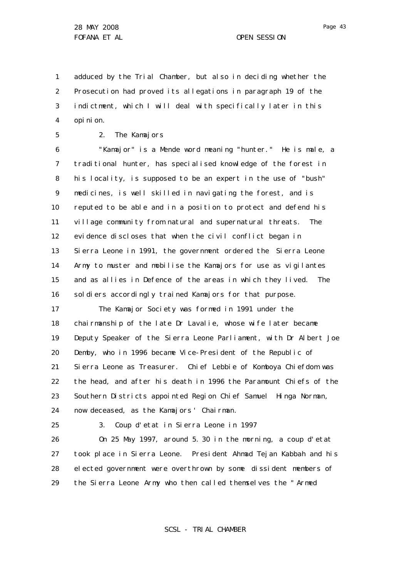1 2 3 4 adduced by the Trial Chamber, but also in deciding whether the Prosecution had proved its allegations in paragraph 19 of the indictment, which I will deal with specifically later in this opinion.

5

## 2. The Kamajors

6 7 8 9 10 11 12 13 14 15 16 "Kamajor" is a Mende word meaning "hunter." He is male, a traditional hunter, has specialised knowledge of the forest in his locality, is supposed to be an expert in the use of "bush" medicines, is well skilled in navigating the forest, and is reputed to be able and in a position to protect and defend his village community from natural and supernatural threats. The evidence discloses that when the civil conflict began in Sierra Leone in 1991, the government ordered the Sierra Leone Army to muster and mobilise the Kamajors for use as vigilantes and as allies in Defence of the areas in which they lived. The sol diers accordingly trained Kamajors for that purpose.

17 18 19 20 21 22 23 24 The Kamajor Society was formed in 1991 under the chairmanship of the late Dr Lavalie, whose wife later became Deputy Speaker of the Sierra Leone Parliament, with Dr Albert Joe Demby, who in 1996 became Vice-President of the Republic of Sierra Leone as Treasurer. Chief Lebbie of Komboya Chiefdom was the head, and after his death in 1996 the Paramount Chiefs of the Southern Districts appointed Region Chief Samuel Hinga Norman, now deceased, as the Kamajors' Chairman.

25

3. Coup d'etat in Sierra Leone in 1997

26 27 28 29 On 25 May 1997, around 5. 30 in the morning, a coup d'etat took place in Sierra Leone. President Ahmad Tejan Kabbah and his elected government were overthrown by some dissident members of the Sierra Leone Army who then called themselves the " Armed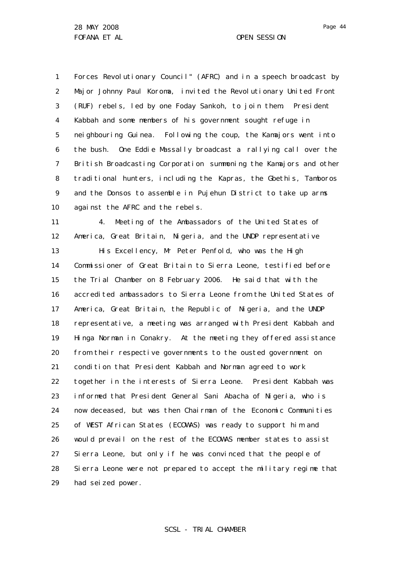1 2 3 4 5 6 7 8 9 10 Forces Revolutionary Council" (AFRC) and in a speech broadcast by Major Johnny Paul Koroma, invited the Revolutionary United Front (RUF) rebels, led by one Foday Sankoh, to join them. President Kabbah and some members of his government sought refuge in neighbouring Guinea. Following the coup, the Kamajors went into the bush. One Eddie Massally broadcast a rallying call over the British Broadcasting Corporation summoning the Kamajors and other traditional hunters, including the Kapras, the Gbethis, Tamboros and the Donsos to assemble in Pujehun District to take up arms against the AFRC and the rebels.

11 12 13 14 15 16 17 18 19 20 21 22 23 24 25 26 27 28 29 4. Meeting of the Ambassadors of the United States of America, Great Britain, Nigeria, and the UNDP representative His Excellency, Mr Peter Penfold, who was the High Commissioner of Great Britain to Sierra Leone, testified before the Trial Chamber on 8 February 2006. He said that with the accredited ambassadors to Sierra Leone from the United States of America, Great Britain, the Republic of Nigeria, and the UNDP representative, a meeting was arranged with President Kabbah and Hinga Norman in Conakry. At the meeting they offered assistance from their respective governments to the ousted government on condition that President Kabbah and Norman agreed to work together in the interests of Sierra Leone. President Kabbah was informed that President General Sani Abacha of Nigeria, who is now deceased, but was then Chairman of the Economic Communities of WEST African States (ECOWAS) was ready to support him and would prevail on the rest of the ECOWAS member states to assist Sierra Leone, but only if he was convinced that the people of Sierra Leone were not prepared to accept the military regime that had seized power.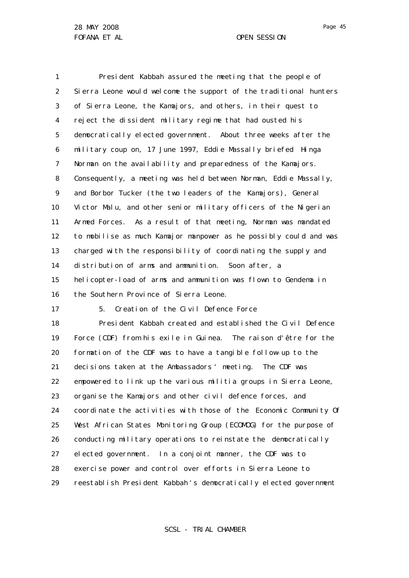1 2 3 4 5 6 7 8 9 10 11 12 13 14 15 16 President Kabbah assured the meeting that the people of Sierra Leone would welcome the support of the traditional hunters of Sierra Leone, the Kamajors, and others, in their quest to reject the dissident military regime that had ousted his democratically elected government. About three weeks after the military coup on, 17 June 1997, Eddie Massally briefed Hinga Norman on the availability and preparedness of the Kamajors. Consequently, a meeting was held between Norman, Eddie Massally, and Borbor Tucker (the two leaders of the Kamajors), General Victor Malu, and other senior military officers of the Nigerian Armed Forces. As a result of that meeting, Norman was mandated to mobilise as much Kamajor manpower as he possibly could and was charged with the responsibility of coordinating the supply and distribution of arms and ammunition. Soon after, a helicopter-load of arms and ammunition was flown to Gendema in the Southern Province of Sierra Leone.

17 5. Creation of the Civil Defence Force

18 19 20 21 22 23 24 25 26 27 28 29 President Kabbah created and established the Civil Defence Force (CDF) from his exile in Guinea. The raison d'être for the formation of the CDF was to have a tangible follow-up to the decisions taken at the Ambassadors' meeting. The CDF was empowered to link up the various militia groups in Sierra Leone, organise the Kamajors and other civil defence forces, and coordinate the activities with those of the Economic Community Of West African States Monitoring Group (ECOMOG) for the purpose of conducting military operations to reinstate the democratically elected government. In a conjoint manner, the CDF was to exercise power and control over efforts in Sierra Leone to reestablish President Kabbah 's democratically elected government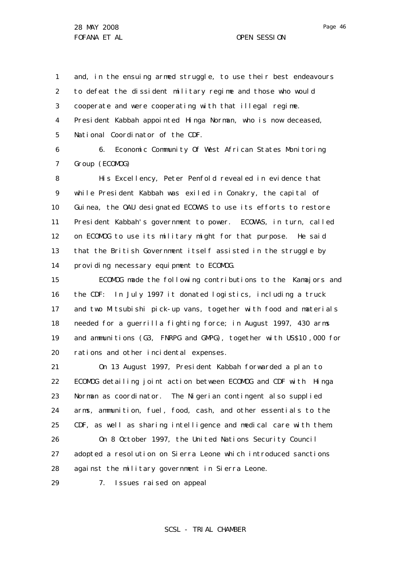1 2 3 4 5 and, in the ensuing armed struggle, to use their best endeavours to defeat the dissident military regime and those who would cooperate and were cooperating with that illegal regime. President Kabbah appointed Hinga Norman, who is now deceased, National Coordinator of the CDF.

6 7 6. Economic Community Of West African States Monitoring Group (ECOMOG)

8 9 10 11 12 13 14 His Excellency, Peter Penfold revealed in evidence that while President Kabbah was exiled in Conakry, the capital of Guinea, the OAU designated ECOWAS to use its efforts to restore President Kabbah's government to power. ECOWAS, in turn, called on ECOMOG to use its military might for that purpose. He said that the British Government itself assisted in the struggle by providing necessary equipment to ECOMOG.

15 16 17 18 19 20 ECOMOG made the following contributions to the Kamajors and the CDF: In July 1997 it donated logistics, including a truck and two Mitsubishi pick-up vans, together with food and materials needed for a guerrilla fighting force; in August 1997, 430 arms and ammunitions (G3, FNRPG and GMPG), together with US\$10 ,000 for rations and other incidental expenses.

21 22 23 24 25 26 27 On 13 August 1997, President Kabbah forwarded a plan to ECOMOG detailing joint action between ECOMOG and CDF with Hinga Norman as coordinator. The Nigerian contingent also supplied arms, ammunition, fuel, food, cash, and other essentials to the CDF, as well as sharing intelligence and medical care with them. On 8 October 1997, the United Nations Security Council adopted a resolution on Sierra Leone which introduced sanctions

28 against the military government in Sierra Leone.

7. Issues raised on appeal

29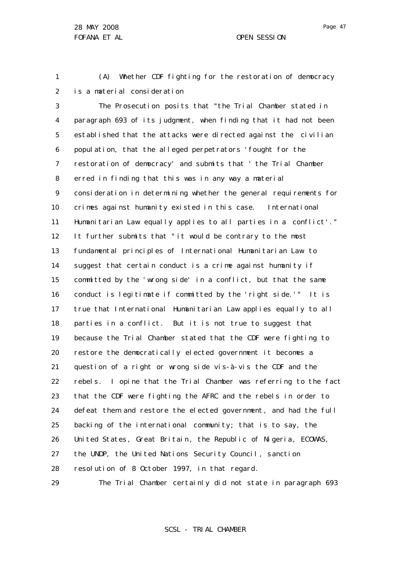Page 47

1 2 (A) Whether CDF fighting for the restoration of democracy is a material consideration

3 4 5 6 7 8 9 10 11 12 13 14 15 16 17 18 19 20 21 22 23 24 25 26 27 28 29 The Prosecution posits that "the Trial Chamber stated in paragraph 693 of its judgment, when finding that it had not been established that the attacks were directed against the civilian population, that the alleged perpetrators 'fought for the restoration of democracy' and submits that ' the Trial Chamber erred in finding that this was in any way a material consideration in determining whether the general requirements for crimes against humanity existed in this case. International Humanitarian Law equally applies to all parties in a conflict'." It further submits that " it would be contrary to the most fundamental principles of International Humanitarian Law to suggest that certain conduct is a crime against humanity if committed by the 'wrong side' in a conflict, but that the same conduct is legitimate if committed by the 'right side.'" It is true that International Humanitarian Law applies equally to all parties in a conflict. But it is not true to suggest that because the Trial Chamber stated that the CDF were fighting to restore the democratically elected government it becomes a question of a right or wrong side vis-à-vis the CDF and the rebels. I opine that the Trial Chamber was referring to the fact that the CDF were fighting the AFRC and the rebels in order to defeat them and restore the elected government, and had the full backing of the international community; that is to say, the United States, Great Britain, the Republic of Nigeria, ECOWAS, the UNDP, the United Nations Security Council, sanction resolution of 8 October 1997, in that regard. The Trial Chamber certainly did not state in paragraph 693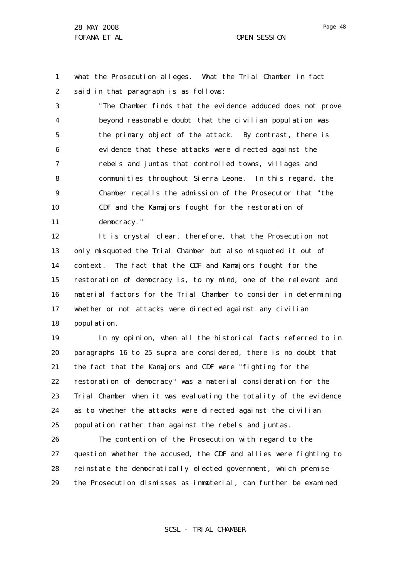1 2 what the Prosecution alleges. What the Trial Chamber in fact said in that paragraph is as follows:

3 4 5 6 7 8 9 10 11 "The Chamber finds that the evidence adduced does not prove beyond reasonable doubt that the civilian population was the primary object of the attack. By contrast, there is evidence that these attacks were directed against the rebels and juntas that controlled towns, villages and communities throughout Sierra Leone. In this regard, the Chamber recalls the admission of the Prosecutor that "the CDF and the Kamajors fought for the restoration of democracy."

12 13 14 15 16 17 18 It is crystal clear, therefore, that the Prosecution not only misquoted the Trial Chamber but also misquoted it out of context. The fact that the CDF and Kamajors fought for the restoration of democracy is, to my mind, one of the relevant and material factors for the Trial Chamber to consider in determining whether or not attacks were directed against any civilian population.

19 20 21 22 23 24 25 In my opinion, when all the historical facts referred to in paragraphs 16 to 25 supra are considered, there is no doubt that the fact that the Kamajors and CDF were "fighting for the restoration of democracy" was a material consideration for the Trial Chamber when it was evaluating the totality of the evidence as to whether the attacks were directed against the civilian population rather than against the rebels and juntas.

26 27 28 29 The contention of the Prosecution with regard to the question whether the accused, the CDF and allies were fighting to reinstate the democratically elected government, which premise the Prosecution dismisses as immaterial, can further be examined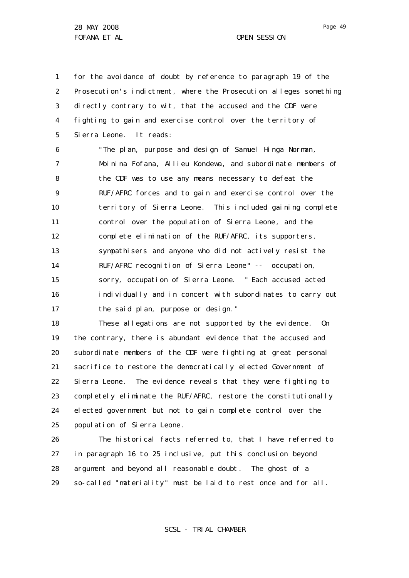28 MAY 2008 FOFANA ET AL **OPEN SESSION** 

1 2 3 4 5 for the avoidance of doubt by reference to paragraph 19 of the Prosecution's indictment, where the Prosecution alleges something directly contrary to wit, that the accused and the CDF were fighting to gain and exercise control over the territory of Sierra Leone. It reads:

6 7 8  $\mathsf{Q}$ 10 11 12 13 14 15 16 17 "The plan, purpose and design of Samuel Hinga Norman, Moinina Fofana, Allieu Kondewa, and subordinate members of the CDF was to use any means necessary to defeat the RUF/AFRC forces and to gain and exercise control over the territory of Sierra Leone. This included gaining complete control over the population of Sierra Leone, and the complete elimination of the RUF/AFRC, its supporters, sympathisers and anyone who did not actively resist the RUF/AFRC recognition of Sierra Leone" -- occupation, sorry, occupation of Sierra Leone. " Each accused acted individually and in concert with subordinates to carry out the said plan, purpose or design."

18 19 20 21 22 23 24 25 These allegations are not supported by the evidence. On the contrary, there is abundant evidence that the accused and subordinate members of the CDF were fighting at great personal sacrifice to restore the democratically elected Government of Sierra Leone. The evidence reveals that they were fighting to completely eliminate the RUF/AFRC, restore the constitutionally elected government but not to gain complete control over the population of Sierra Leone.

26 27 28 29 The historical facts referred to, that I have referred to in paragraph 16 to 25 inclusive, put this conclusion beyond argument and beyond all reasonable doubt. The ghost of a so-called "materiality" must be laid to rest once and for all.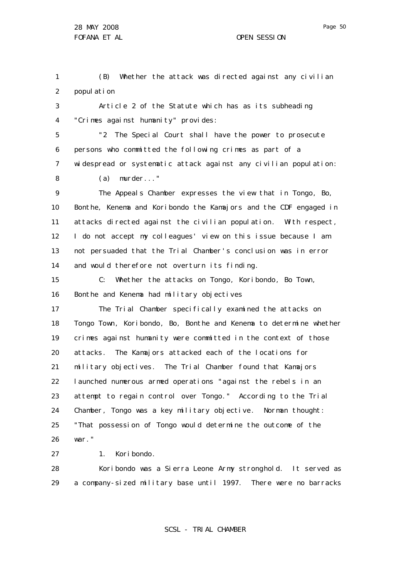Page 50

1 2 (B) Whether the attack was directed against any civilian population

3 4 Article 2 of the Statute which has as its subheading "Crimes against humanity" provides:

5 6 7 "2 The Special Court shall have the power to prosecute persons who committed the following crimes as part of a widespread or systematic attack against any civilian population:

(a) murder..."

8

 $\mathsf{Q}$ 10 11 12 13 14 The Appeals Chamber expresses the view that in Tongo, Bo, Bonthe, Kenema and Koribondo the Kamajors and the CDF engaged in attacks directed against the civilian population. With respect, I do not accept my colleagues' view on this issue because I am not persuaded that the Trial Chamber's conclusion was in error and would therefore not overturn its finding.

15 16 C: Whether the attacks on Tongo, Koribondo, Bo Town, Bonthe and Kenema had military objectives

17 18 19 20 21 22 23 24 25 26 The Trial Chamber specifically examined the attacks on Tongo Town, Koribondo, Bo, Bonthe and Kenema to determine whether crimes against humanity were committed in the context of those attacks. The Kamajors attacked each of the locations for military objectives. The Trial Chamber found that Kamajors launched numerous armed operations "against the rebels in an attempt to regain control over Tongo." According to the Trial Chamber, Tongo was a key military objective. Norman thought: "That possession of Tongo would determine the outcome of the war."

27 1. Koribondo.

28 29 Koribondo was a Sierra Leone Army stronghold. It served as a company-sized military base until 1997. There were no barracks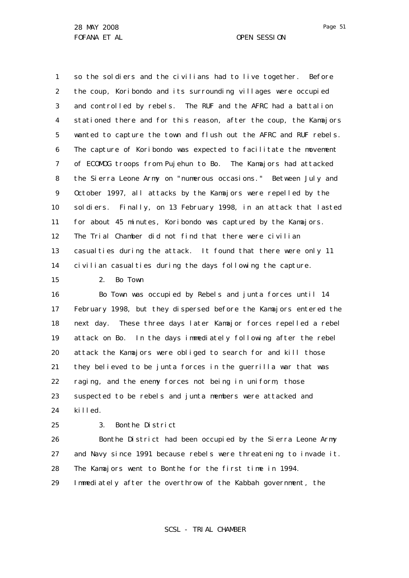1 2 3 4 5 6 7 8 9 10 11 12 13 14 so the soldiers and the civilians had to live together. Before the coup, Koribondo and its surrounding villages were occupied and controlled by rebels. The RUF and the AFRC had a battalion stationed there and for this reason, after the coup, the Kamajors wanted to capture the town and flush out the AFRC and RUF rebels. The capture of Koribondo was expected to facilitate the movement of ECOMOG troops from Pujehun to Bo. The Kamajors had attacked the Sierra Leone Army on "numerous occasions." Between July and October 1997, all attacks by the Kamajors were repelled by the soldiers. Finally, on 13 February 1998, in an attack that lasted for about 45 minutes, Koribondo was captured by the Kamajors. The Trial Chamber did not find that there were civilian casualties during the attack. It found that there were only 11 civilian casualties during the days following the capture.

15

2. Bo Town

16 17 18 19 20 21 22 23 24 Bo Town was occupied by Rebels and junta forces until 14 February 1998, but they dispersed before the Kamajors entered the next day. These three days later Kamajor forces repelled a rebel attack on Bo. In the days immediately following after the rebel attack the Kamajors were obliged to search for and kill those they believed to be junta forces in the guerrilla war that was raging, and the enemy forces not being in uniform, those suspected to be rebels and junta members were attacked and killed.

25

3. Bonthe District

26 27 28 Bonthe District had been occupied by the Sierra Leone Army and Navy since 1991 because rebels were threatening to invade it. The Kamajors went to Bonthe for the first time in 1994.

29 Immediately after the overthrow of the Kabbah government, the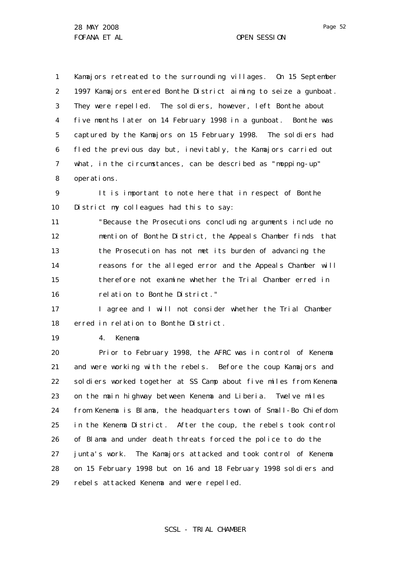1 2 3 4 5 6 7 8 Kamajors retreated to the surrounding villages. On 15 September 1997 Kamajors entered Bonthe District aiming to seize a gunboat. They were repelled. The soldiers, however, left Bonthe about five months later on 14 February 1998 in a gunboat. Bonthe was captured by the Kamajors on 15 February 1998. The soldiers had fled the previous day but, inevitably, the Kamajors carried out what, in the circumstances, can be described as "mopping-up" operations.

9 10 It is important to note here that in respect of Bonthe District my colleagues had this to say:

11 12 13 14 15 16 "Because the Prosecutions concluding arguments include no mention of Bonthe District, the Appeals Chamber finds that the Prosecution has not met its burden of advancing the reasons for the alleged error and the Appeals Chamber will therefore not examine whether the Trial Chamber erred in relation to Bonthe District."

17 18 I agree and I will not consider whether the Trial Chamber erred in relation to Bonthe District.

19 4. Kenema

20 21 22 23 24 25 26 27 28 29 Prior to February 1998, the AFRC was in control of Kenema and were working with the rebels. Before the coup Kamajors and soldiers worked together at SS Camp about five miles from Kenema on the main highway between Kenema and Liberia. Twelve miles from Kenema is Blama, the headquarters town of Small-Bo Chiefdom in the Kenema District. After the coup, the rebels took control of Blama and under death threats forced the police to do the junta's work. The Kamajors attacked and took control of Kenema on 15 February 1998 but on 16 and 18 February 1998 soldiers and rebels attacked Kenema and were repelled.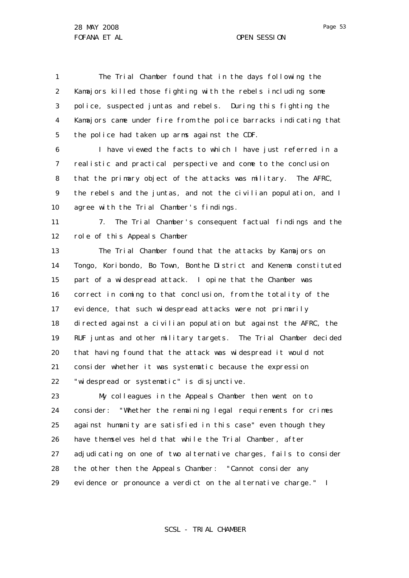1 2 3 4 5 The Trial Chamber found that in the days following the Kamajors killed those fighting with the rebels including some police, suspected juntas and rebels. During this fighting the Kamajors came under fire from the police barracks indicating that the police had taken up arms against the CDF.

6 7 8 9 10 I have viewed the facts to which I have just referred in a realistic and practical perspective and come to the conclusion that the primary object of the attacks was military. The AFRC, the rebels and the juntas, and not the civilian population, and I agree with the Trial Chamber's findings.

11 12 7. The Trial Chamber's consequent factual findings and the role of this Appeals Chamber

13 14 15 16 17 18 19 20 21 22 The Trial Chamber found that the attacks by Kamajors on Tongo, Koribondo, Bo Town, Bonthe District and Kenema constituted part of a widespread attack. I opine that the Chamber was correct in coming to that conclusion, from the totality of the evidence, that such widespread attacks were not primarily directed against a civilian population but against the AFRC, the RUF juntas and other military targets. The Trial Chamber decided that having found that the attack was widespread it would not consider whether it was systematic because the expression "widespread or systematic" is disjunctive.

23 24 25 26 27 28 29 My colleagues in the Appeals Chamber then went on to consider: "Whether the remaining legal requirements for crimes against humanity are satisfied in this case" even though they have themselves held that while the Trial Chamber, after adjudicating on one of two alternative charges, fails to consider the other then the Appeals Chamber: "Cannot consider any evidence or pronounce a verdict on the alternative charge." I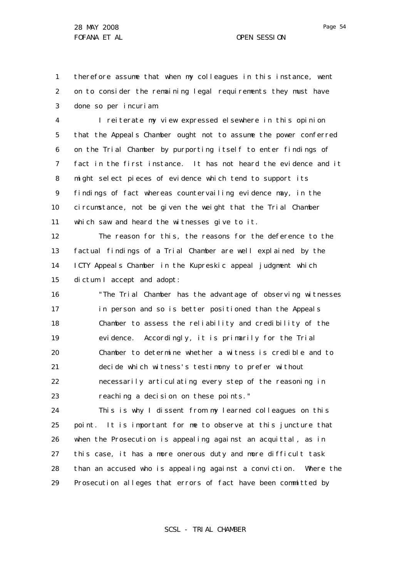1 2 3 therefore assume that when my colleagues in this instance, went on to consider the remaining legal requirements they must have done so *per incuriam*.

4 5 6 7 8 9 10 11 I reiterate my view expressed elsewhere in this opinion that the Appeals Chamber ought not to assume the power conferred on the Trial Chamber by purporting itself to enter findings of fact in the first instance. It has not heard the evidence and it might select pieces of evidence which tend to support its findings of fact whereas countervailing evidence may, in the circumstance, not be given the weight that the Trial Chamber which saw and heard the witnesses give to it.

12 13 14 15 The reason for this, the reasons for the deference to the factual findings of a Trial Chamber are well explained by the ICTY Appeals Chamber in the *Kupreskic* appeal judgment which dictum I accept and adopt:

16 17 18 19 20 21 22 23 "The Trial Chamber has the advantage of observing witnesses in person and so is better positioned than the Appeals Chamber to assess the reliability and credibility of the evidence. Accordingly, it is primarily for the Trial Chamber to determine whether a witness is credible and to decide which witness's testimony to prefer without necessarily articulating every step of the reasoning in reaching a decision on these points."

24 25 26 27 28 29 This is why I dissent from my learned colleagues on this point. It is important for me to observe at this juncture that when the Prosecution is appealing against an acquittal, as in this case, it has a more onerous duty and more difficult task than an accused who is appealing against a conviction. Where the Prosecution alleges that errors of fact have been committed by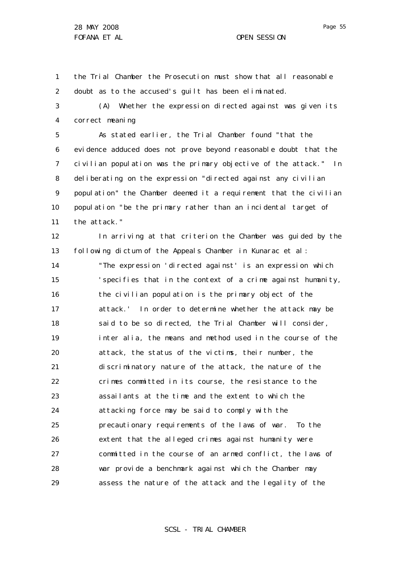1 2 the Trial Chamber the Prosecution must show that all reasonable doubt as to the accused's guilt has been eliminated.

3 4 (A) Whether the expression directed against was given its correct meaning

5 6 7 8 9 10 11 As stated earlier, the Trial Chamber found "that the evidence adduced does not prove beyond reasonable doubt that the civilian population was the primary objective of the attack." In deliberating on the expression "directed against any civilian population" the Chamber deemed it a requirement that the civilian population "be the primary rather than an incidental target of the attack."

12 13 14 15 16 17 18 19 20 21 22 23 24 25 26 27 28 29 In arriving at that criterion the Chamber was guided by the following dictum of the Appeals Chamber in *Kunarac et al*: "The expression 'directed against' is an expression which 'specifies that in the context of a crime against humanity, the civilian population is the primary object of the attack.' In order to determine whether the attack may be said to be so directed, the Trial Chamber will consider, *inter alia,* the means and method used in the course of the attack, the status of the victims, their number, the discriminatory nature of the attack, the nature of the crimes committed in its course, the resistance to the assailants at the time and the extent to which the attacking force may be said to comply with the precautionary requirements of the laws of war. To the extent that the alleged crimes against humanity were committed in the course of an armed conflict, the laws of war provide a benchmark against which the Chamber may assess the nature of the attack and the legality of the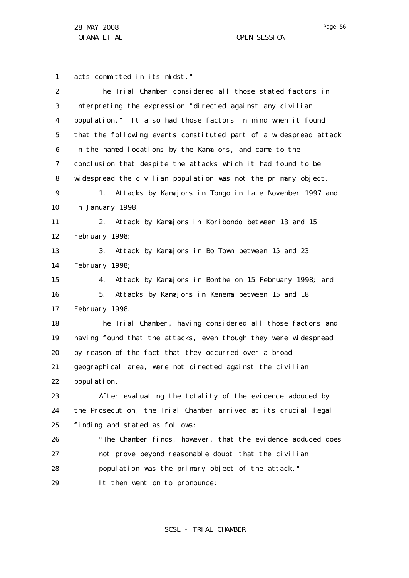28 MAY 2008 FOFANA ET AL OPEN SESSION

1 acts committed in its midst."

| $\overline{2}$ | The Trial Chamber considered all those stated factors in          |
|----------------|-------------------------------------------------------------------|
| 3              | interpreting the expression "directed against any civilian        |
| 4              | population." It also had those factors in mind when it found      |
| 5              | that the following events constituted part of a widespread attack |
| 6              | in the named locations by the Kamajors, and came to the           |
| 7              | conclusion that despite the attacks which it had found to be      |
| 8              | widespread the civilian population was not the primary object.    |
| 9              | Attacks by Kamajors in Tongo in late November 1997 and<br>1.      |
| 10             | in January 1998;                                                  |
| 11             | Attack by Kamajors in Koribondo between 13 and 15<br>2.           |
| 12             | February 1998;                                                    |
| 13             | Attack by Kamajors in Bo Town between 15 and 23<br>3.             |
| 14             | February 1998;                                                    |
| 15             | Attack by Kamajors in Bonthe on 15 February 1998; and<br>4.       |
| 16             | Attacks by Kamajors in Kenema between 15 and 18<br>5.             |
| 17             | February 1998.                                                    |
| 18             | The Trial Chamber, having considered all those factors and        |
| 19             | having found that the attacks, even though they were widespread   |
| 20             | by reason of the fact that they occurred over a broad             |
| 21             | geographical area, were not directed against the civilian         |
| 22             | popul ati on.                                                     |
| 23             | After evaluating the totality of the evidence adduced by          |
| 24             | the Prosecution, the Trial Chamber arrived at its crucial legal   |
| 25             | finding and stated as follows:                                    |
| 26             | "The Chamber finds, however, that the evidence adduced does       |
| 27             | not prove beyond reasonable doubt that the civilian               |
| 28             | population was the primary object of the attack."                 |
| 29             | It then went on to pronounce:                                     |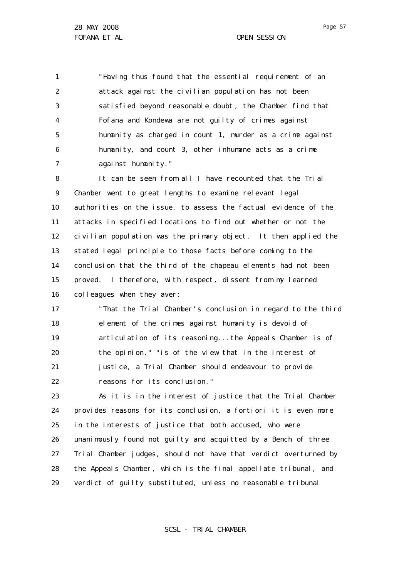1 2 3 4 5 6 7 "Having thus found that the essential requirement of an attack against the civilian population has not been satisfied beyond reasonable doubt , the Chamber find that Fofana and Kondewa are not guilty of crimes against humanity as charged in count 1, murder as a crime against humanity, and count 3, other inhumane acts as a crime against humanity."

8 9 10 11 12 13 14 15 16 It can be seen from all I have recounted that the Trial Chamber went to great lengths to examine relevant legal authorities on the issue, to assess the factual evidence of the attacks in specified locations to find out whether or not the civilian population was the primary object. It then applied the stated legal principle to those facts before coming to the conclusion that the third of the chapeau elements had not been proved. I therefore, with respect, dissent from my learned colleagues when they aver:

17 18 19 20 21 22 "That the Trial Chamber's conclusion in regard to the third element of the crimes against humanity is devoid of articulation of its reasoning...the Appeals Chamber is of the opinion," "is of the view that in the interest of justice, a Trial Chamber should endeavour to provide reasons for its conclusion."

23 24 25 26 27 28 29 As it is in the interest of justice that the Trial Chamber provides reasons for its conclusion, *a fortiori* it is even more in the interests of justice that both accused, who were unanimously found not guilty and acquitted by a Bench of three Trial Chamber judges, should not have that verdict overturned by the Appeals Chamber, which is the final appellate tribunal, and verdict of guilty substituted, unless no reasonable tribunal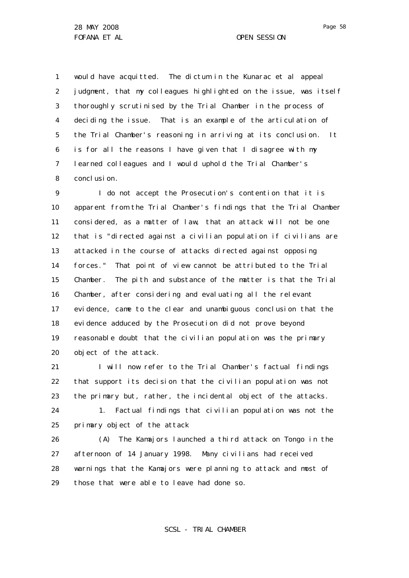1 2 3 4 5 6 7 8 would have acquitted. The dictum in the *Kunarac et al* appeal judgment, that my colleagues highlighted on the issue, was itself thoroughly scrutinised by the Trial Chamber in the process of deciding the issue. That is an example of the articulation of the Trial Chamber's reasoning in arriving at its conclusion. It is for all the reasons I have given that I disagree with my learned colleagues and I would uphold the Trial Chamber's conclusion.

9 10 11 12 13 14 15 16 17 18 19 20 I do not accept the Prosecution's contention that it is apparent from the Trial Chamber's findings that the Trial Chamber considered, as a matter of law, that an attack will not be one that is "directed against a civilian population if civilians are attacked in the course of attacks directed against opposing forces." That point of view cannot be attributed to the Trial Chamber. The pith and substance of the matter is that the Trial Chamber, after considering and evaluating all the relevant evidence, came to the clear and unambiguous conclusion that the evidence adduced by the Prosecution did not prove beyond reasonable doubt that the civilian population was the primary object of the attack.

21 22 23 I will now refer to the Trial Chamber's factual findings that support its decision that the civilian population was not the primary but, rather, the incidental object of the attacks.

24 25 1. Factual findings that civilian population was not the primary object of the attack

26 27 28 29 (A) The Kamajors launched a third attack on Tongo in the afternoon of 14 January 1998. Many civilians had received warnings that the Kamajors were planning to attack and most of those that were able to leave had done so.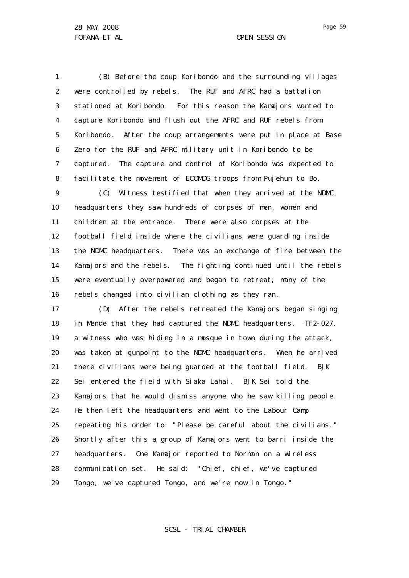1 2 3 4 5 6 7 8 (B) Before the coup Koribondo and the surrounding villages were controlled by rebels. The RUF and AFRC had a battalion stationed at Koribondo. For this reason the Kamajors wanted to capture Koribondo and flush out the AFRC and RUF rebels from Koribondo. After the coup arrangements were put in place at Base Zero for the RUF and AFRC military unit in Koribondo to be captured. The capture and control of Koribondo was expected to facilitate the movement of ECOMOG troops from Pujehun to Bo.

9 10 11 12 13 14 15 16 (C) Witness testified that when they arrived at the NDMC headquarters they saw hundreds of corpses of men, women and children at the entrance. There were also corpses at the football field inside where the civilians were guarding inside the NDMC headquarters. There was an exchange of fire between the Kamajors and the rebels. The fighting continued until the rebels were eventually overpowered and began to retreat; many of the rebels changed into civilian clothing as they ran.

17 18 19 20 21 22 23 24 25 26 27 28 29 (D) After the rebels retreated the Kamajors began singing in Mende that they had captured the NDMC headquarters. TF2-027, a witness who was hiding in a mosque in town during the attack, was taken at gunpoint to the NDMC headquarters. When he arrived there civilians were being guarded at the football field. BJK Sei entered the field with Siaka Lahai. BJK Sei told the Kamajors that he would dismiss anyone who he saw killing people. He then left the headquarters and went to the Labour Camp repeating his order to: "Please be careful about the civilians." Shortly after this a group of Kamajors went to barri inside the headquarters. One Kamajor reported to Norman on a wireless communication set. He said: "Chief, chief, we've captured Tongo, we've captured Tongo, and we're now in Tongo."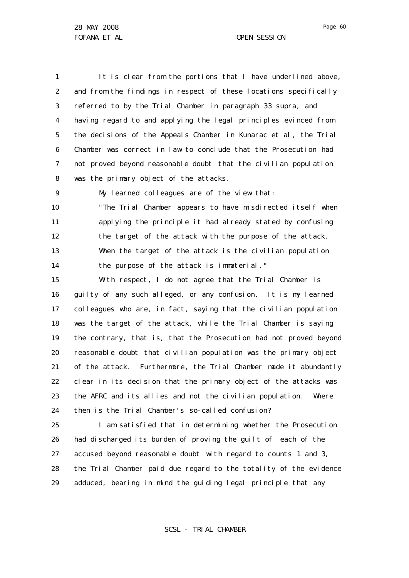1 2 3 4 5 6 7 8 It is clear from the portions that I have underlined above, and from the findings in respect of these locations specifically referred to by the Trial Chamber in paragraph 33 supra, and having regard to and applying the legal principles evinced from the decisions of the Appeals Chamber in *Kunarac et al*, the Trial Chamber was correct in law to conclude that the Prosecution had not proved beyond reasonable doubt that the civilian population was the primary object of the attacks.

9

My learned colleagues are of the view that:

10 11 12 13 14 "The Trial Chamber appears to have misdirected itself when applying the principle it had already stated by confusing the target of the attack with the purpose of the attack. When the target of the attack is the civilian population the purpose of the attack is immaterial."

15 16 17 18 19 20 21 22 23 24 With respect, I do not agree that the Trial Chamber is guilty of any such alleged, or any confusion. It is my learned colleagues who are, in fact, saying that the civilian population was the target of the attack, while the Trial Chamber is saying the contrary, that is, that the Prosecution had not proved beyond reasonable doubt that civilian population was the primary object of the attack. Furthermore, the Trial Chamber made it abundantly clear in its decision that the primary object of the attacks was the AFRC and its allies and not the civilian population. Where then is the Trial Chamber's so-called confusion?

25 26 27 28 29 I am satisfied that in determining whether the Prosecution had discharged its burden of proving the guilt of each of the accused beyond reasonable doubt with regard to counts 1 and 3, the Trial Chamber paid due regard to the totality of the evidence adduced, bearing in mind the guiding legal principle that any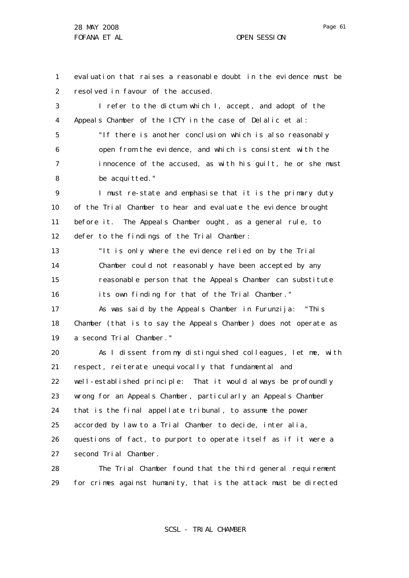29

Page 61

1 2 3 4 5 6 7 8 9 10 11 12 13 14 15 16 17 18 19 20 21 22 23 24 25 26 27 28 evaluation that raises a reasonable doubt in the evidence must be resolved in favour of the accused. I refer to the dictum which I, accept, and adopt of the Appeals Chamber of the ICTY in the case of *Delalic et al*: "If there is another conclusion which is also reasonably open from the evidence, and which is consistent with the innocence of the accused, as with his guilt, he or she must be acquitted." I must re-state and emphasise that it is the primary duty of the Trial Chamber to hear and evaluate the evidence brought before it. The Appeals Chamber ought, as a general rule, to defer to the findings of the Trial Chamber: "It is only where the evidence relied on by the Trial Chamber could not reasonably have been accepted by any reasonable person that the Appeals Chamber can substitute its own finding for that of the Trial Chamber." As was said by the Appeals Chamber in *Furunzija*: "This Chamber (that is to say the Appeals Chamber) does not operate as a second Trial Chamber." As I dissent from my distinguished colleagues, let me, with respect, reiterate unequivocally that fundamental and well-established principle: That it would always be profoundly wrong for an Appeals Chamber, particularly an Appeals Chamber that is the final appellate tribunal, to assume the power accorded by law to a Trial Chamber to decide, *inter alia,*  questions of fact, to purport to operate itself as if it were a second Trial Chamber. The Trial Chamber found that the third general requirement

SCSL - TRIAL CHAMBER

for crimes against humanity, that is the attack must be directed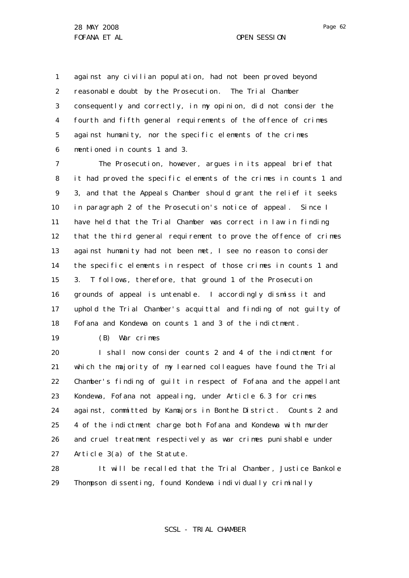1 2 3 4 5 6 against any civilian population, had not been proved beyond reasonable doubt by the Prosecution. The Trial Chamber consequently and correctly, in my opinion, did not consider the fourth and fifth general requirements of the offence of crimes against humanity, nor the specific elements of the crimes mentioned in counts 1 and 3.

7 8 9 10 11 12 13 14 15 16 17 18 The Prosecution, however, argues in its appeal brief that it had proved the specific elements of the crimes in counts 1 and 3, and that the Appeals Chamber should grant the relief it seeks in paragraph 2 of the Prosecution's notice of appeal. Since I have held that the Trial Chamber was correct in law in finding that the third general requirement to prove the offence of crimes against humanity had not been met, I see no reason to consider the specific elements in respect of those crimes in counts 1 and 3. T follows, therefore, that ground 1 of the Prosecution grounds of appeal is untenable. I accordingly dismiss it and uphold the Trial Chamber's acquittal and finding of not guilty of Fofana and Kondewa on counts 1 and 3 of the indictment.

19

(B) War crimes

20 21 22 23 24 25 26 27 I shall now consider counts 2 and 4 of the indictment for which the majority of my learned colleagues have found the Trial Chamber's finding of guilt in respect of Fofana and the appellant Kondewa, Fofana not appealing, under Article 6.3 for crimes against, committed by Kamajors in Bonthe District. Counts 2 and 4 of the indictment charge both Fofana and Kondewa with murder and cruel treatment respectively as war crimes punishable under Article 3(a) of the Statute.

28 29 It will be recalled that the Trial Chamber, Justice Bankole Thompson dissenting, found Kondewa individually criminally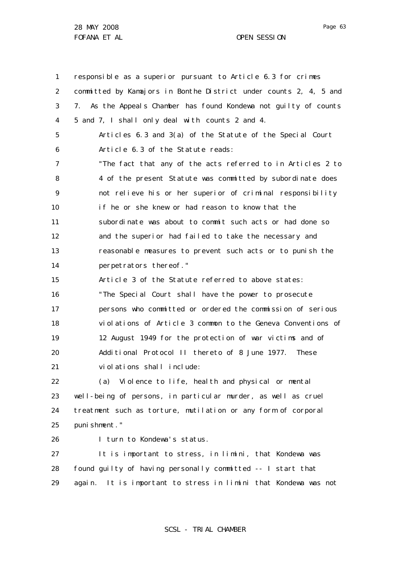28 MAY 2008 FOFANA ET AL **OPEN SESSION** 

1 2 3 4 5 6 7 8  $\mathsf{Q}$ 10 11 12 13 14 15 16 17 18 19 20 21 22 23 24 25 responsible as a superior pursuant to Article 6.3 for crimes committed by Kamajors in Bonthe District under counts 2, 4, 5 and 7. As the Appeals Chamber has found Kondewa not guilty of counts 5 and 7, I shall only deal with counts 2 and 4. Articles 6.3 and 3(a) of the Statute of the Special Court Article 6.3 of the Statute reads: "The fact that any of the acts referred to in Articles 2 to 4 of the present Statute was committed by subordinate does not relieve his or her superior of criminal responsibility if he or she knew or had reason to know that the subordinate was about to commit such acts or had done so and the superior had failed to take the necessary and reasonable measures to prevent such acts or to punish the perpetrators thereof." Article 3 of the Statute referred to above states: "The Special Court shall have the power to prosecute persons who committed or ordered the commission of serious violations of Article 3 common to the Geneva Conventions of 12 August 1949 for the protection of war victims and of Additional Protocol II thereto of 8 June 1977. These violations shall include: (a) Violence to life, health and physical or mental well-being of persons, in particular murder, as well as cruel treatment such as torture, mutilation or any form of corporal punishment."

26

I turn to Kondewa's status.

27 28 29 It is important to stress, *in limini,* that Kondewa was found guilty of having personally committed -- I start that again. It is important to stress *in limini* that Kondewa was not

SCSL - TRIAL CHAMBER

Page 63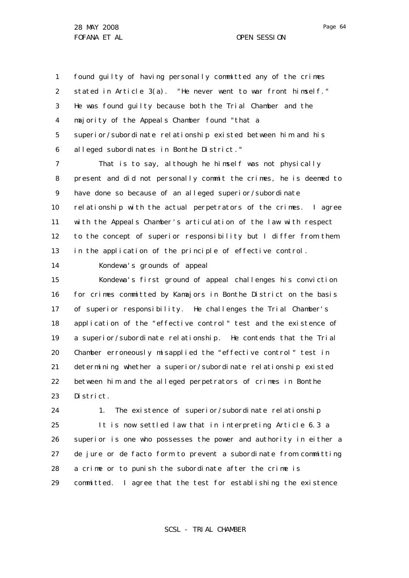Page 64

1 2 3 4 5 6 found guilty of having personally committed any of the crimes stated in Article 3(a). "He never went to war front himself." He was found guilty because both the Trial Chamber and the majority of the Appeals Chamber found "that a superior/subordinate relationship existed between him and his alleged subordinates in Bonthe District."

7 8 9 10 11 12 13 That is to say, although he himself was not physically present and did not personally commit the crimes, he is deemed to have done so because of an alleged superior/subordinate relationship with the actual perpetrators of the crimes. I agree with the Appeals Chamber's articulation of the law with respect to the concept of superior responsibility but I differ from them in the application of the principle of effective control.

14

Kondewa's grounds of appeal

15 16 17 18 19 20 21 22 23 Kondewa's first ground of appeal challenges his conviction for crimes committed by Kamajors in Bonthe District on the basis of superior responsibility. He challenges the Trial Chamber's application of the "effective control" test and the existence of a superior/subordinate relationship. He contends that the Trial Chamber erroneously misapplied the "effective control" test in determining whether a superior/subordinate relationship existed between him and the alleged perpetrators of crimes in Bonthe District.

24 25 26 27 28 29 1. The existence of superior/subordinate relationship It is now settled law that in interpreting Article 6.3 a superior is one who possesses the power and authority in either a *de jure* or *de facto* form to prevent a subordinate from committing a crime or to punish the subordinate after the crime is committed. I agree that the test for establishing the existence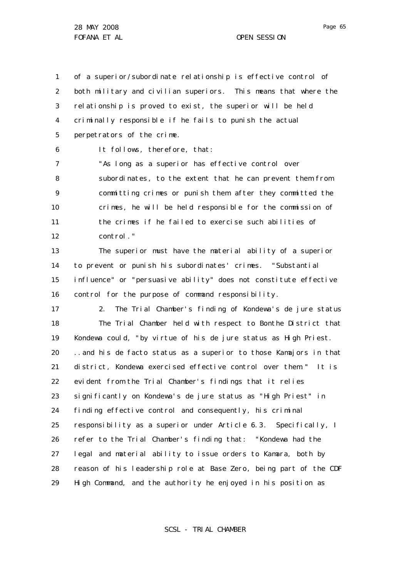28 MAY 2008 FOFANA ET AL **COPEN SESSION** 

1 2 3 4 5 of a superior/subordinate relationship is effective control of both military and civilian superiors. This means that where the relationship is proved to exist, the superior will be held criminally responsible if he fails to punish the actual perpetrators of the crime.

6

It follows, therefore, that:

7 8 9 10 11 12 "As long as a superior has effective control over subordinates, to the extent that he can prevent them from committing crimes or punish them after they committed the crimes, he will be held responsible for the commission of the crimes if he failed to exercise such abilities of control."

13 14 15 16 The superior must have the material ability of a superior to prevent or punish his subordinates' crimes. "Substantial influence" or "persuasive ability" does not constitute effective control for the purpose of command responsibility.

17 18 19 20 21 22 23 24 25 26 27 28 29 2. The Trial Chamber's finding of Kondewa's *de jure* status The Trial Chamber held with respect to Bonthe District that Kondewa could, "by virtue of his *de jure* status as High Priest. ..and his *de facto* status as a superior to those Kamajors in that district, Kondewa exercised effective control over them." It is evident from the Trial Chamber's findings that it relies significantly on Kondewa's *de jure* status as "High Priest" in finding effective control and consequently, his criminal responsibility as a superior under Article 6.3. Specifically, I refer to the Trial Chamber's finding that: "Kondewa had the legal and material ability to issue orders to Kamara, both by reason of his leadership role at Base Zero, being part of the CDF High Command, and the authority he enjoyed in his position as

SCSL - TRIAL CHAMBER

Page 65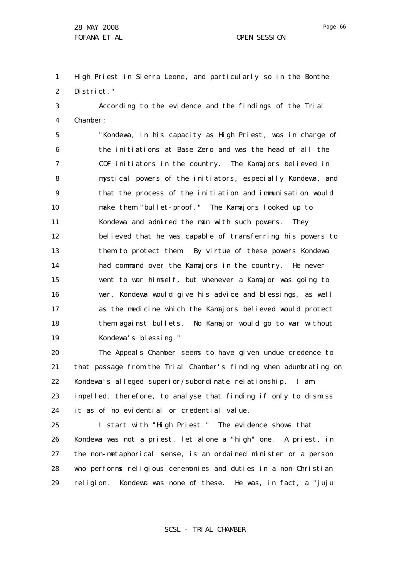1 2 High Priest in Sierra Leone, and particularly so in the Bonthe District."

3 4 According to the evidence and the findings of the Trial Chamber:

5 6 7 8 9 10 11 12 13 14 15 16 17 18 19 "Kondewa, in his capacity as High Priest, was in charge of the initiations at Base Zero and was the head of all the CDF initiators in the country. The Kamajors believed in mystical powers of the initiators, especially Kondewa, and that the process of the initiation and immunisation would make them "bullet-proof." The Kamajors looked up to Kondewa and admired the man with such powers. They believed that he was capable of transferring his powers to them to protect them. By virtue of these powers Kondewa had command over the Kamajors in the country. He never went to war himself, but whenever a Kamajor was going to war, Kondewa would give his advice and blessings, as well as the medicine which the Kamajors believed would protect them against bullets. No Kamajor would go to war without Kondewa's blessing."

20 21 22 23 24 The Appeals Chamber seems to have given undue credence to that passage from the Trial Chamber's finding when adumbrating on Kondewa's alleged superior/subordinate relationship. I am impelled, therefore, to analyse that finding if only to dismiss it as of no evidential or credential value.

25 26 27 28 29 I start with "High Priest." The evidence shows that Kondewa was not a priest, let alone a "high" one. A priest, in the non-metaphorical sense, is an ordained minister or a person who performs religious ceremonies and duties in a non-Christian religion. Kondewa was none of these. He was, in fact, a "juju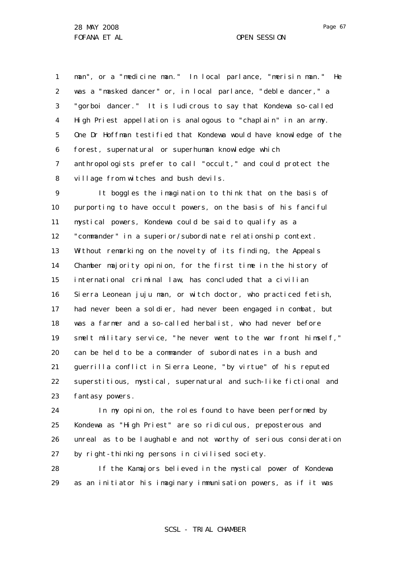Page 67

1 2 3 4 5 6 7 8 man", or a "medicine man." In local parlance, "merisin man." He was a "masked dancer" or, in local parlance, "deble dancer," a "gorboi dancer." It is ludicrous to say that Kondewa so-called High Priest appellation is analogous to "chaplain" in an army. One Dr Hoffman testified that Kondewa would have knowledge of the forest, supernatural or superhuman knowledge which anthropologists prefer to call "occult," and could protect the village from witches and bush devils.

9 10 11 12 13 14 15 16 17 18 19 20 21 22 23 It boggles the imagination to think that on the basis of purporting to have occult powers, on the basis of his fanciful mystical powers, Kondewa could be said to qualify as a "commander" in a superior/subordinate relationship context. Without remarking on the novelty of its finding, the Appeals Chamber majority opinion, for the first time in the history of international criminal law, has concluded that a civilian Sierra Leonean juju man, or witch doctor, who practiced fetish, had never been a soldier, had never been engaged in combat, but was a farmer and a so-called herbalist, who had never before smelt military service, "he never went to the war front himself," can be held to be a commander of subordinates in a bush and guerrilla conflict in Sierra Leone, "by virtue" of his reputed superstitious, mystical, supernatural and such-like fictional and fantasy powers.

24 25 26 27 In my opinion, the roles found to have been performed by Kondewa as "High Priest" are so ridiculous, preposterous and unreal as to be laughable and not worthy of serious consideration by right-thinking persons in civilised society.

28 29 If the Kamajors believed in the mystical power of Kondewa as an initiator his imaginary immunisation powers, as if it was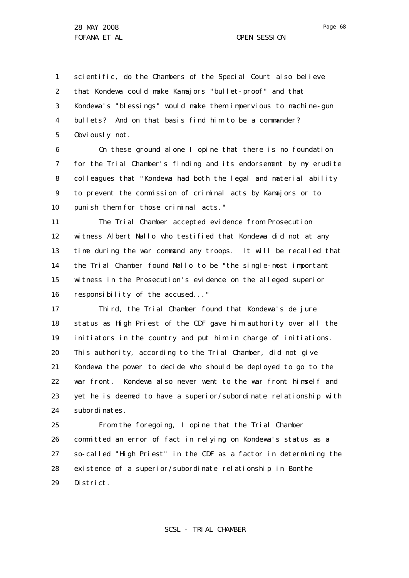1 2 3 4 5 scientific, do the Chambers of the Special Court also believe that Kondewa could make Kamajors "bullet-proof" and that Kondewa's "blessings" would make them impervious to machine-gun bullets? And on that basis find him to be a commander? Obviously not.

6 7 8 9 10 On these ground alone I opine that there is no foundation for the Trial Chamber's finding and its endorsement by my erudite colleagues that "Kondewa had both the legal and material ability to prevent the commission of criminal acts by Kamajors or to punish them for those criminal acts."

11 12 13 14 15 16 The Trial Chamber accepted evidence from Prosecution witness Albert Nallo who testified that Kondewa did not at any time during the war command any troops. It will be recalled that the Trial Chamber found Nallo to be "the single-most important witness in the Prosecution's evidence on the alleged superior responsibility of the accused..."

17 18 19 20 21 22 23 24 Third, the Trial Chamber found that Kondewa's *de jure* status as High Priest of the CDF gave him authority over all the initiators in the country and put him in charge of initiations. This authority, according to the Trial Chamber, did not give Kondewa the power to decide who should be deployed to go to the war front. Kondewa also never went to the war front himself and yet he is deemed to have a superior/subordinate relationship with subordinates.

25 26 27 28 29 From the foregoing, I opine that the Trial Chamber committed an error of fact in relying on Kondewa's status as a so-called "High Priest" in the CDF as a factor in determining the existence of a superior/subordinate relationship in Bonthe District.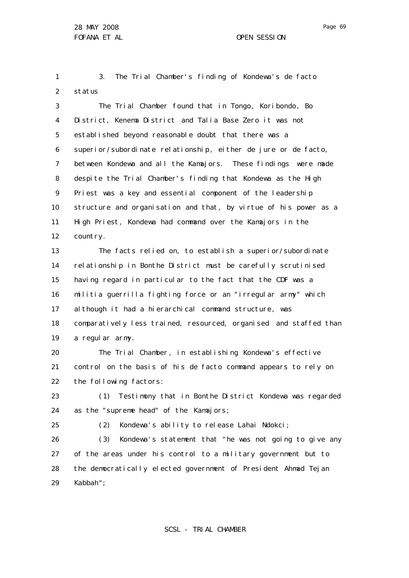Page 69

1 2 3. The Trial Chamber's finding of Kondewa's *de facto* status

3 4 5 6 7 8 9 10 11 12 The Trial Chamber found that in Tongo, Koribondo, Bo District, Kenema District and Talia Base Zero it was not established beyond reasonable doubt that there was a superior/subordinate relationship, either *de jure* or *de facto,*  between Kondewa and all the Kamajors. These findings were made despite the Trial Chamber's finding that Kondewa as the High Priest was a key and essential component of the leadership structure and organisation and that, by virtue of his power as a High Priest, Kondewa had command over the Kamajors in the country.

13 14 15 16 17 18 19 The facts relied on, to establish a superior/subordinate relationship in Bonthe District must be carefully scrutinised having regard in particular to the fact that the CDF was a militia guerrilla fighting force or an "irregular army" which although it had a hierarchical command structure, was comparatively less trained, resourced, organised and staffed than a regular army.

20 21 22 The Trial Chamber, in establishing Kondewa's effective control on the basis of his *de facto* command appears to rely on the following factors:

23 24 (1) Testimony that in Bonthe District Kondewa was regarded as the "supreme head" of the Kamajors;

25

(2) Kondewa's ability to release Lahai Ndokci;

26 27 28 29 (3) Kondewa's statement that "he was not going to give any of the areas under his control to a military government but to the democratically elected government of President Ahmad Tejan Kabbah";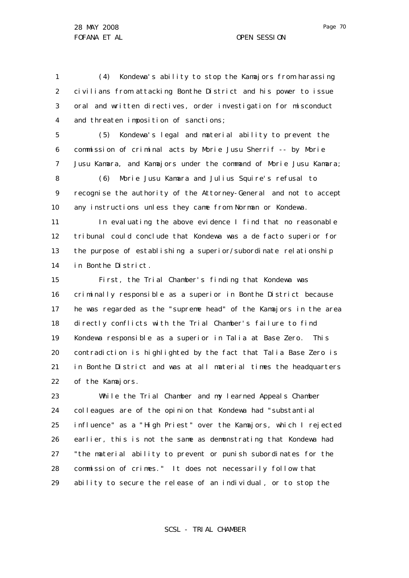1 2 3 4 (4) Kondewa's ability to stop the Kamajors from harassing civilians from attacking Bonthe District and his power to issue oral and written directives, order investigation for misconduct and threaten imposition of sanctions;

5 6 7 (5) Kondewa's legal and material ability to prevent the commission of criminal acts by Morie Jusu Sherrif -- by Morie Jusu Kamara, and Kamajors under the command of Morie Jusu Kamara;

8 9 10 (6) Morie Jusu Kamara and Julius Squire's refusal to recognise the authority of the Attorney-General and not to accept any instructions unless they came from Norman or Kondewa.

11 12 13 14 In evaluating the above evidence I find that no reasonable tribunal could conclude that Kondewa was a *de facto* superior for the purpose of establishing a superior/subordinate relationship in Bonthe District.

15 16 17 18 19 20 21 22 First, the Trial Chamber's finding that Kondewa was criminally responsible as a superior in Bonthe District because he was regarded as the "supreme head" of the Kamajors in the area directly conflicts with the Trial Chamber's failure to find Kondewa responsible as a superior in Talia at Base Zero. This contradiction is highlighted by the fact that Talia Base Zero is in Bonthe District and was at all material times the headquarters of the Kamajors.

23 24 25 26 27 28 29 While the Trial Chamber and my learned Appeals Chamber colleagues are of the opinion that Kondewa had "substantial influence" as a "High Priest" over the Kamajors, which I rejected earlier, this is not the same as demonstrating that Kondewa had "the material ability to prevent or punish subordinates for the commission of crimes." It does not necessarily follow that ability to secure the release of an individual, or to stop the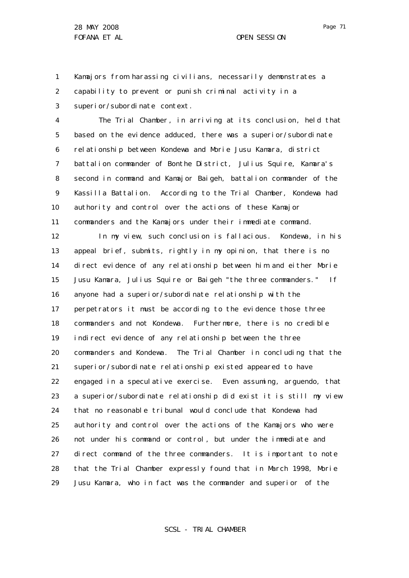1 2 3 Kamajors from harassing civilians, necessarily demonstrates a capability to prevent or punish criminal activity in a superior/subordinate context.

4 5 6 7 8 9 10 11 The Trial Chamber, in arriving at its conclusion, held that based on the evidence adduced, there was a superior/subordinate relationship between Kondewa and Morie Jusu Kamara, district battalion commander of Bonthe District, Julius Squire, Kamara's second in command and Kamajor Baigeh, battalion commander of the Kassilla Battalion. According to the Trial Chamber, Kondewa had authority and control over the actions of these Kamajor commanders and the Kamajors under their immediate command.

12 13 14 15 16 17 18 19 20 21 22 23 24 25 26 27 28 29 In my view, such conclusion is fallacious. Kondewa, in his appeal brief, submits, rightly in my opinion, that there is no direct evidence of any relationship between him and either Morie Jusu Kamara, Julius Squire or Baigeh "the three commanders." If anyone had a superior/subordinate relationship with the perpetrators it must be according to the evidence those three commanders and not Kondewa. Furthermore, there is no credible indirect evidence of any relationship between the three commanders and Kondewa. The Trial Chamber in concluding that the superior/subordinate relationship existed appeared to have engaged in a speculative exercise. Even assuming, *arguendo,* that a superior/subordinate relationship did exist it is still my view that no reasonable tribunal would conclude that Kondewa had authority and control over the actions of the Kamajors who were not under his command or control, but under the immediate and direct command of the three commanders. It is important to note that the Trial Chamber expressly found that in March 1998, Morie Jusu Kamara, who in fact was the commander and superior of the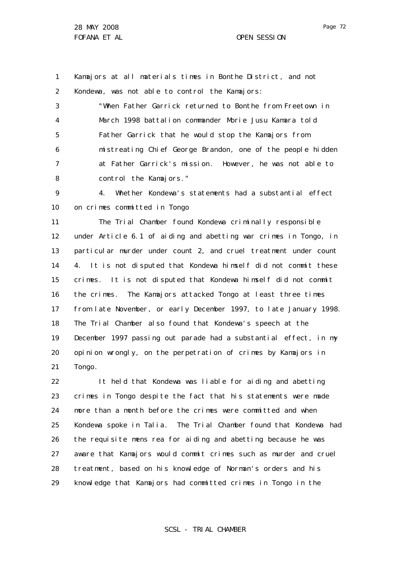1 2 Kamajors at all materials times in Bonthe District, and not Kondewa, was not able to control the Kamajors:

3 4 5 6 7 8 "When Father Garrick returned to Bonthe from Freetown in March 1998 battalion commander Morie Jusu Kamara told Father Garrick that he would stop the Kamajors from mistreating Chief George Brandon, one of the people hidden at Father Garrick's mission. However, he was not able to control the Kamajors."

9 10 4. Whether Kondewa's statements had a substantial effect on crimes committed in Tongo

11 12 13 14 15 16 17 18 19 20 21 The Trial Chamber found Kondewa criminally responsible under Article 6.1 of aiding and abetting war crimes in Tongo, in particular murder under count 2, and cruel treatment under count 4. It is not disputed that Kondewa himself did not commit these crimes. It is not disputed that Kondewa himself did not commit the crimes. The Kamajors attacked Tongo at least three times from late November, or early December 1997, to late January 1998. The Trial Chamber also found that Kondewa's speech at the December 1997 passing out parade had a substantial effect, in my opinion wrongly, on the perpetration of crimes by Kamajors in Tongo.

22 23 24 25 26 27 28 29 It held that Kondewa was liable for aiding and abetting crimes in Tongo despite the fact that his statements were made more than a month before the crimes were committed and when Kondewa spoke in Talia. The Trial Chamber found that Kondewa had the requisite *mens rea* for aiding and abetting because he was aware that Kamajors would commit crimes such as murder and cruel treatment, based on his knowledge of Norman's orders and his knowledge that Kamajors had committed crimes in Tongo in the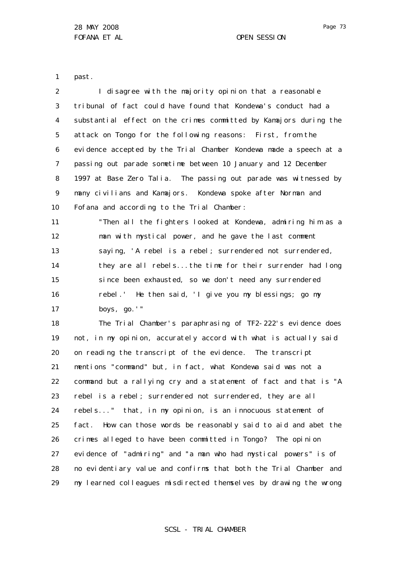1 past.

2 3 4 5 6 7 8 9 10 11 12 13 14 15 16 17 18 19 20 21 22 23 24 25 26 27 28 29 I disagree with the majority opinion that a reasonable tribunal of fact could have found that Kondewa's conduct had a substantial effect on the crimes committed by Kamajors during the attack on Tongo for the following reasons: First, from the evidence accepted by the Trial Chamber Kondewa made a speech at a passing out parade sometime between 10 January and 12 December 1997 at Base Zero Talia. The passing out parade was witnessed by many civilians and Kamajors. Kondewa spoke after Norman and Fofana and according to the Trial Chamber: "Then all the fighters looked at Kondewa, admiring him as a man with mystical power, and he gave the last comment saying, 'A rebel is a rebel; surrendered not surrendered, they are all rebels...the time for their surrender had long since been exhausted, so we don't need any surrendered rebel.' He then said, 'I give you my blessings; go my boys, go.'" The Trial Chamber's paraphrasing of TF2-222's evidence does not, in my opinion, accurately accord with what is actually said on reading the transcript of the evidence. The transcript mentions "command" but, in fact, what Kondewa said was not a command but a rallying cry and a statement of fact and that is "A rebel is a rebel; surrendered not surrendered, they are all rebels..." that, in my opinion, is an innocuous statement of fact. How can those words be reasonably said to aid and abet the crimes alleged to have been committed in Tongo? The opinion evidence of "admiring" and "a man who had mystical powers" is of no evidentiary value and confirms that both the Trial Chamber and my learned colleagues misdirected themselves by drawing the wrong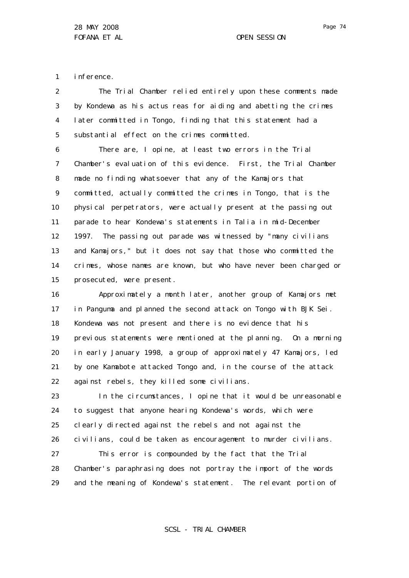Page 74

1 inference.

2 3 4 5 The Trial Chamber relied entirely upon these comments made by Kondewa as his *actus reas* for aiding and abetting the crimes later committed in Tongo, finding that this statement had a substantial effect on the crimes committed.

6 7 8 9 10 11 12 13 14 15 There are, I opine, at least two errors in the Trial Chamber's evaluation of this evidence. First, the Trial Chamber made no finding whatsoever that any of the Kamajors that committed, actually committed the crimes in Tongo, that is the physical perpetrators, were actually present at the passing out parade to hear Kondewa's statements in Talia in mid-December 1997. The passing out parade was witnessed by "many civilians and Kamajors," but it does not say that those who committed the crimes, whose names are known, but who have never been charged or prosecuted, were present.

16 17 18 19 20 21 22 Approximately a month later, another group of Kamajors met in Panguma and planned the second attack on Tongo with BJK Sei. Kondewa was not present and there is no evidence that his previous statements were mentioned at the planning. On a morning in early January 1998, a group of approximately 47 Kamajors, led by one Kamabote attacked Tongo and, in the course of the attack against rebels, they killed some civilians.

23 24 25 26 27 In the circumstances, I opine that it would be unreasonable to suggest that anyone hearing Kondewa's words, which were clearly directed against the rebels and not against the civilians, could be taken as encouragement to murder civilians. This error is compounded by the fact that the Trial

28 29 Chamber's paraphrasing does not portray the import of the words and the meaning of Kondewa's statement. The relevant portion of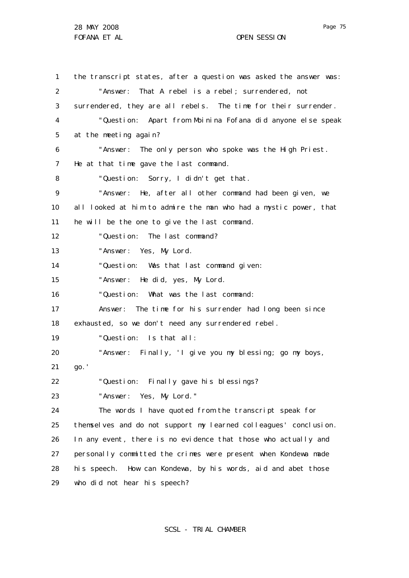28 MAY 2008 FOFANA ET AL **COPEN SESSION** 

1 2 3 4 5 6 7 8  $\mathsf{Q}$ 10 11 12 13 14 15 16 17 18 19 20 21 22 23 24 25 26 27 28 29 the transcript states, after a question was asked the answer was: "Answer: That A rebel is a rebel; surrendered, not surrendered, they are all rebels. The time for their surrender. "Question: Apart from Moinina Fofana did anyone else speak at the meeting again? "Answer: The only person who spoke was the High Priest. He at that time gave the last command. "Question: Sorry, I didn't get that. "Answer: He, after all other command had been given, we all looked at him to admire the man who had a mystic power, that he will be the one to give the last command. "Question: The last command? "Answer: Yes, My Lord. "Question: Was that last command given: "Answer: He did, yes, My Lord. "Question: What was the last command: Answer: The time for his surrender had long been since exhausted, so we don't need any surrendered rebel. "Question: Is that all: "Answer: Finally, 'I give you my blessing; go my boys, go.' "Question: Finally gave his blessings? "Answer: Yes, My Lord." The words I have quoted from the transcript speak for themselves and do not support my learned colleagues' conclusion. In any event, there is no evidence that those who actually and personally committed the crimes were present when Kondewa made his speech. How can Kondewa, by his words, aid and abet those who did not hear his speech?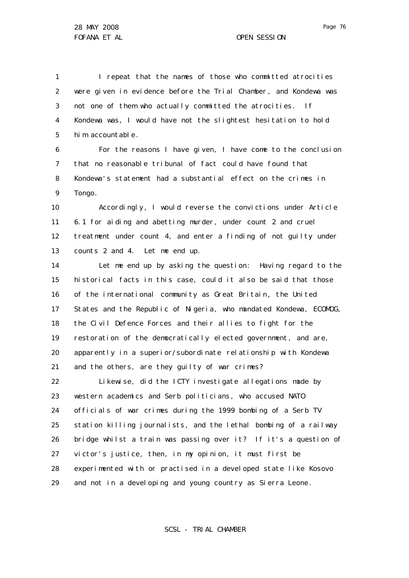1 2 3 4 5 I repeat that the names of those who committed atrocities were given in evidence before the Trial Chamber, and Kondewa was not one of them who actually committed the atrocities. If Kondewa was, I would have not the slightest hesitation to hold him accountable.

6 7 8 9 For the reasons I have given, I have come to the conclusion that no reasonable tribunal of fact could have found that Kondewa's statement had a substantial effect on the crimes in Tongo.

10 11 12 13 Accordingly, I would reverse the convictions under Article 6.1 for aiding and abetting murder, under count 2 and cruel treatment under count 4, and enter a finding of not guilty under counts 2 and 4. Let me end up.

14 15 16 17 18 19 20 21 Let me end up by asking the question: Having regard to the historical facts in this case, could it also be said that those of the international community as Great Britain, the United States and the Republic of Nigeria, who mandated Kondewa, ECOMOG, the Civil Defence Forces and their allies to fight for the restoration of the democratically elected government, and are, apparently in a superior/subordinate relationship with Kondewa and the others, are they guilty of war crimes?

22 23 24 25 26 27 28 29 Likewise, did the ICTY investigate allegations made by western academics and Serb politicians, who accused NATO officials of war crimes during the 1999 bombing of a Serb TV station killing journalists, and the lethal bombing of a railway bridge whilst a train was passing over it? If it's a question of victor's justice, then, in my opinion, it must first be experimented with or practised in a developed state like Kosovo and not in a developing and young country as Sierra Leone.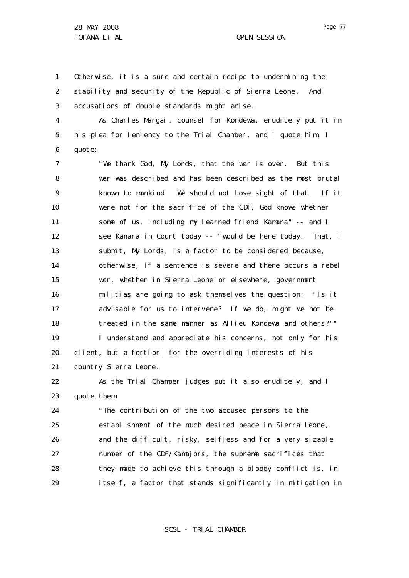1 2 3 Otherwise, it is a sure and certain recipe to undermining the stability and security of the Republic of Sierra Leone . And accusations of double standards might arise.

4 5 6 As Charles Margai, counsel for Kondewa, eruditely put it in his plea for leniency to the Trial Chamber, and I quote him, I quote:

7 8 9 10 11 12 13 14 15 16 17 18 19 20 21 "We thank God, My Lords, that the war is over. But this war was described and has been described as the most brutal known to mankind. We should not lose sight of that. If it were not for the sacrifice of the CDF, God knows whether some of us, including my learned friend Kamara" -- and I see Kamara in Court today -- "would be here today. That, I submit, My Lords, is a factor to be considered because, otherwise, if a sentence is severe and there occurs a rebel war, whether in Sierra Leone or elsewhere, government militias are going to ask themselves the question: 'Is it advisable for us to intervene? If we do, might we not be treated in the same manner as Allieu Kondewa and others?'" I understand and appreciate his concerns, not only for his client, but *a fortiori* for the overriding interests of his country Sierra Leone.

22 23 As the Trial Chamber judges put it also eruditely, and I quote them:

24 25 26 27 28 29 "The contribution of the two accused persons to the establishment of the much desired peace in Sierra Leone, and the difficult, risky, selfless and for a very sizable number of the CDF/Kamajors, the supreme sacrifices that they made to achieve this through a bloody conflict is, in itself, a factor that stands significantly in mitigation in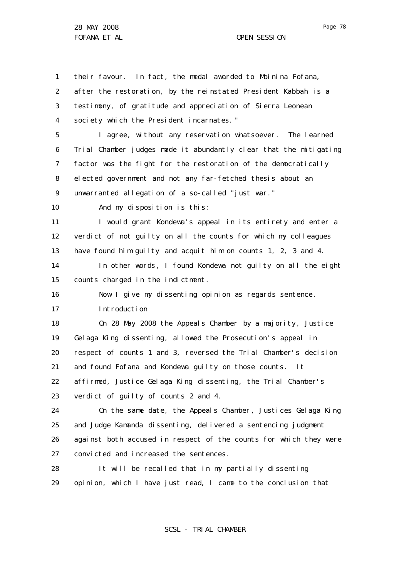Page 78

1 2 3 4 5 6 7 8 9 10 11 12 13 14 15 16 17 18 19 20 21 22 23 24 25 26 27 28 29 their favour. In fact, the medal awarded to Moinina Fofana, after the restoration, by the reinstated President Kabbah is a testimony, of gratitude and appreciation of Sierra Leonean society which the President incarnates. " I agree, without any reservation whatsoever. The learned Trial Chamber judges made it abundantly clear that the mitigating factor was the fight for the restoration of the democratically elected government and not any far-fetched thesis about an unwarranted allegation of a so-called "just war." And my disposition is this: I would grant Kondewa's appeal in its entirety and enter a verdict of not guilty on all the counts for which my colleagues have found him guilty and acquit him on counts 1, 2, 3 and 4. In other words, I found Kondewa not guilty on all the eight counts charged in the indictment. Now I give my dissenting opinion as regards sentence. Introduction On 28 May 2008 the Appeals Chamber by a majority, Justice Gelaga King dissenting, allowed the Prosecution's appeal in respect of counts 1 and 3, reversed the Trial Chamber's decision and found Fofana and Kondewa guilty on those counts. It affirmed, Justice Gelaga King dissenting, the Trial Chamber's verdict of guilty of counts 2 and 4. On the same date, the Appeals Chamber, Justices Gelaga King and Judge Kamanda dissenting, delivered a sentencing judgment against both accused in respect of the counts for which they were convicted and increased the sentences. It will be recalled that in my partially dissenting opinion, which I have just read, I came to the conclusion that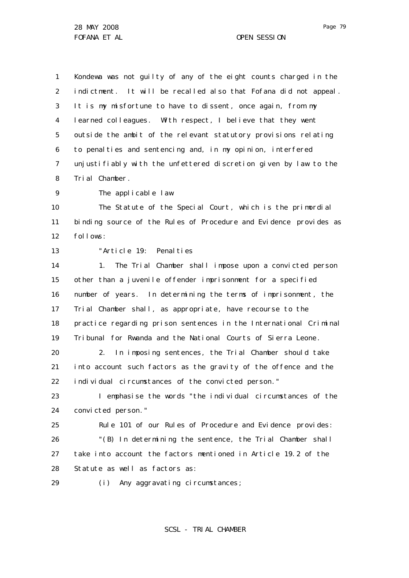1 2 3 4 5 6 7 8 Kondewa was not guilty of any of the eight counts charged in the indictment. It will be recalled also that Fofana did not appeal. It is my misfortune to have to dissent, once again, from my learned colleagues. With respect, I believe that they went outside the ambit of the relevant statutory provisions relating to penalties and sentencing and, in my opinion, interfered unjustifiably with the unfettered discretion given by law to the Trial Chamber.

 $\mathsf{Q}$ The applicable law

10 11 12 The Statute of the Special Court, which is the primordial binding source of the Rules of Procedure and Evidence provides as follows:

13

29

"Article 19: Penalties

14 15 16 17 18 19 1. The Trial Chamber shall impose upon a convicted person other than a juvenile offender imprisonment for a specified number of years. In determining the terms of imprisonment, the Trial Chamber shall, as appropriate, have recourse to the practice regarding prison sentences in the International Criminal Tribunal for Rwanda and the National Courts of Sierra Leone.

20 21 22 2. In imposing sentences, the Trial Chamber should take into account such factors as the gravity of the offence and the individual circumstances of the convicted person."

23 24 I emphasise the words "the individual circumstances of the convicted person."

25 26 27 28 Rule 101 of our Rules of Procedure and Evidence provides: "(B) In determining the sentence, the Trial Chamber shall take into account the factors mentioned in Article 19.2 of the Statute as well as factors as:

(i) Any aggravating circumstances;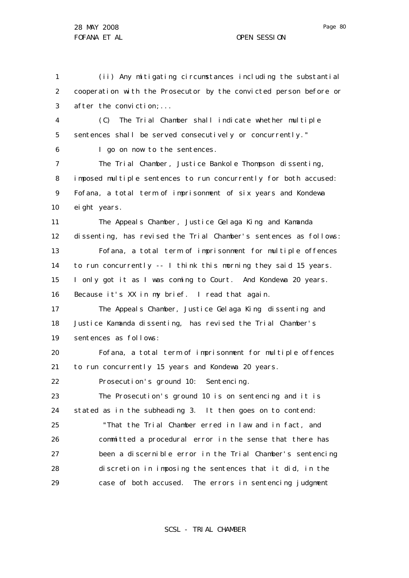6

1 2 3 (ii) Any mitigating circumstances including the substantial cooperation with the Prosecutor by the convicted person before or after the conviction;...

4 5 (C) The Trial Chamber shall indicate whether multiple sentences shall be served consecutively or concurrently."

I go on now to the sentences.

7 8 9 10 The Trial Chamber, Justice Bankole Thompson dissenting, imposed multiple sentences to run concurrently for both accused: Fofana, a total term of imprisonment of six years and Kondewa eight years.

11 12 13 14 15 16 The Appeals Chamber, Justice Gelaga King and Kamanda dissenting, has revised the Trial Chamber's sentences as follows: Fofana, a total term of imprisonment for multiple offences to run concurrently -- I think this morning they said 15 years. I only got it as I was coming to Court. And Kondewa 20 years. Because it's XX in my brief. I read that again.

17 18 19 The Appeals Chamber, Justice Gelaga King dissenting and Justice Kamanda dissenting, has revised the Trial Chamber's sentences as follows:

20 21 Fofana, a total term of imprisonment for multiple offences to run concurrently 15 years and Kondewa 20 years.

22 Prosecution's ground 10: Sentencing.

23 24 25 26 The Prosecution's ground 10 is on sentencing and it is stated as in the subheading 3. It then goes on to contend: "That the Trial Chamber erred in law and in fact, and committed a procedural error in the sense that there has

27 28 29 been a discernible error in the Trial Chamber's sentencing discretion in imposing the sentences that it did, in the case of both accused. The errors in sentencing judgment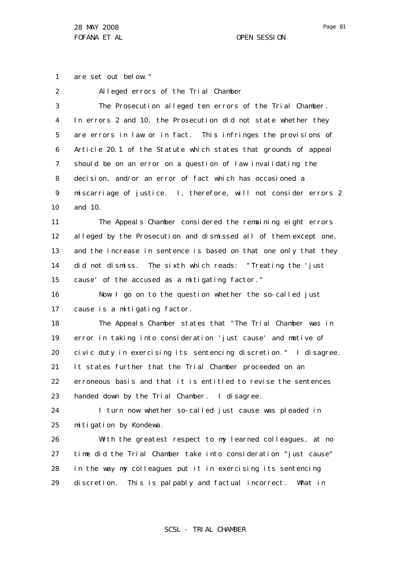1 are set out below."

| 2  | Alleged errors of the Trial Chamber                              |
|----|------------------------------------------------------------------|
| 3  | The Prosecution alleged ten errors of the Trial Chamber.         |
| 4  | In errors 2 and 10, the Prosecution did not state whether they   |
| 5  | are errors in law or in fact. This infringes the provisions of   |
| 6  | Article 20.1 of the Statute which states that grounds of appeal  |
| 7  | should be on an error on a question of law invalidating the      |
| 8  | decision, and/or an error of fact which has occasioned a         |
| 9  | miscarriage of justice. I, therefore, will not consider errors 2 |
| 10 | and 10.                                                          |
| 11 | The Appeals Chamber considered the remaining eight errors        |
| 12 | alleged by the Prosecution and dismissed all of them except one, |
| 13 | and the increase in sentence is based on that one only that they |
| 14 | did not dismiss. The sixth which reads: "Treating the 'just      |
| 15 | cause' of the accused as a mitigating factor."                   |
| 16 | Now I go on to the question whether the so-called just           |
| 17 | cause is a mitigating factor.                                    |
| 18 | The Appeals Chamber states that "The Trial Chamber was in        |
| 19 | error in taking into consideration 'just cause' and motive of    |
| 20 | civic duty in exercising its sentencing discretion." I disagree. |
| 21 | It states further that the Trial Chamber proceeded on an         |
| 22 | erroneous basis and that it is entitled to revise the sentences  |
| 23 | handed down by the Trial Chamber. I disagree.                    |
| 24 | I turn now whether so-called just cause was pleaded in           |
| 25 | mitigation by Kondewa.                                           |
| 26 | With the greatest respect to my learned colleagues, at no        |
| 27 | time did the Trial Chamber take into consideration "just cause"  |
| 28 | in the way my colleagues put it in exercising its sentencing     |
| 29 | discretion. This is palpably and factual incorrect.<br>What in   |
|    |                                                                  |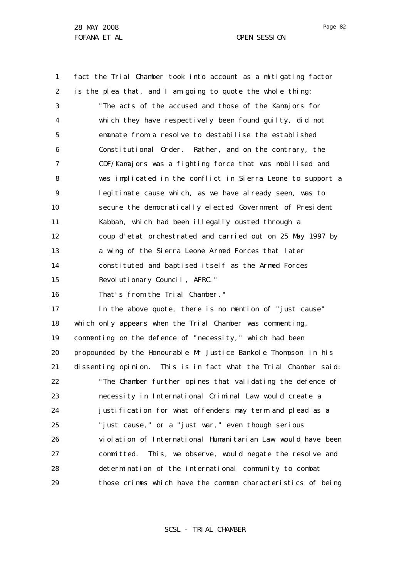1

2

3

4

5

6

fact the Trial Chamber took into account as a mitigating factor is the plea that, and I am going to quote the whole thing: "The acts of the accused and those of the Kamajors for which they have respectively been found guilty, did not emanate from a resolve to destabilise the established Constitutional Order. Rather, and on the contrary, the

7 8  $\mathsf{Q}$ 10 11 12 13 14 15 CDF/Kamajors was a fighting force that was mobilised and was implicated in the conflict in Sierra Leone to support a legitimate cause which, as we have already seen, was to secure the democratically elected Government of President Kabbah, which had been illegally ousted through a coup d'etat orchestrated and carried out on 25 May 1997 by a wing of the Sierra Leone Armed Forces that later constituted and baptised itself as the Armed Forces Revolutionary Council, AFRC."

16 That's from the Trial Chamber."

17 18 19 20 21 22 23 24 25 26 27 28 29 In the above quote, there is no mention of "just cause" which only appears when the Trial Chamber was commenting, commenting on the defence of "necessity," which had been propounded by the Honourable Mr Justice Bankole Thompson in his dissenting opinion. This is in fact what the Trial Chamber said: "The Chamber further opines that validating the defence of necessity in International Criminal Law would create a justification for what offenders may term and plead as a "just cause," or a "just war," even though serious violation of International Humanitarian Law would have been committed. This, we observe, would negate the resolve and determination of the international community to combat those crimes which have the common characteristics of being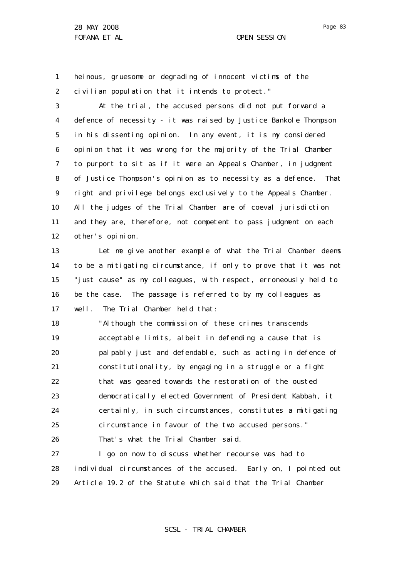1 2 heinous, gruesome or degrading of innocent victims of the civilian population that it intends to protect."

3 4 5 6 7 8 9 10 11 12 At the trial, the accused persons did not put forward a defence of necessity - it was raised by Justice Bankole Thompson in his dissenting opinion. In any event, it is my considered opinion that it was wrong for the majority of the Trial Chamber to purport to sit as if it were an Appeals Chamber, in judgment of Justice Thompson 's opinion as to necessity as a defence. That right and privilege belongs exclusively to the Appeals Chamber. All the judges of the Trial Chamber are of coeval jurisdiction and they are, therefore, not competent to pass judgment on each other's opinion.

13 14 15 16 17 Let me give another example of what the Trial Chamber deems to be a mitigating circumstance, if only to prove that it was not "just cause" as my colleagues, with respect, erroneously held to be the case. The passage is referred to by my colleagues as well. The Trial Chamber held that:

18 19 20 21 22 23 24 25 26 "Although the commission of these crimes transcends acceptable limits, albeit in defending a cause that is palpably just and defendable, such as acting in defence of constitutionality, by engaging in a struggle or a fight that was geared towards the restoration of the ousted democratically elected Government of President Kabbah, it certainly, in such circumstances, constitutes a mitigating circumstance in favour of the two accused persons." That's what the Trial Chamber said.

27 28 29 I go on now to discuss whether recourse was had to individual circumstances of the accused. Early on, I pointed out Article 19.2 of the Statute which said that the Trial Chamber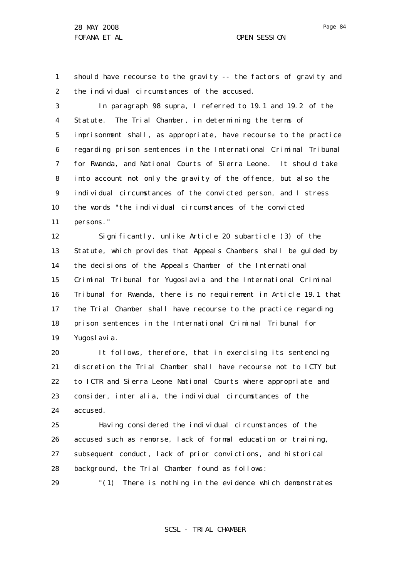29

Page 84

1 2 should have recourse to the gravity -- the factors of gravity and the individual circumstances of the accused.

3 4 5 6 7 8 9 10 11 In paragraph 98 supra, I referred to 19.1 and 19.2 of the Statute. The Trial Chamber, in determining the terms of imprisonment shall, as appropriate, have recourse to the practice regarding prison sentences in the International Criminal Tribunal for Rwanda, and National Courts of Sierra Leone. It should take into account not only the gravity of the offence, but also the individual circumstances of the convicted person, and I stress the words "the individual circumstances of the convicted persons."

12 13 14 15 16 17 18 19 Significantly, unlike Article 20 subarticle (3) of the Statute, which provides that Appeals Chambers shall be guided by the decisions of the Appeals Chamber of the International Criminal Tribunal for Yugoslavia and the International Criminal Tribunal for Rwanda, there is no requirement in Article 19.1 that the Trial Chamber shall have recourse to the practice regarding prison sentences in the International Criminal Tribunal for Yugosl avi a.

20 21 22 23 24 It follows, therefore, that in exercising its sentencing discretion the Trial Chamber shall have recourse not to ICTY but to ICTR and Sierra Leone National Courts where appropriate and consider, *inter alia,* the individual circumstances of the accused.

25 26 27 28 Having considered the individual circumstances of the accused such as remorse, lack of formal education or training, subsequent conduct, lack of prior convictions, and historical background, the Trial Chamber found as follows:

"(1) There is nothing in the evidence which demonstrates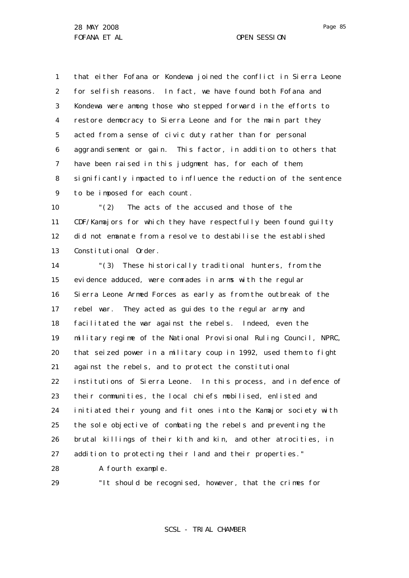1 2 3 4 5 6 7 8 9 that either Fofana or Kondewa joined the conflict in Sierra Leone for selfish reasons. In fact, we have found both Fofana and Kondewa were among those who stepped forward in the efforts to restore democracy to Sierra Leone and for the main part they acted from a sense of civic duty rather than for personal aggrandisement or gain. This factor, in addition to others that have been raised in this judgment has, for each of them, significantly impacted to influence the reduction of the sentence to be imposed for each count.

10 11 12 13 "(2) The acts of the accused and those of the CDF/Kamajors for which they have respectfully been found guilty did not emanate from a resolve to destabilise the established Constitutional Order.

14 15 16 17 18 19 20 21 22 23 24 25 26 27 "(3) These historically traditional hunters, from the evidence adduced, were comrades in arms with the regular Sierra Leone Armed Forces as early as from the outbreak of the rebel war. They acted as guides to the regular army and facilitated the war against the rebels. Indeed, even the military regime of the National Provisional Ruling Council, NPRC, that seized power in a military coup in 1992, used them to fight against the rebels, and to protect the constitutional institutions of Sierra Leone. In this process, and in defence of their communities, the local chiefs mobilised, enlisted and initiated their young and fit ones into the Kamajor society with the sole objective of combating the rebels and preventing the brutal killings of their kith and kin, and other atrocities, in addition to protecting their land and their properties."

28 A fourth example.

29

"It should be recognised, however, that the crimes for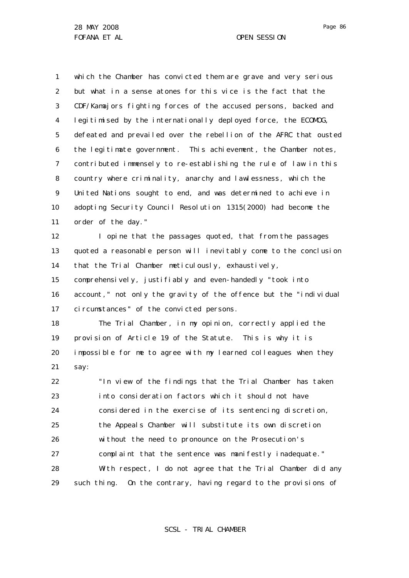1

2

which the Chamber has convicted them are grave and very serious but what in a sense atones for this vice is the fact that the

3 4 5 6 7 8 9 10 11 CDF/Kamajors fighting forces of the accused persons, backed and legitimised by the internationally deployed force, the ECOMOG, defeated and prevailed over the rebellion of the AFRC that ousted the legitimate government. This achievement, the Chamber notes, contributed immensely to re-establishing the rule of law in this country where criminality, anarchy and lawlessness, which the United Nations sought to end, and was determined to achieve in adopting Security Council Resolution 1315(2000) had become the order of the day."

12 13 14 15 I opine that the passages quoted, that from the passages quoted a reasonable person will inevitably come to the conclusion that the Trial Chamber meticulously, exhaustively,

16 17 comprehensively, justifiably and even-handedly "took into account," not only the gravity of the offence but the "individual circumstances" of the convicted persons.

18 19 20 21 The Trial Chamber, in my opinion, correctly applied the provision of Article 19 of the Statute. This is why it is impossible for me to agree with my learned colleagues when they say:

22 23 24 25 26 27 28 29 "In view of the findings that the Trial Chamber has taken into consideration factors which it should not have considered in the exercise of its sentencing discretion, the Appeals Chamber will substitute its own discretion without the need to pronounce on the Prosecution's complaint that the sentence was manifestly inadequate." With respect, I do not agree that the Trial Chamber did any such thing. On the contrary, having regard to the provisions of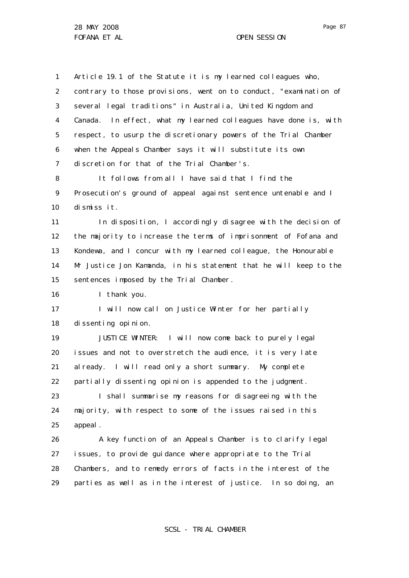1 2 3 4 5 6 7 8 9 10 11 12 13 14 15 16 17 18 19 20 21 22 23 24 25 26 27 28 29 Article 19.1 of the Statute it is my learned colleagues who, contrary to those provisions, went on to conduct, "examination of several legal traditions" in Australia, United Kingdom and Canada. In effect, what my learned colleagues have done is, with respect, to usurp the discretionary powers of the Trial Chamber when the Appeals Chamber says it will substitute its own discretion for that of the Trial Chamber's. It follows from all I have said that I find the Prosecution's ground of appeal against sentence untenable and I dismiss it. In disposition, I accordingly disagree with the decision of the majority to increase the terms of imprisonment of Fofana and Kondewa, and I concur with my learned colleague, the Honourable Mr Justice Jon Kamanda, in his statement that he will keep to the sentences imposed by the Trial Chamber. I thank you. I will now call on Justice Winter for her partially dissenting opinion. JUSTICE WINTER: I will now come back to purely legal issues and not to overstretch the audience, it is very late already. I will read only a short summary. My complete partially dissenting opinion is appended to the judgment. I shall summarise my reasons for disagreeing with the majority, with respect to some of the issues raised in this appeal. A key function of an Appeals Chamber is to clarify legal issues, to provide guidance where appropriate to the Trial Chambers, and to remedy errors of facts in the interest of the parties as well as in the interest of justice. In so doing, an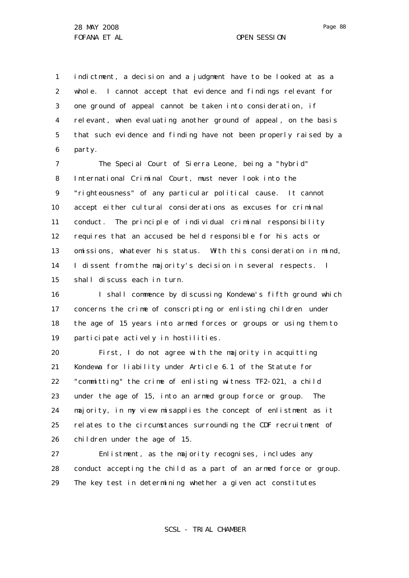1 2 3 4 5 6 indictment, a decision and a judgment have to be looked at as a whole. I cannot accept that evidence and findings relevant for one ground of appeal cannot be taken into consideration, if relevant, when evaluating another ground of appeal, on the basis that such evidence and finding have not been properly raised by a party.

7 8 9 10 11 12 13 14 15 The Special Court of Sierra Leone, being a "hybrid" International Criminal Court, must never look into the "righteousness" of any particular political cause. It cannot accept either cultural considerations as excuses for criminal conduct. The principle of individual criminal responsibility requires that an accused be held responsible for his acts or omissions, whatever his status. With this consideration in mind, I dissent from the majority's decision in several respects. I shall discuss each in turn.

16 17 18 19 I shall commence by discussing Kondewa's fifth ground which concerns the crime of conscripting or enlisting children under the age of 15 years into armed forces or groups or using them to participate actively in hostilities.

20 21 22 23 24 25 26 First, I do not agree with the majority in acquitting Kondewa for liability under Article 6.1 of the Statute for "committing" the crime of enlisting witness TF2-021, a child under the age of 15, into an armed group force or group. The majority, in my view misapplies the concept of enlistment as it relates to the circumstances surrounding the CDF recruitment of children under the age of 15.

27 28 29 Enlistment, as the majority recognises, includes any conduct accepting the child as a part of an armed force or group. The key test in determining whether a given act constitutes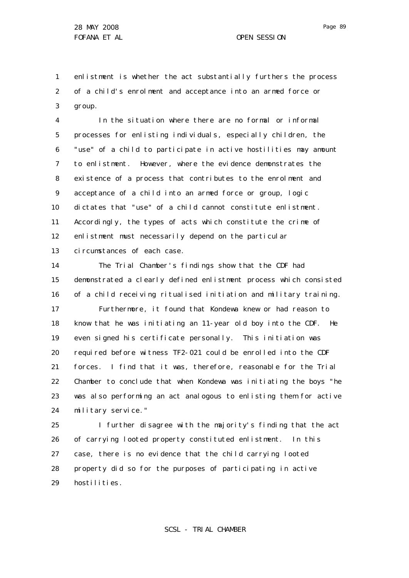1 2 3 enlistment is whether the act substantially furthers the process of a child's enrolment and acceptance into an armed force or group.

4 5 6 7 8 9 10 11 12 13 In the situation where there are no formal or informal processes for enlisting individuals, especially children, the "use" of a child to participate in active hostilities may amount to enlistment. However, where the evidence demonstrates the existence of a process that contributes to the enrolment and acceptance of a child into an armed force or group, logic dictates that "use" of a child cannot constitute enlistment. Accordingly, the types of acts which constitute the crime of enlistment must necessarily depend on the particular circumstances of each case.

14 15 16 17 18 19 20 21 22 23 24 The Trial Chamber's findings show that the CDF had demonstrated a clearly defined enlistment process which consisted of a child receiving ritualised initiation and military training. Furthermore, it found that Kondewa knew or had reason to know that he was initiating an 11-year old boy into the CDF. He even signed his certificate personally. This initiation was required before witness TF2-021 could be enrolled into the CDF forces. I find that it was, therefore, reasonable for the Trial Chamber to conclude that when Kondewa was initiating the boys "he was also performing an act analogous to enlisting them for active military service."

25 26 27 28 29 I further disagree with the majority's finding that the act of carrying looted property constituted enlistment. In this case, there is no evidence that the child carrying looted property did so for the purposes of participating in active hostilities.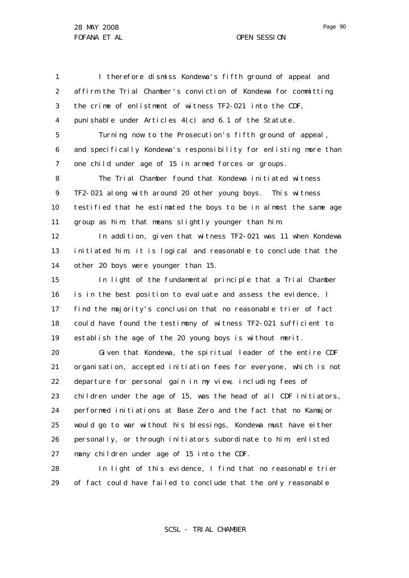29

Page 90

1 2 3 4 5 6 7 8 9 10 11 12 13 14 15 16 17 18 19 20 21 22 23 24 25 26 27 28 I therefore dismiss Kondewa's fifth ground of appeal and affirm the Trial Chamber's conviction of Kondewa for committing the crime of enlistment of witness TF2-021 into the CDF, punishable under Articles 4(c) and 6.1 of the Statute. Turning now to the Prosecution's fifth ground of appeal, and specifically Kondewa's responsibility for enlisting more than one child under age of 15 in armed forces or groups. The Trial Chamber found that Kondewa initiated witness TF2-021 along with around 20 other young boys. This witness testified that he estimated the boys to be in almost the same age group as him; that means slightly younger than him. In addition, given that witness TF2-021 was 11 when Kondewa initiated him, it is logical and reasonable to conclude that the other 20 boys were younger than 15. In light of the fundamental principle that a Trial Chamber is in the best position to evaluate and assess the evidence, I find the majority's conclusion that no reasonable trier of fact could have found the testimony of witness TF2-021 sufficient to establish the age of the 20 young boys is without merit. Given that Kondewa, the spiritual leader of the entire CDF organisation, accepted initiation fees for everyone, which is not departure for personal gain in my view, including fees of children under the age of 15, was the head of all CDF initiators, performed initiations at Base Zero and the fact that no Kamajor would go to war without his blessings, Kondewa must have either personally, or through initiators subordinate to him, enlisted many children under age of 15 into the CDF. In light of this evidence, I find that no reasonable trier

of fact could have failed to conclude that the only reasonable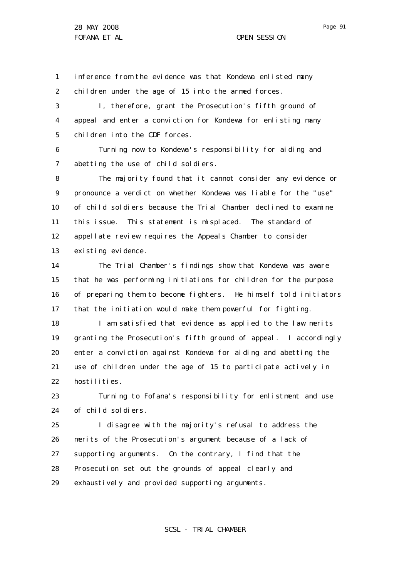1 2 inference from the evidence was that Kondewa enlisted many children under the age of 15 into the armed forces.

3 4 5 I, therefore, grant the Prosecution's fifth ground of appeal and enter a conviction for Kondewa for enlisting many children into the CDF forces.

6 7 Turning now to Kondewa's responsibility for aiding and abetting the use of child soldiers.

8 9 10 11 12 13 The majority found that it cannot consider any evidence or pronounce a verdict on whether Kondewa was liable for the "use" of child soldiers because the Trial Chamber declined to examine this issue. This statement is misplaced. The standard of appellate review requires the Appeals Chamber to consider existing evidence.

14 15 16 17 The Trial Chamber's findings show that Kondewa was aware that he was performing initiations for children for the purpose of preparing them to become fighters. He himself told initiators that the initiation would make them powerful for fighting.

18 19 20 21 22 I am satisfied that evidence as applied to the law merits granting the Prosecution's fifth ground of appeal. I accordingly enter a conviction against Kondewa for aiding and abetting the use of children under the age of 15 to participate actively in hostilities.

23 24 Turning to Fofana's responsibility for enlistment and use of child soldiers.

25 26 27 28 29 I disagree with the majority's refusal to address the merits of the Prosecution's argument because of a lack of supporting arguments. On the contrary, I find that the Prosecution set out the grounds of appeal clearly and exhaustively and provided supporting arguments.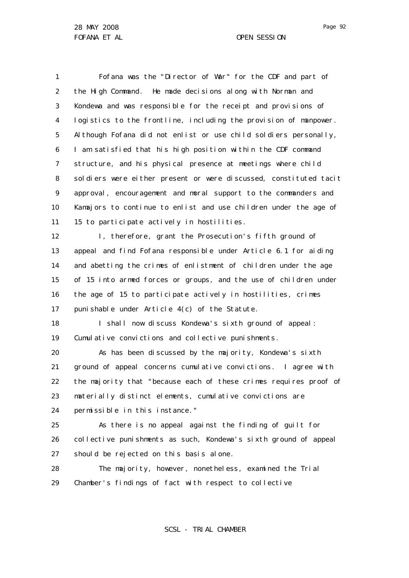1 2 3 4 5 6 7 8 9 10 11 Fofana was the "Director of War" for the CDF and part of the High Command. He made decisions along with Norman and Kondewa and was responsible for the receipt and provisions of logistics to the frontline, including the provision of manpower. Although Fofana did not enlist or use child soldiers personally, I am satisfied that his high position within the CDF command structure, and his physical presence at meetings where child soldiers were either present or were discussed, constituted tacit approval, encouragement and moral support to the commanders and Kamajors to continue to enlist and use children under the age of 15 to participate actively in hostilities.

12 13 14 15 16 17 I, therefore, grant the Prosecution's fifth ground of appeal and find Fofana responsible under Article 6.1 for aiding and abetting the crimes of enlistment of children under the age of 15 into armed forces or groups, and the use of children under the age of 15 to participate actively in hostilities, crimes punishable under Article 4(c) of the Statute.

18 19 I shall now discuss Kondewa's sixth ground of appeal: Cumulative convictions and collective punishments.

20 21 22 23 24 As has been discussed by the majority, Kondewa's sixth ground of appeal concerns cumulative convictions. I agree with the majority that "because each of these crimes requires proof of materially distinct elements, cumulative convictions are permissible in this instance."

25 26 27 As there is no appeal against the finding of guilt for collective punishments as such, Kondewa's sixth ground of appeal should be rejected on this basis alone.

28 29 The majority, however, nonetheless, examined the Trial Chamber's findings of fact with respect to collective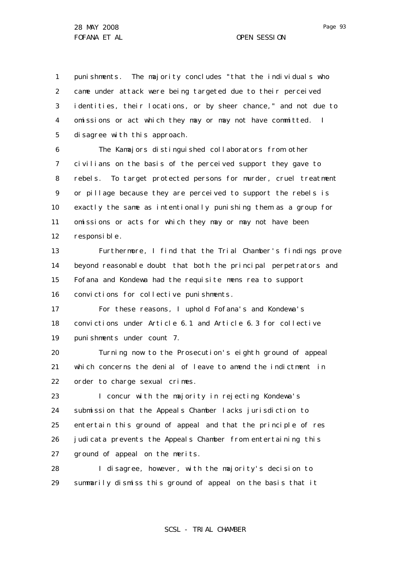1 2 3 4 5 punishments. The majority concludes "that the individuals who came under attack were being targeted due to their perceived identities, their locations, or by sheer chance," and not due to omissions or act which they may or may not have committed. I disagree with this approach.

6 7 8 9 10 11 12 The Kamajors distinguished collaborators from other civilians on the basis of the perceived support they gave to rebels. To target protected persons for murder, cruel treatment or pillage because they are perceived to support the rebels is exactly the same as intentionally punishing them as a group for omissions or acts for which they may or may not have been responsible.

13 14 15 16 Furthermore, I find that the Trial Chamber's findings prove beyond reasonable doubt that both the principal perpetrators and Fofana and Kondewa had the requisite *mens rea* to support convictions for collective punishments.

17 18 19 For these reasons, I uphold Fofana's and Kondewa's convictions under Article 6.1 and Article 6.3 for collective punishments under count 7.

20 21 22 Turning now to the Prosecution's eighth ground of appeal which concerns the denial of leave to amend the indictment in order to charge sexual crimes.

23 24 25 26 27 I concur with the majority in rejecting Kondewa's submission that the Appeals Chamber lacks jurisdiction to entertain this ground of appeal and that the principle of *res judicata* prevents the Appeals Chamber from entertaining this ground of appeal on the merits.

28 29 I disagree, however, with the majority's decision to summarily dismiss this ground of appeal on the basis that it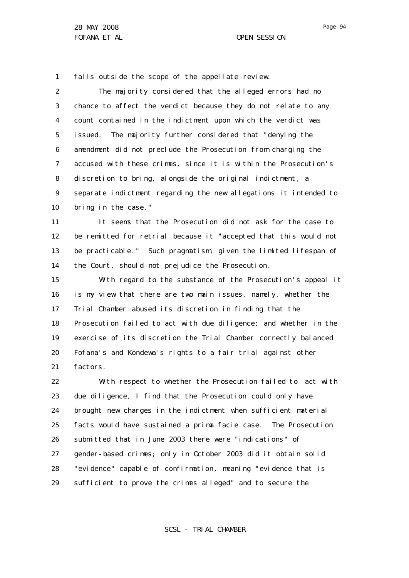1 falls outside the scope of the appellate review.

2 3 4 5 6 7 8 9 10 The majority considered that the alleged errors had no chance to affect the verdict because they do not relate to any count contained in the indictment upon which the verdict was issued. The majority further considered that "denying the amendment did not preclude the Prosecution from charging the accused with these crimes, since it is within the Prosecution's discretion to bring, alongside the original indictment, a separate indictment regarding the new allegations it intended to bring in the case."

11 12 13 14 It seems that the Prosecution did not ask for the case to be remitted for retrial because it "accepted that this would not be practicable." Such pragmatism, given the limited lifespan of the Court, should not prejudice the Prosecution.

15 16 17 18 19 20 21 With regard to the substance of the Prosecution's appeal it is my view that there are two main issues, namely, whether the Trial Chamber abused its discretion in finding that the Prosecution failed to act with due diligence; and whether in the exercise of its discretion the Trial Chamber correctly balanced Fofana's and Kondewa's rights to a fair trial against other factors.

22 23 24 25 26 27 28 29 With respect to whether the Prosecution failed to act with due diligence, I find that the Prosecution could only have brought new charges in the indictment when sufficient material facts would have sustained a prima facie case. The Prosecution submitted that in June 2003 there were "indications" of gender-based crimes; only in October 2003 did it obtain solid "evidence" capable of confirmation, meaning "evidence that is sufficient to prove the crimes alleged" and to secure the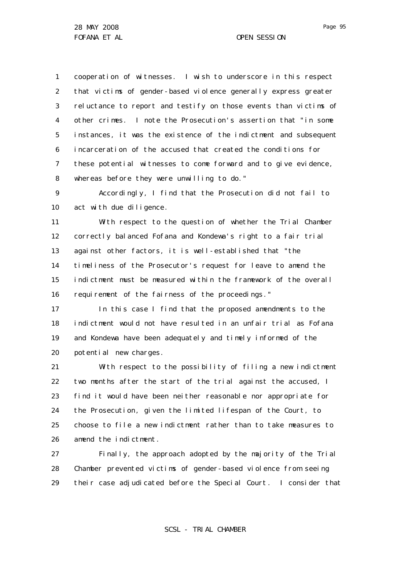1 2 3 4 5 6 7 8 cooperation of witnesses. I wish to underscore in this respect that victims of gender-based violence generally express greater reluctance to report and testify on those events than victims of other crimes. I note the Prosecution's assertion that "in some instances, it was the existence of the indictment and subsequent incarceration of the accused that created the conditions for these potential witnesses to come forward and to give evidence, whereas before they were unwilling to do."

9 10 Accordingly, I find that the Prosecution did not fail to act with due diligence.

11 12 13 14 15 16 With respect to the question of whether the Trial Chamber correctly balanced Fofana and Kondewa's right to a fair trial against other factors, it is well-established that "the timeliness of the Prosecutor's request for leave to amend the indictment must be measured within the framework of the overall requirement of the fairness of the proceedings."

17 18 19 20 In this case I find that the proposed amendments to the indictment would not have resulted in an unfair trial as Fofana and Kondewa have been adequately and timely informed of the potential new charges.

21 22 23 24 25 26 With respect to the possibility of filing a new indictment two months after the start of the trial against the accused, I find it would have been neither reasonable nor appropriate for the Prosecution, given the limited lifespan of the Court, to choose to file a new indictment rather than to take measures to amend the indictment.

27 28 29 Finally, the approach adopted by the majority of the Trial Chamber prevented victims of gender-based violence from seeing their case adjudicated before the Special Court. I consider that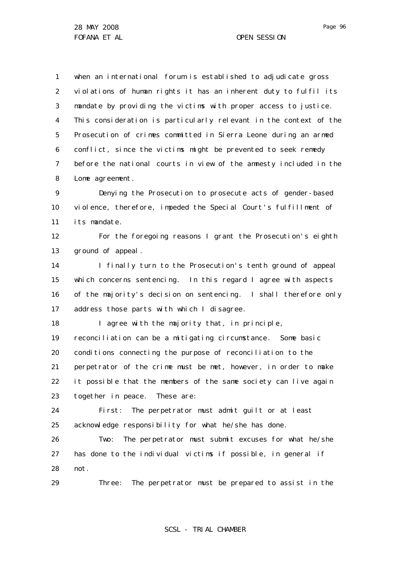1 2 3 4 5 6 7 8 when an international forum is established to adjudicate gross violations of human rights it has an inherent duty to fulfil its mandate by providing the victims with proper access to justice. This consideration is particularly relevant in the context of the Prosecution of crimes committed in Sierra Leone during an armed conflict, since the victims might be prevented to seek remedy before the national courts in view of the amnesty included in the Lome agreement.

9 10 11 Denying the Prosecution to prosecute acts of gender-based violence, therefore, impeded the Special Court's fulfillment of its mandate.

12 13 For the foregoing reasons I grant the Prosecution's eighth ground of appeal.

14 15 16 17 I finally turn to the Prosecution's tenth ground of appeal which concerns sentencing. In this regard I agree with aspects of the majority's decision on sentencing. I shall therefore only address those parts with which I disagree.

18 I agree with the majority that, in principle,

19 20 21 22 23 reconciliation can be a mitigating circumstance. Some basic conditions connecting the purpose of reconciliation to the perpetrator of the crime must be met, however, in order to make it possible that the members of the same society can live again together in peace. These are:

24 25 First: The perpetrator must admit guilt or at least acknowledge responsibility for what he/she has done.

26 27 28 Two: The perpetrator must submit excuses for what he/she has done to the individual victims if possible, in general if not.

29 Three: The perpetrator must be prepared to assist in the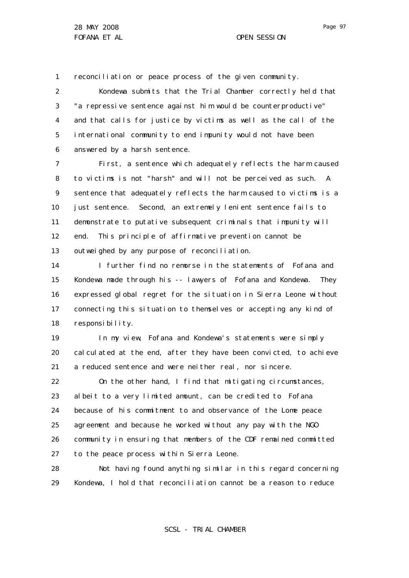1 reconciliation or peace process of the given community.

2 3 4 5 6 Kondewa submits that the Trial Chamber correctly held that "a repressive sentence against him would be counterproductive" and that calls for justice by victims as well as the call of the international community to end impunity would not have been answered by a harsh sentence.

7 8 9 10 11 12 13 First, a sentence which adequately reflects the harm caused to victims is not "harsh" and will not be perceived as such. A sentence that adequately reflects the harm caused to victims is a just sentence. Second, an extremely lenient sentence fails to demonstrate to putative subsequent criminals that impunity will end. This principle of affirmative prevention cannot be outweighed by any purpose of reconciliation.

14 15 16 17 18 I further find no remorse in the statements of Fofana and Kondewa made through his -- lawyers of Fofana and Kondewa. They expressed global regret for the situation in Sierra Leone without connecting this situation to themselves or accepting any kind of responsibility.

19 20 21 In my view, Fofana and Kondewa's statements were simply cal culated at the end, after they have been convicted, to achieve a reduced sentence and were neither real, nor sincere.

22 23 24 25 26 27 On the other hand, I find that mitigating circumstances, albeit to a very limited amount, can be credited to Fofana because of his commitment to and observance of the Lome peace agreement and because he worked without any pay with the NGO community in ensuring that members of the CDF remained committed to the peace process within Sierra Leone.

28 29 Not having found anything similar in this regard concerning Kondewa, I hold that reconciliation cannot be a reason to reduce